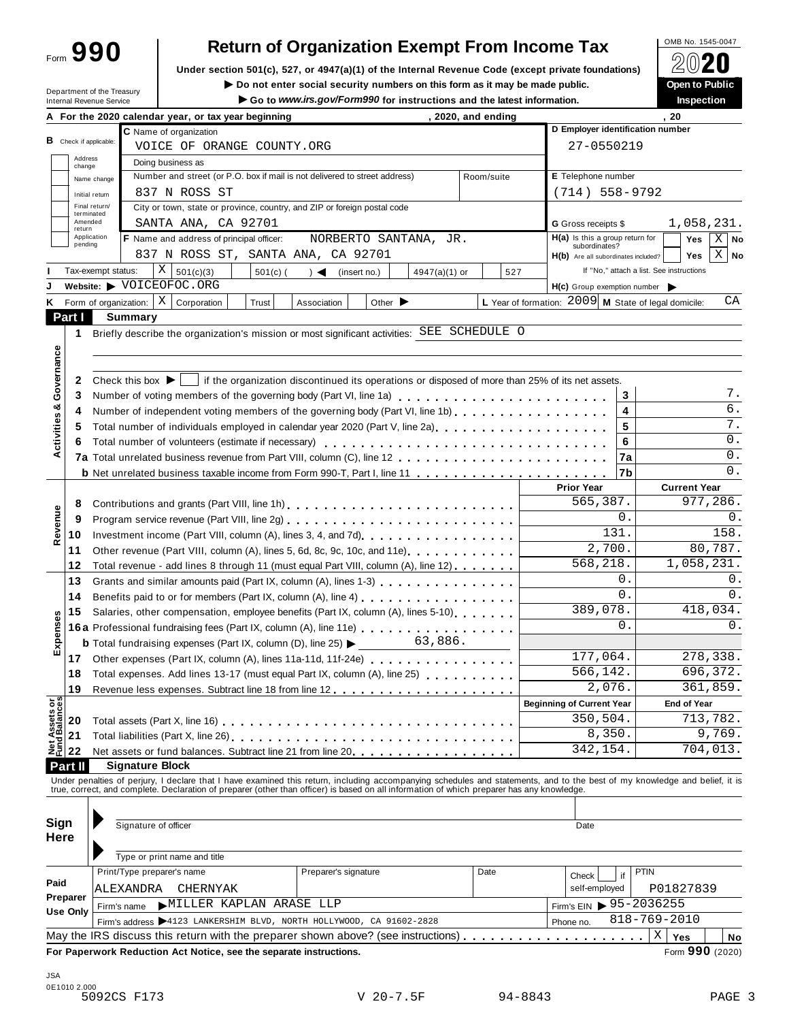Form **990**

# **Return of Organization Exempt From Income Tax**

**Under section 501(c), 527, or 4947(a)(1) of the Internal Revenue Code (except private foundations)** À¾¶´

Department of the Treasury

■ **Do** not enter social security numbers on this form as it may be made public. **Open Do Dependent of the public Dependent of the latest information** Go to www.irs.gov/Form990 for instructions and the latest information.

|                                |                       | A For the 2020 calendar year, or tax year beginning                                                                                                                                                                                                                                                                      |            | , 2020, and ending |                         |                                                      |               | , 20                                                         |
|--------------------------------|-----------------------|--------------------------------------------------------------------------------------------------------------------------------------------------------------------------------------------------------------------------------------------------------------------------------------------------------------------------|------------|--------------------|-------------------------|------------------------------------------------------|---------------|--------------------------------------------------------------|
|                                |                       | C Name of organization                                                                                                                                                                                                                                                                                                   |            |                    |                         | D Employer identification number                     |               |                                                              |
| <b>B</b> Check if applicable:  |                       | VOICE OF ORANGE COUNTY.ORG                                                                                                                                                                                                                                                                                               |            |                    |                         | 27-0550219                                           |               |                                                              |
|                                | Address<br>change     | Doing business as                                                                                                                                                                                                                                                                                                        |            |                    |                         |                                                      |               |                                                              |
|                                | Name change           | Number and street (or P.O. box if mail is not delivered to street address)                                                                                                                                                                                                                                               | Room/suite |                    | E Telephone number      |                                                      |               |                                                              |
|                                | Initial return        | 837 N ROSS ST                                                                                                                                                                                                                                                                                                            |            |                    |                         | $(714) 558 - 9792$                                   |               |                                                              |
|                                | Final return/         | City or town, state or province, country, and ZIP or foreign postal code                                                                                                                                                                                                                                                 |            |                    |                         |                                                      |               |                                                              |
|                                | terminated<br>Amended | SANTA ANA, CA 92701                                                                                                                                                                                                                                                                                                      |            |                    |                         | <b>G</b> Gross receipts \$                           |               | 1,058,231.                                                   |
| return                         | Application           | F Name and address of principal officer:<br>NORBERTO SANTANA, JR.                                                                                                                                                                                                                                                        |            |                    |                         | $H(a)$ is this a group return for                    |               | $X$ No<br>Yes                                                |
|                                | pending               | 837 N ROSS ST, SANTA ANA, CA 92701                                                                                                                                                                                                                                                                                       |            |                    |                         | subordinates?<br>H(b) Are all subordinates included? |               | $X \mid No$<br><b>Yes</b>                                    |
|                                | Tax-exempt status:    | $X \vert$<br>501(c)(3)<br>$501(c)$ (<br>$\left( \text{insert no.} \right)$<br>$4947(a)(1)$ or                                                                                                                                                                                                                            |            | 527                |                         |                                                      |               | If "No," attach a list. See instructions                     |
|                                |                       | Website: > VOICEOFOC.ORG                                                                                                                                                                                                                                                                                                 |            |                    |                         | H(c) Group exemption number                          |               |                                                              |
|                                |                       | Form of organization: $\mid X \mid$ Corporation<br>Trust<br>Other $\blacktriangleright$<br>Association                                                                                                                                                                                                                   |            |                    |                         |                                                      |               | L Year of formation: $2009$ M State of legal domicile:<br>СA |
| Part I                         |                       | <b>Summary</b>                                                                                                                                                                                                                                                                                                           |            |                    |                         |                                                      |               |                                                              |
| 1.                             |                       | Briefly describe the organization's mission or most significant activities: SEE SCHEDULE O                                                                                                                                                                                                                               |            |                    |                         |                                                      |               |                                                              |
|                                |                       |                                                                                                                                                                                                                                                                                                                          |            |                    |                         |                                                      |               |                                                              |
|                                |                       |                                                                                                                                                                                                                                                                                                                          |            |                    |                         |                                                      |               |                                                              |
| 2                              |                       | Check this box $\blacktriangleright$   if the organization discontinued its operations or disposed of more than 25% of its net assets.                                                                                                                                                                                   |            |                    |                         |                                                      |               |                                                              |
| Governance<br>3                |                       |                                                                                                                                                                                                                                                                                                                          |            |                    |                         |                                                      | 3             |                                                              |
| ఱ                              |                       |                                                                                                                                                                                                                                                                                                                          |            |                    |                         |                                                      | 4             | $\overline{6}$ .                                             |
| 4                              |                       | Number of independent voting members of the governing body (Part VI, line 1b)                                                                                                                                                                                                                                            |            |                    |                         |                                                      | 5             | 7.                                                           |
| Activities<br>5                |                       |                                                                                                                                                                                                                                                                                                                          |            |                    |                         |                                                      |               | 0.                                                           |
| 6                              |                       |                                                                                                                                                                                                                                                                                                                          |            |                    |                         |                                                      | 6             | 0.                                                           |
|                                |                       |                                                                                                                                                                                                                                                                                                                          |            |                    |                         |                                                      | 7a            | 0.                                                           |
|                                |                       |                                                                                                                                                                                                                                                                                                                          |            |                    |                         |                                                      | l7b           |                                                              |
|                                |                       |                                                                                                                                                                                                                                                                                                                          |            |                    |                         | <b>Prior Year</b>                                    |               | <b>Current Year</b>                                          |
| 8                              |                       | Contributions and grants (Part VIII, line 1h)                                                                                                                                                                                                                                                                            |            |                    |                         | 565,387.                                             |               | 977,286.                                                     |
| Revenue<br>9                   |                       |                                                                                                                                                                                                                                                                                                                          |            |                    |                         |                                                      | 0.            | 0.                                                           |
| 10                             |                       |                                                                                                                                                                                                                                                                                                                          |            |                    |                         | 131.                                                 |               | 158.                                                         |
| 11                             |                       | Other revenue (Part VIII, column (A), lines 5, 6d, 8c, 9c, 10c, and 11e)                                                                                                                                                                                                                                                 |            |                    |                         | $\overline{2}$ , 700.                                |               | 80,787.                                                      |
| 12                             |                       | Total revenue - add lines 8 through 11 (must equal Part VIII, column (A), line 12)                                                                                                                                                                                                                                       |            |                    |                         | 568,218.                                             |               | 1,058,231.                                                   |
| 13                             |                       | Grants and similar amounts paid (Part IX, column (A), lines 1-3)                                                                                                                                                                                                                                                         |            |                    |                         |                                                      | 0.            | 0.                                                           |
| 14                             |                       |                                                                                                                                                                                                                                                                                                                          |            |                    | 0.                      |                                                      | 0.            |                                                              |
| 15                             |                       | Salaries, other compensation, employee benefits (Part IX, column (A), lines 5-10)                                                                                                                                                                                                                                        |            | 389,078.           | 0.                      | 418,034.                                             |               |                                                              |
| Expenses                       |                       | 16a Professional fundraising fees (Part IX, column (A), line 11e)                                                                                                                                                                                                                                                        |            |                    |                         |                                                      |               | 0.                                                           |
|                                |                       | 63,886.<br><b>b</b> Total fundraising expenses (Part IX, column (D), line 25) $\blacktriangleright$                                                                                                                                                                                                                      |            |                    |                         |                                                      |               |                                                              |
| 17                             |                       | Other expenses (Part IX, column (A), lines 11a-11d, 11f-24e)                                                                                                                                                                                                                                                             |            |                    | 177,064.                |                                                      | 278,338.      |                                                              |
| 18                             |                       | Total expenses. Add lines 13-17 (must equal Part IX, column (A), line 25)                                                                                                                                                                                                                                                |            |                    |                         | 566,142.                                             |               | 696,372.                                                     |
| 19                             |                       | Revenue less expenses. Subtract line 18 from line 12                                                                                                                                                                                                                                                                     |            |                    |                         | 2,076.                                               |               | 361,859.                                                     |
| Net Assets or<br>Fund Balances |                       |                                                                                                                                                                                                                                                                                                                          |            |                    |                         | <b>Beginning of Current Year</b>                     |               | <b>End of Year</b>                                           |
| 20                             |                       |                                                                                                                                                                                                                                                                                                                          |            |                    |                         | 350,504.                                             |               | 713,782.                                                     |
| 21                             |                       | Total liabilities (Part X, line 26)                                                                                                                                                                                                                                                                                      |            |                    |                         | 8,350.                                               |               | 9,769.                                                       |
| 22                             |                       | Net assets or fund balances. Subtract line 21 from line 20                                                                                                                                                                                                                                                               |            |                    |                         | 342,154.                                             |               | 704,013.                                                     |
| Part II                        |                       | <b>Signature Block</b>                                                                                                                                                                                                                                                                                                   |            |                    |                         |                                                      |               |                                                              |
|                                |                       | Under penalties of perjury, I declare that I have examined this return, including accompanying schedules and statements, and to the best of my knowledge and belief, it is<br>true, correct, and complete. Declaration of preparer (other than officer) is based on all information of which preparer has any knowledge. |            |                    |                         |                                                      |               |                                                              |
|                                |                       |                                                                                                                                                                                                                                                                                                                          |            |                    |                         |                                                      |               |                                                              |
|                                |                       |                                                                                                                                                                                                                                                                                                                          |            |                    |                         |                                                      |               |                                                              |
| Sign                           |                       | Signature of officer                                                                                                                                                                                                                                                                                                     |            | Date               |                         |                                                      |               |                                                              |
| Here                           |                       |                                                                                                                                                                                                                                                                                                                          |            |                    |                         |                                                      |               |                                                              |
|                                |                       | Type or print name and title                                                                                                                                                                                                                                                                                             |            |                    |                         |                                                      |               |                                                              |
|                                |                       | Print/Type preparer's name<br>Date<br>Preparer's signature                                                                                                                                                                                                                                                               |            |                    |                         | Check                                                | if            | <b>PTIN</b>                                                  |
| Paid                           |                       | ALEXANDRA<br>CHERNYAK                                                                                                                                                                                                                                                                                                    |            |                    |                         |                                                      | self-employed | P01827839                                                    |
| Preparer                       |                       | MILLER KAPLAN ARASE LLP<br>Firm's name                                                                                                                                                                                                                                                                                   |            |                    | Firm's EIN ▶ 95-2036255 |                                                      |               |                                                              |
| Use Only                       |                       | 818-769-2010<br>Firm's address >4123 LANKERSHIM BLVD, NORTH HOLLYWOOD, CA 91602-2828<br>Phone no.                                                                                                                                                                                                                        |            |                    |                         |                                                      |               |                                                              |
|                                |                       | May the IRS discuss this return with the preparer shown above? (see instructions)                                                                                                                                                                                                                                        |            |                    |                         |                                                      |               | Χ<br>Yes<br>No                                               |
|                                |                       | For Paperwork Reduction Act Notice, see the separate instructions.                                                                                                                                                                                                                                                       |            |                    |                         |                                                      |               | Form 990 (2020)                                              |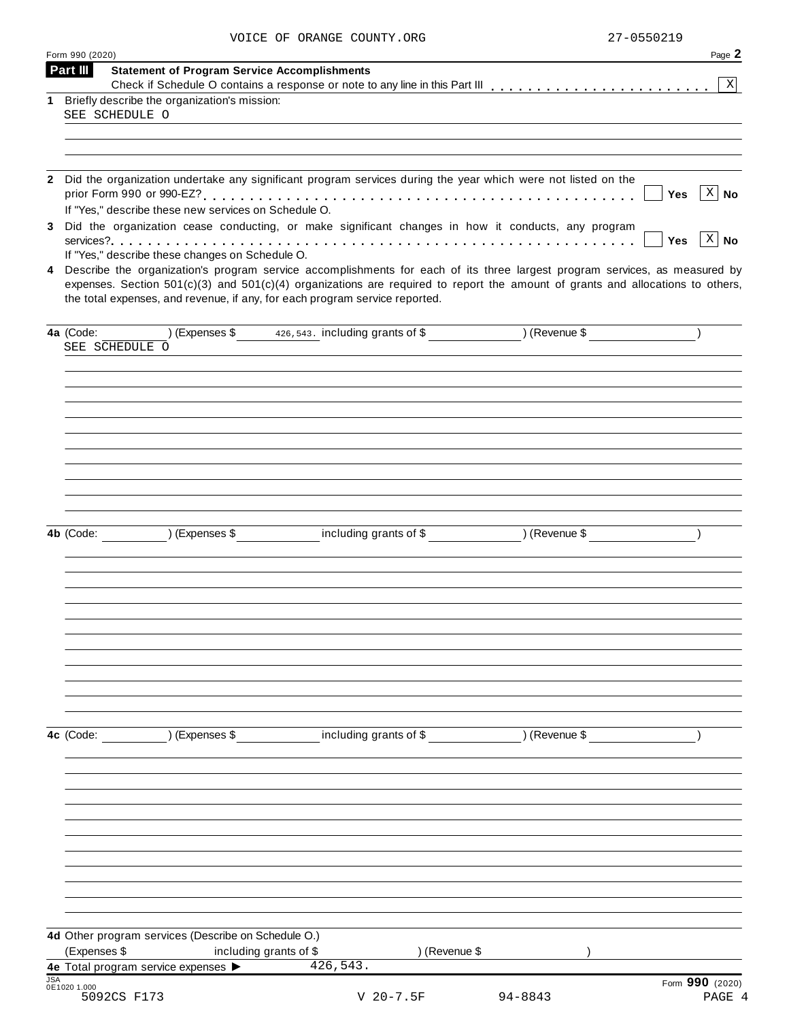|            | Form 990 (2020)                                                                                                                                                                                                                                                                                                                                   | Page 2                             |
|------------|---------------------------------------------------------------------------------------------------------------------------------------------------------------------------------------------------------------------------------------------------------------------------------------------------------------------------------------------------|------------------------------------|
|            | Part III<br><b>Statement of Program Service Accomplishments</b>                                                                                                                                                                                                                                                                                   | $\mathbf X$                        |
|            | 1 Briefly describe the organization's mission:                                                                                                                                                                                                                                                                                                    |                                    |
|            | SEE SCHEDULE O                                                                                                                                                                                                                                                                                                                                    |                                    |
|            |                                                                                                                                                                                                                                                                                                                                                   |                                    |
|            |                                                                                                                                                                                                                                                                                                                                                   |                                    |
|            |                                                                                                                                                                                                                                                                                                                                                   |                                    |
| 2          | Did the organization undertake any significant program services during the year which were not listed on the<br>If "Yes," describe these new services on Schedule O.                                                                                                                                                                              | $ X $ No<br>Yes                    |
| 3          | Did the organization cease conducting, or make significant changes in how it conducts, any program                                                                                                                                                                                                                                                | $\lceil x \rceil$ No<br><b>Yes</b> |
|            | If "Yes," describe these changes on Schedule O.                                                                                                                                                                                                                                                                                                   |                                    |
|            | 4 Describe the organization's program service accomplishments for each of its three largest program services, as measured by<br>expenses. Section $501(c)(3)$ and $501(c)(4)$ organizations are required to report the amount of grants and allocations to others,<br>the total expenses, and revenue, if any, for each program service reported. |                                    |
|            | $(\text{Expenses }$ \$ 426,543. including grants of \$ ) (Revenue \$ )<br>4a (Code:<br>SEE SCHEDULE O                                                                                                                                                                                                                                             |                                    |
|            |                                                                                                                                                                                                                                                                                                                                                   |                                    |
|            |                                                                                                                                                                                                                                                                                                                                                   |                                    |
|            |                                                                                                                                                                                                                                                                                                                                                   |                                    |
|            | 4b (Code: ) (Expenses \$ including grants of \$ ) (Revenue \$                                                                                                                                                                                                                                                                                     |                                    |
|            |                                                                                                                                                                                                                                                                                                                                                   |                                    |
|            |                                                                                                                                                                                                                                                                                                                                                   |                                    |
|            |                                                                                                                                                                                                                                                                                                                                                   |                                    |
|            |                                                                                                                                                                                                                                                                                                                                                   |                                    |
|            | (Expenses \$ including grants of \$ ) (Revenue \$<br>4c (Code:                                                                                                                                                                                                                                                                                    |                                    |
|            |                                                                                                                                                                                                                                                                                                                                                   |                                    |
|            |                                                                                                                                                                                                                                                                                                                                                   |                                    |
|            |                                                                                                                                                                                                                                                                                                                                                   |                                    |
|            | 4d Other program services (Describe on Schedule O.)                                                                                                                                                                                                                                                                                               |                                    |
|            | (Expenses \$<br>including grants of \$<br>) (Revenue \$                                                                                                                                                                                                                                                                                           |                                    |
|            | 426,543.<br>4e Total program service expenses >                                                                                                                                                                                                                                                                                                   |                                    |
| <b>JSA</b> | 0E1020 1.000<br>5092CS F173<br>$V$ 20-7.5F<br>94-8843                                                                                                                                                                                                                                                                                             | Form 990 (2020)<br>PAGE 4          |
|            |                                                                                                                                                                                                                                                                                                                                                   |                                    |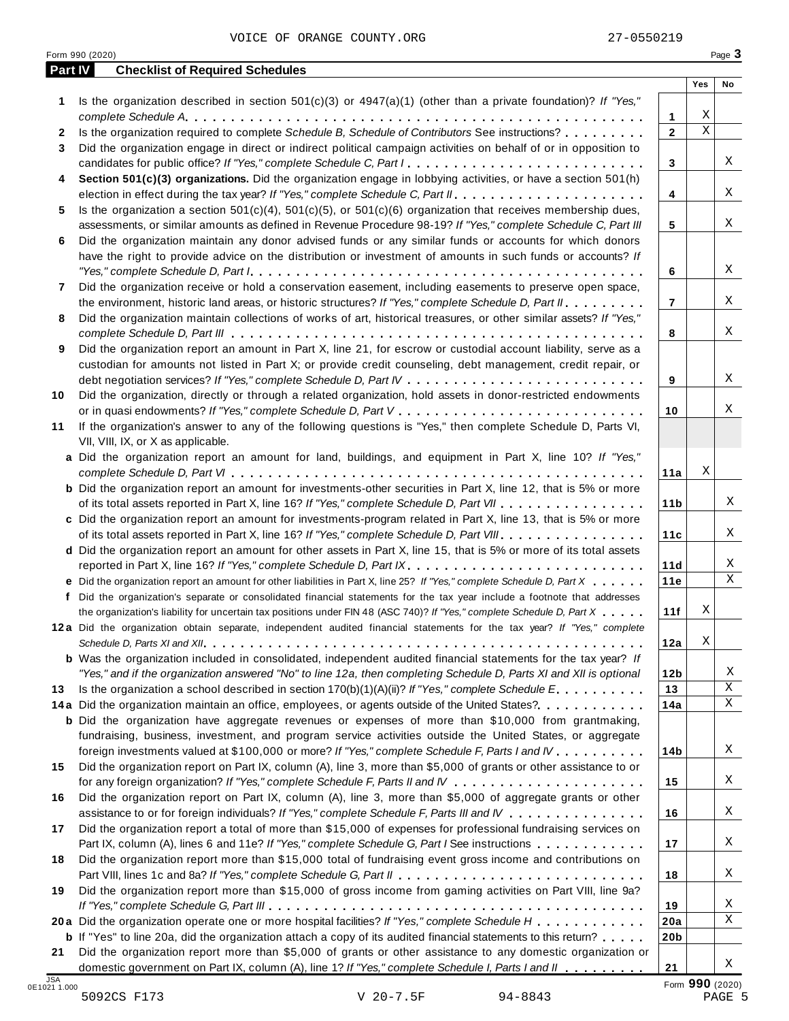|              |                                                                                                                                                                                                                                                                                                                                                                                               |                   | Yes         | No |
|--------------|-----------------------------------------------------------------------------------------------------------------------------------------------------------------------------------------------------------------------------------------------------------------------------------------------------------------------------------------------------------------------------------------------|-------------------|-------------|----|
| 1            | Is the organization described in section $501(c)(3)$ or $4947(a)(1)$ (other than a private foundation)? If "Yes,"                                                                                                                                                                                                                                                                             |                   | Χ           |    |
|              | Is the organization required to complete Schedule B, Schedule of Contributors See instructions?                                                                                                                                                                                                                                                                                               | 1<br>$\mathbf{2}$ | $\mathbf X$ |    |
| $\mathbf{2}$ |                                                                                                                                                                                                                                                                                                                                                                                               |                   |             |    |
| 3            | Did the organization engage in direct or indirect political campaign activities on behalf of or in opposition to                                                                                                                                                                                                                                                                              |                   |             |    |
|              |                                                                                                                                                                                                                                                                                                                                                                                               | 3                 |             |    |
| 4            | Section 501(c)(3) organizations. Did the organization engage in lobbying activities, or have a section 501(h)                                                                                                                                                                                                                                                                                 |                   |             |    |
|              |                                                                                                                                                                                                                                                                                                                                                                                               | 4                 |             |    |
| 5.           | Is the organization a section $501(c)(4)$ , $501(c)(5)$ , or $501(c)(6)$ organization that receives membership dues,                                                                                                                                                                                                                                                                          |                   |             |    |
|              | assessments, or similar amounts as defined in Revenue Procedure 98-19? If "Yes," complete Schedule C, Part III                                                                                                                                                                                                                                                                                | 5                 |             |    |
| 6            | Did the organization maintain any donor advised funds or any similar funds or accounts for which donors                                                                                                                                                                                                                                                                                       |                   |             |    |
|              | have the right to provide advice on the distribution or investment of amounts in such funds or accounts? If                                                                                                                                                                                                                                                                                   |                   |             |    |
|              | "Yes," complete Schedule D, Part $l_1, \ldots, l_k, \ldots, l_k, \ldots, l_k, \ldots, l_k, \ldots, l_k, \ldots, l_k, \ldots, l_k, \ldots, l_k, \ldots, l_k, \ldots, l_k, \ldots, l_k, \ldots, l_k, \ldots, l_k, \ldots, l_k, \ldots, l_k, \ldots, l_k, \ldots, l_k, \ldots, l_k, \ldots, l_k, \ldots, l_k, \ldots, l_k, \ldots, l_k, \ldots, l_k, \ldots, l_k, \ldots, l_k, \ldots, l_k, \ld$ | 6                 |             |    |
| 7            | Did the organization receive or hold a conservation easement, including easements to preserve open space,                                                                                                                                                                                                                                                                                     |                   |             |    |
|              | the environment, historic land areas, or historic structures? If "Yes," complete Schedule D, Part II.                                                                                                                                                                                                                                                                                         | $\overline{7}$    |             |    |
| 8            | Did the organization maintain collections of works of art, historical treasures, or other similar assets? If "Yes,"                                                                                                                                                                                                                                                                           |                   |             |    |
|              |                                                                                                                                                                                                                                                                                                                                                                                               | 8                 |             |    |
| 9            | Did the organization report an amount in Part X, line 21, for escrow or custodial account liability, serve as a                                                                                                                                                                                                                                                                               |                   |             |    |
|              | custodian for amounts not listed in Part X; or provide credit counseling, debt management, credit repair, or                                                                                                                                                                                                                                                                                  |                   |             |    |
|              |                                                                                                                                                                                                                                                                                                                                                                                               | 9                 |             |    |
| 10           | Did the organization, directly or through a related organization, hold assets in donor-restricted endowments                                                                                                                                                                                                                                                                                  |                   |             |    |
|              |                                                                                                                                                                                                                                                                                                                                                                                               | 10                |             |    |
| 11           | If the organization's answer to any of the following questions is "Yes," then complete Schedule D, Parts VI,                                                                                                                                                                                                                                                                                  |                   |             |    |
|              | VII, VIII, IX, or X as applicable.                                                                                                                                                                                                                                                                                                                                                            |                   |             |    |
|              | a Did the organization report an amount for land, buildings, and equipment in Part X, line 10? If "Yes,"                                                                                                                                                                                                                                                                                      |                   |             |    |
|              |                                                                                                                                                                                                                                                                                                                                                                                               | 11a               | Χ           |    |
|              | <b>b</b> Did the organization report an amount for investments-other securities in Part X, line 12, that is 5% or more                                                                                                                                                                                                                                                                        |                   |             |    |
|              | of its total assets reported in Part X, line 16? If "Yes," complete Schedule D, Part VII                                                                                                                                                                                                                                                                                                      | 11 <sub>b</sub>   |             |    |
|              | c Did the organization report an amount for investments-program related in Part X, line 13, that is 5% or more                                                                                                                                                                                                                                                                                |                   |             |    |
|              | of its total assets reported in Part X, line 16? If "Yes," complete Schedule D, Part VIII                                                                                                                                                                                                                                                                                                     | 11c               |             |    |
|              | d Did the organization report an amount for other assets in Part X, line 15, that is 5% or more of its total assets                                                                                                                                                                                                                                                                           |                   |             |    |
|              |                                                                                                                                                                                                                                                                                                                                                                                               | 11d               |             |    |
|              | e Did the organization report an amount for other liabilities in Part X, line 25? If "Yes," complete Schedule D, Part X                                                                                                                                                                                                                                                                       | 11e               |             |    |
|              | f Did the organization's separate or consolidated financial statements for the tax year include a footnote that addresses                                                                                                                                                                                                                                                                     |                   |             |    |
|              | the organization's liability for uncertain tax positions under FIN 48 (ASC 740)? If "Yes," complete Schedule D, Part X                                                                                                                                                                                                                                                                        | 11f               | Χ           |    |
|              | 12a Did the organization obtain separate, independent audited financial statements for the tax year? If "Yes," complete                                                                                                                                                                                                                                                                       |                   |             |    |
|              |                                                                                                                                                                                                                                                                                                                                                                                               | 12a               | Χ           |    |
|              | <b>b</b> Was the organization included in consolidated, independent audited financial statements for the tax year? If                                                                                                                                                                                                                                                                         |                   |             |    |
|              | "Yes," and if the organization answered "No" to line 12a, then completing Schedule D, Parts XI and XII is optional                                                                                                                                                                                                                                                                            | 12 <sub>b</sub>   |             |    |
| 13           | Is the organization a school described in section $170(b)(1)(A)(ii)?$ If "Yes," complete Schedule E.                                                                                                                                                                                                                                                                                          | 13                |             |    |
|              | 14a Did the organization maintain an office, employees, or agents outside of the United States?.                                                                                                                                                                                                                                                                                              | 14a               |             |    |
|              | <b>b</b> Did the organization have aggregate revenues or expenses of more than \$10,000 from grantmaking,                                                                                                                                                                                                                                                                                     |                   |             |    |
|              | fundraising, business, investment, and program service activities outside the United States, or aggregate                                                                                                                                                                                                                                                                                     |                   |             |    |
|              | foreign investments valued at \$100,000 or more? If "Yes," complete Schedule F, Parts I and IV                                                                                                                                                                                                                                                                                                | 14b               |             |    |
| 15           | Did the organization report on Part IX, column (A), line 3, more than \$5,000 of grants or other assistance to or                                                                                                                                                                                                                                                                             |                   |             |    |
|              |                                                                                                                                                                                                                                                                                                                                                                                               | 15                |             |    |
| 16           | Did the organization report on Part IX, column (A), line 3, more than \$5,000 of aggregate grants or other                                                                                                                                                                                                                                                                                    |                   |             |    |
|              | assistance to or for foreign individuals? If "Yes," complete Schedule F, Parts III and IV                                                                                                                                                                                                                                                                                                     | 16                |             |    |
| 17           | Did the organization report a total of more than \$15,000 of expenses for professional fundraising services on                                                                                                                                                                                                                                                                                |                   |             |    |
|              | Part IX, column (A), lines 6 and 11e? If "Yes," complete Schedule G, Part I See instructions                                                                                                                                                                                                                                                                                                  | 17                |             |    |
| 18           | Did the organization report more than \$15,000 total of fundraising event gross income and contributions on                                                                                                                                                                                                                                                                                   |                   |             |    |
|              |                                                                                                                                                                                                                                                                                                                                                                                               | 18                |             |    |
| 19           | Did the organization report more than \$15,000 of gross income from gaming activities on Part VIII, line 9a?                                                                                                                                                                                                                                                                                  |                   |             |    |
|              |                                                                                                                                                                                                                                                                                                                                                                                               | 19                |             |    |
|              | 20a Did the organization operate one or more hospital facilities? If "Yes," complete Schedule H                                                                                                                                                                                                                                                                                               | 20a               |             |    |
|              |                                                                                                                                                                                                                                                                                                                                                                                               |                   |             |    |
|              |                                                                                                                                                                                                                                                                                                                                                                                               |                   |             |    |
| 21           | <b>b</b> If "Yes" to line 20a, did the organization attach a copy of its audited financial statements to this return?<br>Did the organization report more than \$5,000 of grants or other assistance to any domestic organization or                                                                                                                                                          | 20 <sub>b</sub>   |             |    |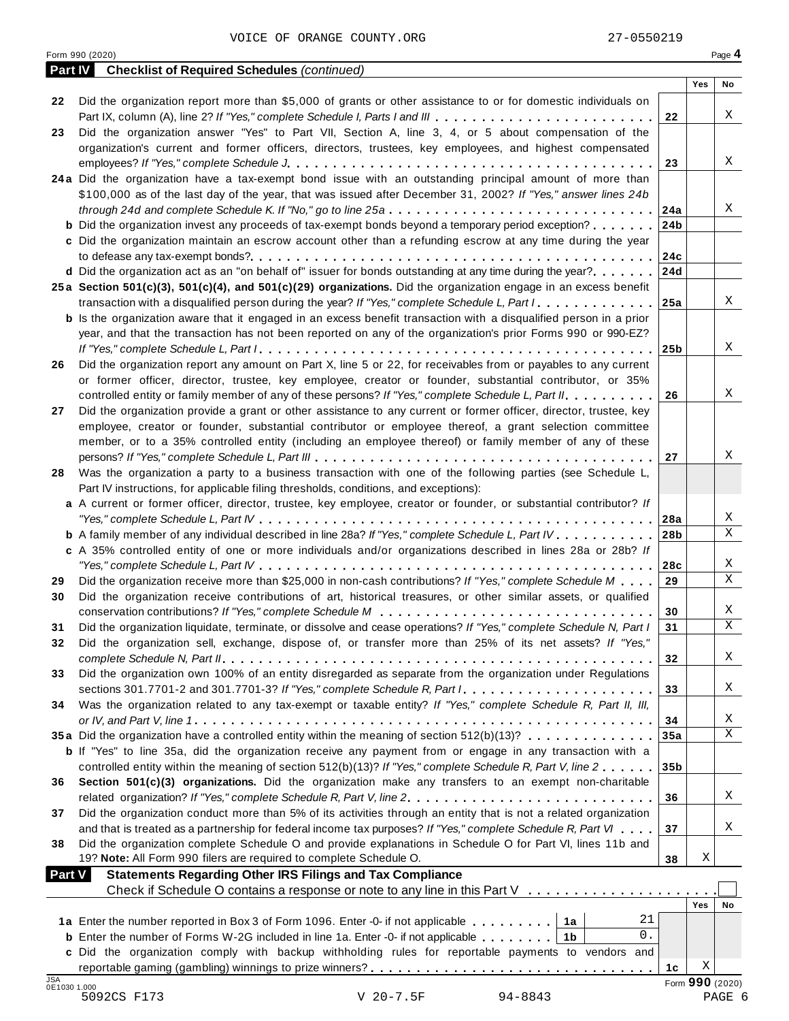|    | Form 990 (2020)                                                                                                                                                                                                   |                 |                 | Page 4           |
|----|-------------------------------------------------------------------------------------------------------------------------------------------------------------------------------------------------------------------|-----------------|-----------------|------------------|
|    | <b>Checklist of Required Schedules (continued)</b><br>Part IV                                                                                                                                                     |                 | Yes             | No               |
| 22 | Did the organization report more than \$5,000 of grants or other assistance to or for domestic individuals on                                                                                                     |                 |                 |                  |
|    | Part IX, column (A), line 2? If "Yes," complete Schedule I, Parts I and III                                                                                                                                       | 22              |                 | Χ                |
|    | Did the organization answer "Yes" to Part VII, Section A, line 3, 4, or 5 about compensation of the                                                                                                               |                 |                 |                  |
|    | organization's current and former officers, directors, trustees, key employees, and highest compensated                                                                                                           |                 |                 |                  |
|    |                                                                                                                                                                                                                   | 23              |                 | Χ                |
|    | 24a Did the organization have a tax-exempt bond issue with an outstanding principal amount of more than                                                                                                           |                 |                 |                  |
|    | \$100,000 as of the last day of the year, that was issued after December 31, 2002? If "Yes," answer lines 24b                                                                                                     |                 |                 |                  |
|    |                                                                                                                                                                                                                   | 24a             |                 | Χ                |
|    | <b>b</b> Did the organization invest any proceeds of tax-exempt bonds beyond a temporary period exception?                                                                                                        | 24 <sub>b</sub> |                 |                  |
|    | c Did the organization maintain an escrow account other than a refunding escrow at any time during the year                                                                                                       |                 |                 |                  |
|    |                                                                                                                                                                                                                   | 24c             |                 |                  |
|    | d Did the organization act as an "on behalf of" issuer for bonds outstanding at any time during the year?                                                                                                         | 24d             |                 |                  |
|    | 25a Section 501(c)(3), 501(c)(4), and 501(c)(29) organizations. Did the organization engage in an excess benefit                                                                                                  |                 |                 |                  |
|    | transaction with a disqualified person during the year? If "Yes," complete Schedule L, Part I.                                                                                                                    | 25a             |                 | Χ                |
|    | <b>b</b> Is the organization aware that it engaged in an excess benefit transaction with a disqualified person in a prior                                                                                         |                 |                 |                  |
|    | year, and that the transaction has not been reported on any of the organization's prior Forms 990 or 990-EZ?                                                                                                      |                 |                 | Χ                |
|    |                                                                                                                                                                                                                   | 25 <sub>b</sub> |                 |                  |
|    | Did the organization report any amount on Part X, line 5 or 22, for receivables from or payables to any current                                                                                                   |                 |                 |                  |
|    | or former officer, director, trustee, key employee, creator or founder, substantial contributor, or 35%<br>controlled entity or family member of any of these persons? If "Yes," complete Schedule L, Part II.    | 26              |                 | Χ                |
|    | Did the organization provide a grant or other assistance to any current or former officer, director, trustee, key                                                                                                 |                 |                 |                  |
|    | employee, creator or founder, substantial contributor or employee thereof, a grant selection committee                                                                                                            |                 |                 |                  |
|    | member, or to a 35% controlled entity (including an employee thereof) or family member of any of these                                                                                                            |                 |                 |                  |
|    |                                                                                                                                                                                                                   | 27              |                 | Χ                |
|    | Was the organization a party to a business transaction with one of the following parties (see Schedule L,                                                                                                         |                 |                 |                  |
|    | Part IV instructions, for applicable filing thresholds, conditions, and exceptions):                                                                                                                              |                 |                 |                  |
|    | a A current or former officer, director, trustee, key employee, creator or founder, or substantial contributor? If                                                                                                |                 |                 |                  |
|    |                                                                                                                                                                                                                   | 28a             |                 | Χ                |
|    | <b>b</b> A family member of any individual described in line 28a? If "Yes," complete Schedule L, Part IV.                                                                                                         | 28 <sub>b</sub> |                 | X                |
|    | c A 35% controlled entity of one or more individuals and/or organizations described in lines 28a or 28b? If                                                                                                       |                 |                 |                  |
|    |                                                                                                                                                                                                                   | 28c             |                 | Χ                |
|    | Did the organization receive more than \$25,000 in non-cash contributions? If "Yes," complete Schedule M                                                                                                          | 29              |                 | X                |
|    | Did the organization receive contributions of art, historical treasures, or other similar assets, or qualified                                                                                                    |                 |                 |                  |
|    |                                                                                                                                                                                                                   | 30              |                 | Χ                |
|    | Did the organization liquidate, terminate, or dissolve and cease operations? If "Yes," complete Schedule N, Part I                                                                                                | 31              |                 | $\mathbf X$      |
|    | Did the organization sell, exchange, dispose of, or transfer more than 25% of its net assets? If "Yes,"                                                                                                           |                 |                 |                  |
|    |                                                                                                                                                                                                                   | 32              |                 | Χ                |
|    | Did the organization own 100% of an entity disregarded as separate from the organization under Regulations                                                                                                        |                 |                 |                  |
|    | sections 301.7701-2 and 301.7701-3? If "Yes," complete Schedule R, Part $l_1, \ldots, l_l, l_l, \ldots, l_l, l_l, l_l$                                                                                            | 33              |                 | Χ                |
|    | Was the organization related to any tax-exempt or taxable entity? If "Yes," complete Schedule R, Part II, III,                                                                                                    |                 |                 |                  |
|    |                                                                                                                                                                                                                   | 34              |                 | Χ<br>$\mathbf X$ |
|    | 35a Did the organization have a controlled entity within the meaning of section 512(b)(13)?                                                                                                                       | 35a             |                 |                  |
|    | b If "Yes" to line 35a, did the organization receive any payment from or engage in any transaction with a                                                                                                         |                 |                 |                  |
|    | controlled entity within the meaning of section 512(b)(13)? If "Yes," complete Schedule R, Part V, line 2<br>Section 501(c)(3) organizations. Did the organization make any transfers to an exempt non-charitable | 35 <sub>b</sub> |                 |                  |
|    | related organization? If "Yes," complete Schedule R, Part V, line 2.                                                                                                                                              | 36              |                 | Χ                |
|    | Did the organization conduct more than 5% of its activities through an entity that is not a related organization                                                                                                  |                 |                 |                  |
|    | and that is treated as a partnership for federal income tax purposes? If "Yes," complete Schedule R, Part VI                                                                                                      | 37              |                 | Χ                |
|    | Did the organization complete Schedule O and provide explanations in Schedule O for Part VI, lines 11b and                                                                                                        |                 |                 |                  |
|    | 19? Note: All Form 990 filers are required to complete Schedule O.                                                                                                                                                | 38              | Χ               |                  |
|    | <b>Statements Regarding Other IRS Filings and Tax Compliance</b><br><b>Part V</b>                                                                                                                                 |                 |                 |                  |
|    | Check if Schedule O contains a response or note to any line in this Part V                                                                                                                                        |                 |                 |                  |
|    |                                                                                                                                                                                                                   |                 | <b>Yes</b>      | No               |
|    | 21<br>1a Enter the number reported in Box 3 of Form 1096. Enter -0- if not applicable   1a                                                                                                                        |                 |                 |                  |
|    | 0.<br><b>b</b> Enter the number of Forms W-2G included in line 1a. Enter -0- if not applicable   1b                                                                                                               |                 |                 |                  |
|    | c Did the organization comply with backup withholding rules for reportable payments to vendors and                                                                                                                |                 |                 |                  |
|    |                                                                                                                                                                                                                   | 1c              | Χ               |                  |
|    | JSA<br>0E1030 1.000                                                                                                                                                                                               |                 | Form 990 (2020) |                  |
|    | 5092CS F173<br>V 20-7.5F<br>94-8843                                                                                                                                                                               |                 |                 | PAGE 6           |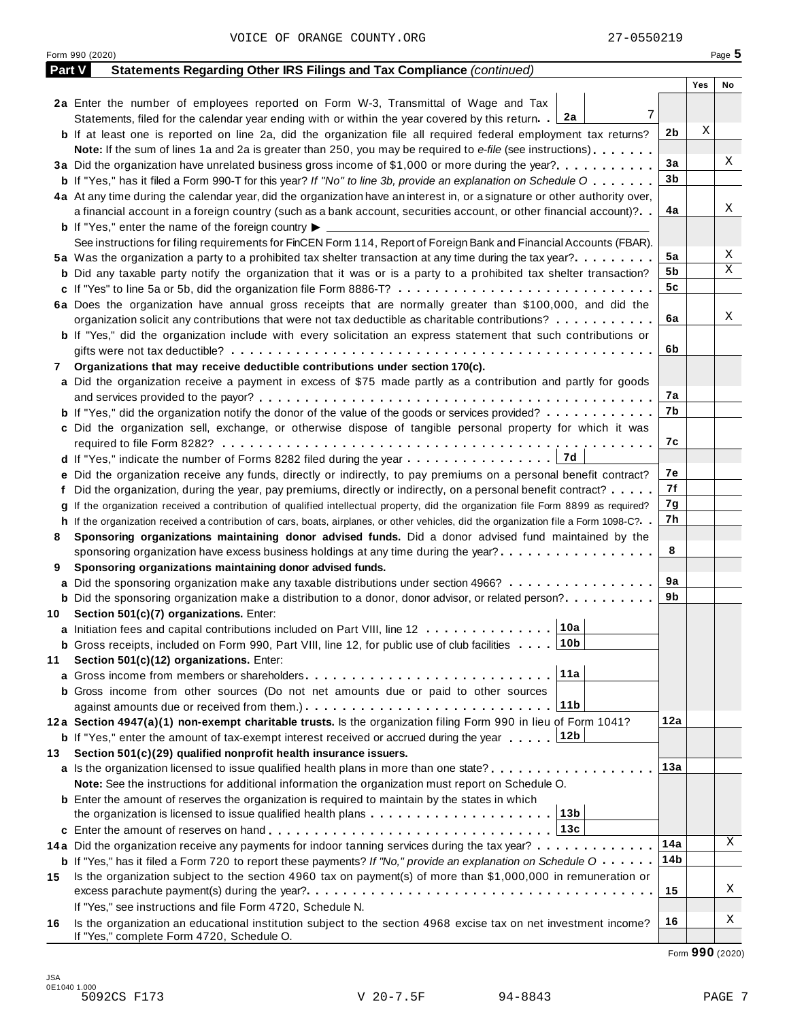|        | Form 990 (2020)                                                                                                                      |     |     | Page 5 |
|--------|--------------------------------------------------------------------------------------------------------------------------------------|-----|-----|--------|
| Part V | <b>Statements Regarding Other IRS Filings and Tax Compliance (continued)</b>                                                         |     |     |        |
|        |                                                                                                                                      |     | Yes | No     |
|        | 2a Enter the number of employees reported on Form W-3, Transmittal of Wage and Tax                                                   |     |     |        |
|        | 7<br>Statements, filed for the calendar year ending with or within the year covered by this return. $2a$                             |     |     |        |
|        | <b>b</b> If at least one is reported on line 2a, did the organization file all required federal employment tax returns?              | 2b  | X   |        |
|        | <b>Note:</b> If the sum of lines 1a and 2a is greater than 250, you may be required to e-file (see instructions)                     |     |     |        |
|        | 3a Did the organization have unrelated business gross income of \$1,000 or more during the year?                                     | 3a  |     | Χ      |
|        | <b>b</b> If "Yes," has it filed a Form 990-T for this year? If "No" to line 3b, provide an explanation on Schedule O                 | 3b  |     |        |
|        | 4a At any time during the calendar year, did the organization have an interest in, or a signature or other authority over,           |     |     |        |
|        | a financial account in a foreign country (such as a bank account, securities account, or other financial account)?                   | 4a  |     | Χ      |
|        | <b>b</b> If "Yes," enter the name of the foreign country $\blacktriangleright$                                                       |     |     |        |
|        | See instructions for filing requirements for FinCEN Form 114, Report of Foreign Bank and Financial Accounts (FBAR).                  |     |     |        |
|        | 5a Was the organization a party to a prohibited tax shelter transaction at any time during the tax year?                             | 5a  |     | Χ      |
|        | <b>b</b> Did any taxable party notify the organization that it was or is a party to a prohibited tax shelter transaction?            | 5b  |     | Χ      |
|        | c If "Yes" to line 5a or 5b, did the organization file Form 8886-T?                                                                  | 5c  |     |        |
|        | 6a Does the organization have annual gross receipts that are normally greater than \$100,000, and did the                            |     |     |        |
|        | organization solicit any contributions that were not tax deductible as charitable contributions?                                     | 6a  |     | Χ      |
|        | <b>b</b> If "Yes," did the organization include with every solicitation an express statement that such contributions or              |     |     |        |
|        |                                                                                                                                      | 6b  |     |        |
| 7      | Organizations that may receive deductible contributions under section 170(c).                                                        |     |     |        |
|        | a Did the organization receive a payment in excess of \$75 made partly as a contribution and partly for goods                        |     |     |        |
|        |                                                                                                                                      | 7а  |     |        |
|        | <b>b</b> If "Yes," did the organization notify the donor of the value of the goods or services provided?                             | 7b  |     |        |
|        | c Did the organization sell, exchange, or otherwise dispose of tangible personal property for which it was                           |     |     |        |
|        |                                                                                                                                      | 7с  |     |        |
|        | 7d<br>d If "Yes," indicate the number of Forms 8282 filed during the year                                                            |     |     |        |
|        | e Did the organization receive any funds, directly or indirectly, to pay premiums on a personal benefit contract?                    | 7е  |     |        |
|        | f Did the organization, during the year, pay premiums, directly or indirectly, on a personal benefit contract?                       | 7f  |     |        |
|        | g If the organization received a contribution of qualified intellectual property, did the organization file Form 8899 as required?   | 7g  |     |        |
|        | h If the organization received a contribution of cars, boats, airplanes, or other vehicles, did the organization file a Form 1098-C? | 7h  |     |        |
| 8      | Sponsoring organizations maintaining donor advised funds. Did a donor advised fund maintained by the                                 |     |     |        |
|        | sponsoring organization have excess business holdings at any time during the year?                                                   | 8   |     |        |
| 9      | Sponsoring organizations maintaining donor advised funds.                                                                            |     |     |        |
|        | a Did the sponsoring organization make any taxable distributions under section 4966?                                                 | 9а  |     |        |
|        | <b>b</b> Did the sponsoring organization make a distribution to a donor, donor advisor, or related person?                           | 9b  |     |        |
|        | 10 Section 501(c)(7) organizations. Enter:                                                                                           |     |     |        |
|        | 10a <br>a Initiation fees and capital contributions included on Part VIII, line 12                                                   |     |     |        |
|        | 10b<br><b>b</b> Gross receipts, included on Form 990, Part VIII, line 12, for public use of club facilities                          |     |     |        |
| 11     | Section 501(c)(12) organizations. Enter:                                                                                             |     |     |        |
|        | 11a                                                                                                                                  |     |     |        |
|        | b Gross income from other sources (Do not net amounts due or paid to other sources                                                   |     |     |        |
|        | 11b                                                                                                                                  |     |     |        |
|        | 12a Section 4947(a)(1) non-exempt charitable trusts. Is the organization filing Form 990 in lieu of Form 1041?                       | 12a |     |        |
|        | 12b<br><b>b</b> If "Yes," enter the amount of tax-exempt interest received or accrued during the year                                |     |     |        |
| 13.    | Section 501(c)(29) qualified nonprofit health insurance issuers.                                                                     |     |     |        |
|        | a Is the organization licensed to issue qualified health plans in more than one state?                                               | 13а |     |        |
|        | Note: See the instructions for additional information the organization must report on Schedule O.                                    |     |     |        |
|        | <b>b</b> Enter the amount of reserves the organization is required to maintain by the states in which                                |     |     |        |
|        | 13b<br>the organization is licensed to issue qualified health plans $\ldots \ldots \ldots \ldots \ldots \ldots \ldots$               |     |     |        |
|        | 13c                                                                                                                                  |     |     |        |
|        | 14a Did the organization receive any payments for indoor tanning services during the tax year?                                       | 14a |     | Χ      |
|        | <b>b</b> If "Yes," has it filed a Form 720 to report these payments? If "No," provide an explanation on Schedule O                   | 14b |     |        |
| 15     | Is the organization subject to the section 4960 tax on payment(s) of more than \$1,000,000 in remuneration or                        |     |     |        |
|        |                                                                                                                                      | 15  |     | Χ      |
|        | If "Yes," see instructions and file Form 4720, Schedule N.                                                                           |     |     |        |
| 16     | Is the organization an educational institution subject to the section 4968 excise tax on net investment income?                      | 16  |     | Χ      |
|        | If "Yes," complete Form 4720, Schedule O.                                                                                            |     |     |        |

Form **990** (2020)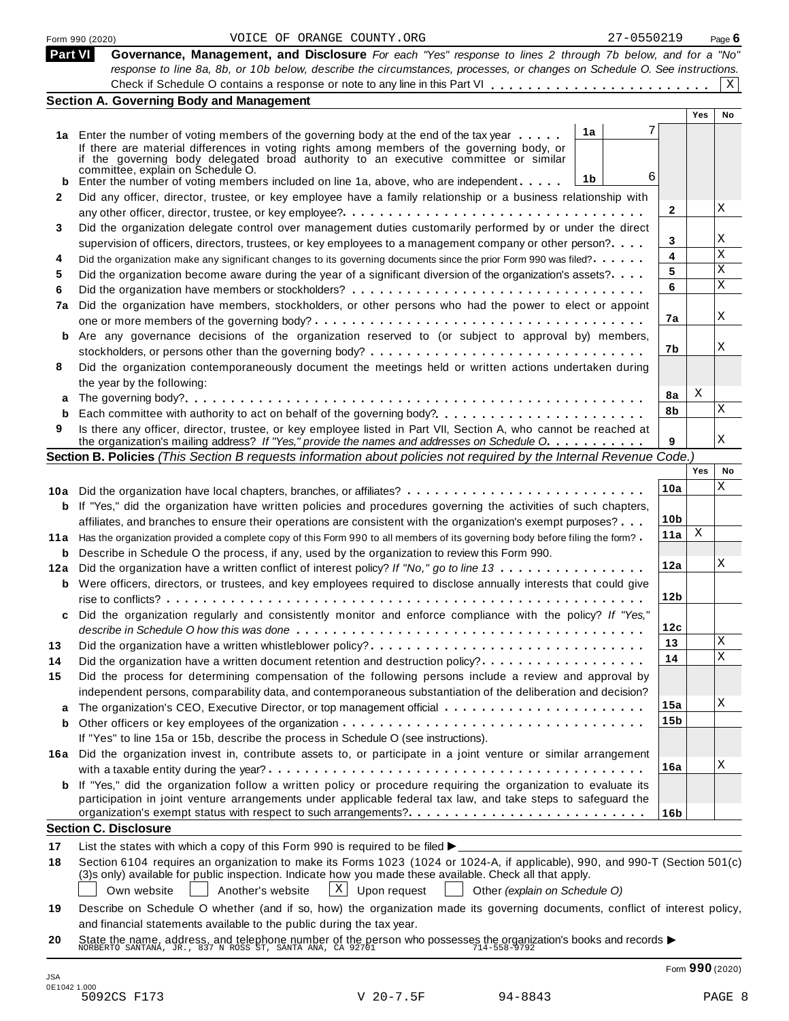|         | 27-0550219<br>VOICE OF ORANGE COUNTY.ORG<br>Form 990 (2020)                                                                                                                                                                      |                 |            | Page $6$ |
|---------|----------------------------------------------------------------------------------------------------------------------------------------------------------------------------------------------------------------------------------|-----------------|------------|----------|
| Part VI | Governance, Management, and Disclosure For each "Yes" response to lines 2 through 7b below, and for a "No"                                                                                                                       |                 |            |          |
|         | response to line 8a, 8b, or 10b below, describe the circumstances, processes, or changes on Schedule O. See instructions.                                                                                                        |                 |            |          |
|         |                                                                                                                                                                                                                                  |                 |            | X        |
|         | <b>Section A. Governing Body and Management</b>                                                                                                                                                                                  |                 | <b>Yes</b> | No       |
|         | 7                                                                                                                                                                                                                                |                 |            |          |
|         | 1a<br>1a Enter the number of voting members of the governing body at the end of the tax year<br>If there are material differences in voting rights among members of the governing body, or                                       |                 |            |          |
|         | if the governing body delegated broad authority to an executive committee or similar                                                                                                                                             |                 |            |          |
|         | committee, explain on Schedule O.<br>6<br>1b                                                                                                                                                                                     |                 |            |          |
| 2       | Enter the number of voting members included on line 1a, above, who are independent<br>Did any officer, director, trustee, or key employee have a family relationship or a business relationship with                             |                 |            |          |
|         |                                                                                                                                                                                                                                  | 2               |            | Χ        |
| 3       | Did the organization delegate control over management duties customarily performed by or under the direct                                                                                                                        |                 |            |          |
|         | supervision of officers, directors, trustees, or key employees to a management company or other person?                                                                                                                          | 3               |            | Χ        |
| 4       | Did the organization make any significant changes to its governing documents since the prior Form 990 was filed?                                                                                                                 | 4               |            | X        |
| 5       | Did the organization become aware during the year of a significant diversion of the organization's assets?                                                                                                                       | 5               |            | Χ        |
| 6       |                                                                                                                                                                                                                                  | 6               |            | X        |
| 7a      | Did the organization have members, stockholders, or other persons who had the power to elect or appoint                                                                                                                          |                 |            |          |
|         |                                                                                                                                                                                                                                  | 7a              |            | Χ        |
|         | Are any governance decisions of the organization reserved to (or subject to approval by) members,                                                                                                                                |                 |            |          |
|         |                                                                                                                                                                                                                                  | 7b              |            | Χ        |
| 8       | Did the organization contemporaneously document the meetings held or written actions undertaken during                                                                                                                           |                 |            |          |
|         | the year by the following:                                                                                                                                                                                                       |                 |            |          |
|         |                                                                                                                                                                                                                                  | 8a              | X          |          |
| b       |                                                                                                                                                                                                                                  | 8b              |            | Χ        |
| 9       | Is there any officer, director, trustee, or key employee listed in Part VII, Section A, who cannot be reached at                                                                                                                 |                 |            | Χ        |
|         | the organization's mailing address? If "Yes," provide the names and addresses on Schedule O.<br>Section B. Policies (This Section B requests information about policies not required by the Internal Revenue Code.)              | 9               |            |          |
|         |                                                                                                                                                                                                                                  |                 | Yes        | No       |
|         |                                                                                                                                                                                                                                  | 10a             |            | Χ        |
| b       | 10a Did the organization have local chapters, branches, or affiliates?<br>If "Yes," did the organization have written policies and procedures governing the activities of such chapters,                                         |                 |            |          |
|         | affiliates, and branches to ensure their operations are consistent with the organization's exempt purposes?                                                                                                                      | 10 <sub>b</sub> |            |          |
|         | 11a Has the organization provided a complete copy of this Form 990 to all members of its governing body before filing the form?                                                                                                  | 11a             | Χ          |          |
|         | <b>b</b> Describe in Schedule O the process, if any, used by the organization to review this Form 990.                                                                                                                           |                 |            |          |
|         | 12a Did the organization have a written conflict of interest policy? If "No," go to line 13                                                                                                                                      | 12a             |            | Χ        |
|         | <b>b</b> Were officers, directors, or trustees, and key employees required to disclose annually interests that could give                                                                                                        |                 |            |          |
|         |                                                                                                                                                                                                                                  | 12 <sub>b</sub> |            |          |
|         | Did the organization regularly and consistently monitor and enforce compliance with the policy? If "Yes,"                                                                                                                        |                 |            |          |
|         |                                                                                                                                                                                                                                  | 12c             |            |          |
| 13      | Did the organization have a written whistleblower policy?                                                                                                                                                                        | 13              |            | Χ        |
| 14      | Did the organization have a written document retention and destruction policy?                                                                                                                                                   | 14              |            | X        |
| 15      | Did the process for determining compensation of the following persons include a review and approval by                                                                                                                           |                 |            |          |
|         | independent persons, comparability data, and contemporaneous substantiation of the deliberation and decision?                                                                                                                    |                 |            |          |
|         |                                                                                                                                                                                                                                  | 15a             |            | Χ        |
| b       |                                                                                                                                                                                                                                  | 15b             |            |          |
|         | If "Yes" to line 15a or 15b, describe the process in Schedule O (see instructions).                                                                                                                                              |                 |            |          |
|         | 16a Did the organization invest in, contribute assets to, or participate in a joint venture or similar arrangement                                                                                                               |                 |            | Χ        |
|         |                                                                                                                                                                                                                                  | 16a             |            |          |
|         | b If "Yes," did the organization follow a written policy or procedure requiring the organization to evaluate its                                                                                                                 |                 |            |          |
|         | participation in joint venture arrangements under applicable federal tax law, and take steps to safeguard the                                                                                                                    | 16 <sub>b</sub> |            |          |
|         | <b>Section C. Disclosure</b>                                                                                                                                                                                                     |                 |            |          |
|         |                                                                                                                                                                                                                                  |                 |            |          |
| 17      | List the states with which a copy of this Form 990 is required to be filed $\blacktriangleright$<br>Section 6104 requires an organization to make its Forms 1023 (1024 or 1024-A, if applicable), 990, and 990-T (Section 501(c) |                 |            |          |
| 18      | (3)s only) available for public inspection. Indicate how you made these available. Check all that apply.                                                                                                                         |                 |            |          |
|         | $\mathbf{X}$<br>Own website<br>Another's website<br>Upon request<br>Other (explain on Schedule O)                                                                                                                                |                 |            |          |
| 19      | Describe on Schedule O whether (and if so, how) the organization made its governing documents, conflict of interest policy,                                                                                                      |                 |            |          |
|         | and financial statements available to the public during the tax year.                                                                                                                                                            |                 |            |          |
| 20      |                                                                                                                                                                                                                                  |                 |            |          |
|         | State the name, address, and telephone number of the person who possesses the organization's books and records $\blacktriangleright$ NORBERTO SANTANA, JR., 837 N ROSS ST, SANTA ANA, CA 92701                                   |                 |            |          |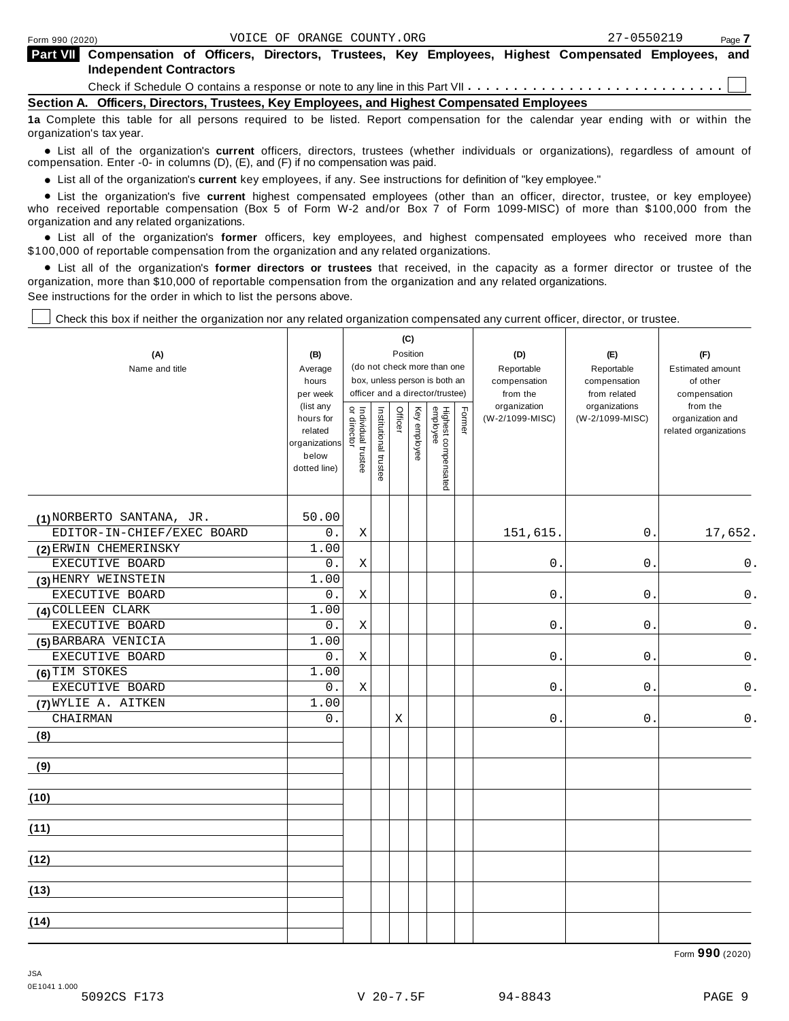**Part V** 

| <b>The Compensation of Officers, Directors, Trustees, Key Employees, Highest Compensated Employees, and</b> |  |  |  |  |  |
|-------------------------------------------------------------------------------------------------------------|--|--|--|--|--|
| <b>Independent Contractors</b>                                                                              |  |  |  |  |  |

Check if Schedule O contains a response or note to any line in this Part VII  $\dots \dots \dots \dots \dots \dots \dots \dots \dots \dots$ 

**Section A. Officers, Directors, Trustees, Key Employees, and Highest Compensated Employees**

**1a** Complete this table for all persons required to be listed. Report compensation for the calendar year ending with or within the organization's tax year.

anization's lax year.<br>● List all of the organization's **current** officers, directors, trustees (whether individuals or organizations), regardless of amount of<br>nnensation Enter -0- in columns (D) (E) and (E) if no compensa compensation. Enter -0- in columns (D), (E), and (F) if no compensation was paid.

• List all of the organization's current key employees, if any. See instructions for definition of "key employee."

■ List all of the organization's current key employees, if any. See instructions for definition of "key employee."<br>■ List the organization's five current highest compensated employees (other than an officer, director, tru who received reportable compensation (Box 5 of Form W-2 and/or Box 7 of Form 1099-MISC) of more than \$100,000 from the

organization and any related organizations.<br>• List all of the organization's **former** officers, key employees, and highest compensated employees who received more than<br>\$1.00.000 of reportable componention from the erganiza \$100,000 of reportable compensation from the organization and any related organizations.

% List all of the organization's **former directors or trustees** that received, in the capacity as a former director or trustee of the organization, more than \$10,000 of reportable compensation from the organization and any related organizations. See instructions for the order in which to list the persons above.

Check this box if neither the organization nor any related organization compensated any current officer, director, or trustee.

| (A)<br>Name and title      | (B)<br>Average<br>hours<br>per week<br>(list any<br>hours for<br>related | (C)<br>Position<br>(do not check more than one<br>box, unless person is both an<br>officer and a director/trustee)<br>Former<br>Officer<br>Key employee |                       |   |  |                                 | (D)<br>Reportable<br>compensation<br>from the<br>organization<br>(W-2/1099-MISC) | (E)<br>Reportable<br>compensation<br>from related<br>organizations<br>(W-2/1099-MISC) | (F)<br><b>Estimated amount</b><br>of other<br>compensation<br>from the<br>organization and<br>related organizations |
|----------------------------|--------------------------------------------------------------------------|---------------------------------------------------------------------------------------------------------------------------------------------------------|-----------------------|---|--|---------------------------------|----------------------------------------------------------------------------------|---------------------------------------------------------------------------------------|---------------------------------------------------------------------------------------------------------------------|
|                            | organizations<br>below<br>dotted line)                                   | Individual trustee<br>or director                                                                                                                       | Institutional trustee |   |  | Highest compensated<br>employee |                                                                                  |                                                                                       |                                                                                                                     |
| (1) NORBERTO SANTANA, JR.  | 50.00                                                                    |                                                                                                                                                         |                       |   |  |                                 |                                                                                  |                                                                                       |                                                                                                                     |
| EDITOR-IN-CHIEF/EXEC BOARD | 0.                                                                       | Χ                                                                                                                                                       |                       |   |  |                                 | 151,615.                                                                         | $0$ .                                                                                 | 17,652.                                                                                                             |
| (2) ERWIN CHEMERINSKY      | 1.00                                                                     |                                                                                                                                                         |                       |   |  |                                 |                                                                                  |                                                                                       |                                                                                                                     |
| EXECUTIVE BOARD            | 0.                                                                       | Χ                                                                                                                                                       |                       |   |  |                                 | $\boldsymbol{0}$                                                                 | 0                                                                                     | $\mathsf 0$ .                                                                                                       |
| (3) HENRY WEINSTEIN        | 1.00                                                                     |                                                                                                                                                         |                       |   |  |                                 |                                                                                  |                                                                                       |                                                                                                                     |
| EXECUTIVE BOARD            | 0.                                                                       | X                                                                                                                                                       |                       |   |  |                                 | 0                                                                                | 0                                                                                     | $0$ .                                                                                                               |
| (4) COLLEEN CLARK          | 1.00                                                                     |                                                                                                                                                         |                       |   |  |                                 |                                                                                  |                                                                                       |                                                                                                                     |
| EXECUTIVE BOARD            | 0.                                                                       | Χ                                                                                                                                                       |                       |   |  |                                 | $0$ .                                                                            | 0                                                                                     | $\mathsf 0$ .                                                                                                       |
| (5) BARBARA VENICIA        | 1.00                                                                     |                                                                                                                                                         |                       |   |  |                                 |                                                                                  |                                                                                       |                                                                                                                     |
| EXECUTIVE BOARD            | 0.                                                                       | X                                                                                                                                                       |                       |   |  |                                 | 0.                                                                               | $\mathbf{0}$ .                                                                        | $0$ .                                                                                                               |
| (6) TIM STOKES             | 1.00                                                                     |                                                                                                                                                         |                       |   |  |                                 |                                                                                  |                                                                                       |                                                                                                                     |
| EXECUTIVE BOARD            | 0.                                                                       | Χ                                                                                                                                                       |                       |   |  |                                 | 0                                                                                | $\mathbf 0$ .                                                                         | 0.                                                                                                                  |
| (7) WYLIE A. AITKEN        | 1.00                                                                     |                                                                                                                                                         |                       |   |  |                                 |                                                                                  |                                                                                       |                                                                                                                     |
| CHAIRMAN                   | 0.                                                                       |                                                                                                                                                         |                       | Χ |  |                                 | 0.                                                                               | 0                                                                                     | 0.                                                                                                                  |
| (8)                        |                                                                          |                                                                                                                                                         |                       |   |  |                                 |                                                                                  |                                                                                       |                                                                                                                     |
| (9)                        |                                                                          |                                                                                                                                                         |                       |   |  |                                 |                                                                                  |                                                                                       |                                                                                                                     |
| (10)                       |                                                                          |                                                                                                                                                         |                       |   |  |                                 |                                                                                  |                                                                                       |                                                                                                                     |
| (11)                       |                                                                          |                                                                                                                                                         |                       |   |  |                                 |                                                                                  |                                                                                       |                                                                                                                     |
| (12)                       |                                                                          |                                                                                                                                                         |                       |   |  |                                 |                                                                                  |                                                                                       |                                                                                                                     |
| (13)                       |                                                                          |                                                                                                                                                         |                       |   |  |                                 |                                                                                  |                                                                                       |                                                                                                                     |
| (14)                       |                                                                          |                                                                                                                                                         |                       |   |  |                                 |                                                                                  |                                                                                       |                                                                                                                     |

Form **990** (2020)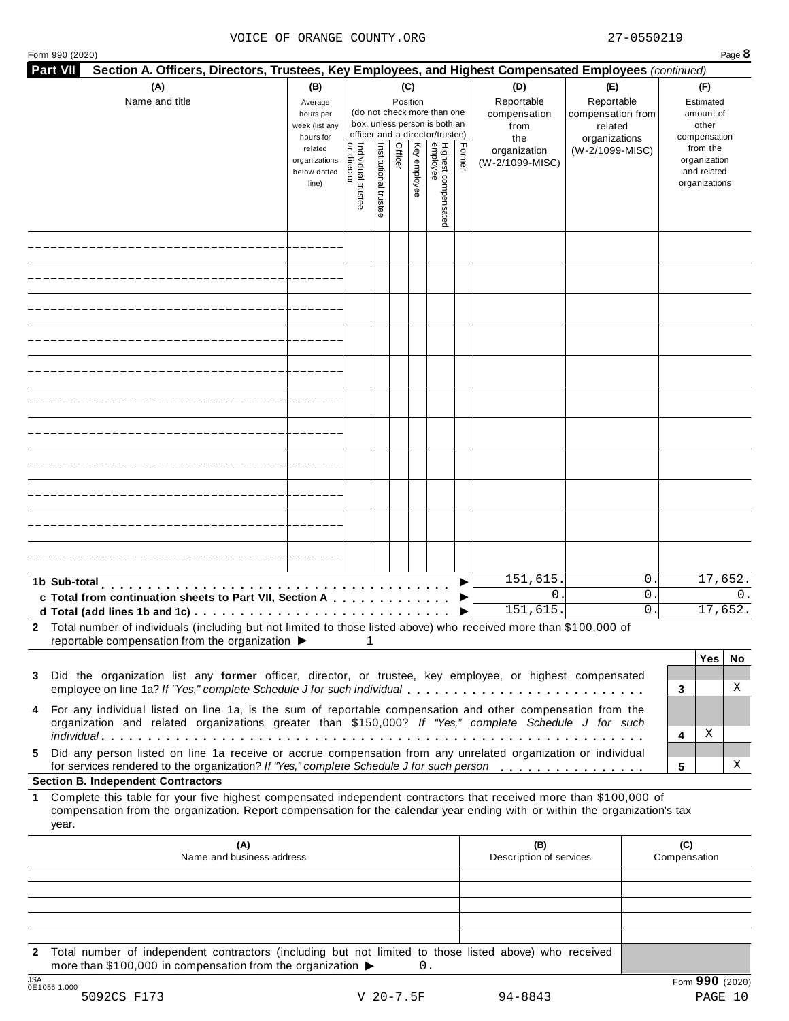#### VOICE OF ORANGE COUNTY.ORG 27-0550219

| (A)<br>(B)<br>(C)<br>(E)<br>(D)<br>(F)<br>Reportable<br>Reportable<br>Name and title<br>Position<br>Average<br>(do not check more than one<br>compensation<br>compensation from<br>hours per<br>box, unless person is both an<br>other<br>week (list any<br>related<br>from<br>officer and a director/trustee)<br>hours for<br>the<br>organizations<br>Individual trustee<br>or director<br>Highest compensated<br>employee<br>Institutional trustee<br>Key employee<br>Former<br>Officer<br>from the<br>related<br>(W-2/1099-MISC)<br>organization<br>organizations<br>(W-2/1099-MISC)<br>below dotted<br>line)<br>151,615.<br>0.<br>1b Sub-total<br>0.<br>0.<br>c Total from continuation sheets to Part VII, Section A<br>151,615.<br>0.<br>2 Total number of individuals (including but not limited to those listed above) who received more than \$100,000 of<br>reportable compensation from the organization ▶<br>1<br>Did the organization list any former officer, director, or trustee, key employee, or highest compensated<br>3<br>employee on line 1a? If "Yes," complete Schedule J for such individual<br>3<br>4 For any individual listed on line 1a, is the sum of reportable compensation and other compensation from the<br>organization and related organizations greater than \$150,000? If "Yes," complete Schedule J for such<br>Χ<br>4<br>Did any person listed on line 1a receive or accrue compensation from any unrelated organization or individual<br>5.<br>for services rendered to the organization? If "Yes," complete Schedule J for such person<br>5<br><b>Section B. Independent Contractors</b><br>Complete this table for your five highest compensated independent contractors that received more than \$100,000 of<br>$\mathbf 1$<br>compensation from the organization. Report compensation for the calendar year ending with or within the organization's tax<br>year.<br>(A)<br>(C)<br>(B)<br>Name and business address<br>Description of services<br>Compensation | <b>Part VII</b> | Section A. Officers, Directors, Trustees, Key Employees, and Highest Compensated Employees (continued) |  |  |  |  |  |  |                                              |
|--------------------------------------------------------------------------------------------------------------------------------------------------------------------------------------------------------------------------------------------------------------------------------------------------------------------------------------------------------------------------------------------------------------------------------------------------------------------------------------------------------------------------------------------------------------------------------------------------------------------------------------------------------------------------------------------------------------------------------------------------------------------------------------------------------------------------------------------------------------------------------------------------------------------------------------------------------------------------------------------------------------------------------------------------------------------------------------------------------------------------------------------------------------------------------------------------------------------------------------------------------------------------------------------------------------------------------------------------------------------------------------------------------------------------------------------------------------------------------------------------------------------------------------------------------------------------------------------------------------------------------------------------------------------------------------------------------------------------------------------------------------------------------------------------------------------------------------------------------------------------------------------------------------------------------------------------------------------------------------------------------------|-----------------|--------------------------------------------------------------------------------------------------------|--|--|--|--|--|--|----------------------------------------------|
|                                                                                                                                                                                                                                                                                                                                                                                                                                                                                                                                                                                                                                                                                                                                                                                                                                                                                                                                                                                                                                                                                                                                                                                                                                                                                                                                                                                                                                                                                                                                                                                                                                                                                                                                                                                                                                                                                                                                                                                                              |                 |                                                                                                        |  |  |  |  |  |  | Estimated<br>amount of<br>compensation       |
|                                                                                                                                                                                                                                                                                                                                                                                                                                                                                                                                                                                                                                                                                                                                                                                                                                                                                                                                                                                                                                                                                                                                                                                                                                                                                                                                                                                                                                                                                                                                                                                                                                                                                                                                                                                                                                                                                                                                                                                                              |                 |                                                                                                        |  |  |  |  |  |  | organization<br>and related<br>organizations |
|                                                                                                                                                                                                                                                                                                                                                                                                                                                                                                                                                                                                                                                                                                                                                                                                                                                                                                                                                                                                                                                                                                                                                                                                                                                                                                                                                                                                                                                                                                                                                                                                                                                                                                                                                                                                                                                                                                                                                                                                              |                 |                                                                                                        |  |  |  |  |  |  |                                              |
|                                                                                                                                                                                                                                                                                                                                                                                                                                                                                                                                                                                                                                                                                                                                                                                                                                                                                                                                                                                                                                                                                                                                                                                                                                                                                                                                                                                                                                                                                                                                                                                                                                                                                                                                                                                                                                                                                                                                                                                                              |                 |                                                                                                        |  |  |  |  |  |  |                                              |
|                                                                                                                                                                                                                                                                                                                                                                                                                                                                                                                                                                                                                                                                                                                                                                                                                                                                                                                                                                                                                                                                                                                                                                                                                                                                                                                                                                                                                                                                                                                                                                                                                                                                                                                                                                                                                                                                                                                                                                                                              |                 |                                                                                                        |  |  |  |  |  |  |                                              |
|                                                                                                                                                                                                                                                                                                                                                                                                                                                                                                                                                                                                                                                                                                                                                                                                                                                                                                                                                                                                                                                                                                                                                                                                                                                                                                                                                                                                                                                                                                                                                                                                                                                                                                                                                                                                                                                                                                                                                                                                              |                 |                                                                                                        |  |  |  |  |  |  |                                              |
|                                                                                                                                                                                                                                                                                                                                                                                                                                                                                                                                                                                                                                                                                                                                                                                                                                                                                                                                                                                                                                                                                                                                                                                                                                                                                                                                                                                                                                                                                                                                                                                                                                                                                                                                                                                                                                                                                                                                                                                                              |                 |                                                                                                        |  |  |  |  |  |  |                                              |
|                                                                                                                                                                                                                                                                                                                                                                                                                                                                                                                                                                                                                                                                                                                                                                                                                                                                                                                                                                                                                                                                                                                                                                                                                                                                                                                                                                                                                                                                                                                                                                                                                                                                                                                                                                                                                                                                                                                                                                                                              |                 |                                                                                                        |  |  |  |  |  |  |                                              |
|                                                                                                                                                                                                                                                                                                                                                                                                                                                                                                                                                                                                                                                                                                                                                                                                                                                                                                                                                                                                                                                                                                                                                                                                                                                                                                                                                                                                                                                                                                                                                                                                                                                                                                                                                                                                                                                                                                                                                                                                              |                 |                                                                                                        |  |  |  |  |  |  |                                              |
|                                                                                                                                                                                                                                                                                                                                                                                                                                                                                                                                                                                                                                                                                                                                                                                                                                                                                                                                                                                                                                                                                                                                                                                                                                                                                                                                                                                                                                                                                                                                                                                                                                                                                                                                                                                                                                                                                                                                                                                                              |                 |                                                                                                        |  |  |  |  |  |  |                                              |
|                                                                                                                                                                                                                                                                                                                                                                                                                                                                                                                                                                                                                                                                                                                                                                                                                                                                                                                                                                                                                                                                                                                                                                                                                                                                                                                                                                                                                                                                                                                                                                                                                                                                                                                                                                                                                                                                                                                                                                                                              |                 |                                                                                                        |  |  |  |  |  |  |                                              |
|                                                                                                                                                                                                                                                                                                                                                                                                                                                                                                                                                                                                                                                                                                                                                                                                                                                                                                                                                                                                                                                                                                                                                                                                                                                                                                                                                                                                                                                                                                                                                                                                                                                                                                                                                                                                                                                                                                                                                                                                              |                 |                                                                                                        |  |  |  |  |  |  |                                              |
|                                                                                                                                                                                                                                                                                                                                                                                                                                                                                                                                                                                                                                                                                                                                                                                                                                                                                                                                                                                                                                                                                                                                                                                                                                                                                                                                                                                                                                                                                                                                                                                                                                                                                                                                                                                                                                                                                                                                                                                                              |                 |                                                                                                        |  |  |  |  |  |  |                                              |
|                                                                                                                                                                                                                                                                                                                                                                                                                                                                                                                                                                                                                                                                                                                                                                                                                                                                                                                                                                                                                                                                                                                                                                                                                                                                                                                                                                                                                                                                                                                                                                                                                                                                                                                                                                                                                                                                                                                                                                                                              |                 |                                                                                                        |  |  |  |  |  |  | 17,652.<br>$\Omega$ .<br>17,652.             |
|                                                                                                                                                                                                                                                                                                                                                                                                                                                                                                                                                                                                                                                                                                                                                                                                                                                                                                                                                                                                                                                                                                                                                                                                                                                                                                                                                                                                                                                                                                                                                                                                                                                                                                                                                                                                                                                                                                                                                                                                              |                 |                                                                                                        |  |  |  |  |  |  |                                              |
|                                                                                                                                                                                                                                                                                                                                                                                                                                                                                                                                                                                                                                                                                                                                                                                                                                                                                                                                                                                                                                                                                                                                                                                                                                                                                                                                                                                                                                                                                                                                                                                                                                                                                                                                                                                                                                                                                                                                                                                                              |                 |                                                                                                        |  |  |  |  |  |  | Yes<br>No<br>Χ                               |
|                                                                                                                                                                                                                                                                                                                                                                                                                                                                                                                                                                                                                                                                                                                                                                                                                                                                                                                                                                                                                                                                                                                                                                                                                                                                                                                                                                                                                                                                                                                                                                                                                                                                                                                                                                                                                                                                                                                                                                                                              |                 |                                                                                                        |  |  |  |  |  |  |                                              |
|                                                                                                                                                                                                                                                                                                                                                                                                                                                                                                                                                                                                                                                                                                                                                                                                                                                                                                                                                                                                                                                                                                                                                                                                                                                                                                                                                                                                                                                                                                                                                                                                                                                                                                                                                                                                                                                                                                                                                                                                              |                 |                                                                                                        |  |  |  |  |  |  | х                                            |
|                                                                                                                                                                                                                                                                                                                                                                                                                                                                                                                                                                                                                                                                                                                                                                                                                                                                                                                                                                                                                                                                                                                                                                                                                                                                                                                                                                                                                                                                                                                                                                                                                                                                                                                                                                                                                                                                                                                                                                                                              |                 |                                                                                                        |  |  |  |  |  |  |                                              |
|                                                                                                                                                                                                                                                                                                                                                                                                                                                                                                                                                                                                                                                                                                                                                                                                                                                                                                                                                                                                                                                                                                                                                                                                                                                                                                                                                                                                                                                                                                                                                                                                                                                                                                                                                                                                                                                                                                                                                                                                              |                 |                                                                                                        |  |  |  |  |  |  |                                              |
|                                                                                                                                                                                                                                                                                                                                                                                                                                                                                                                                                                                                                                                                                                                                                                                                                                                                                                                                                                                                                                                                                                                                                                                                                                                                                                                                                                                                                                                                                                                                                                                                                                                                                                                                                                                                                                                                                                                                                                                                              |                 |                                                                                                        |  |  |  |  |  |  |                                              |
|                                                                                                                                                                                                                                                                                                                                                                                                                                                                                                                                                                                                                                                                                                                                                                                                                                                                                                                                                                                                                                                                                                                                                                                                                                                                                                                                                                                                                                                                                                                                                                                                                                                                                                                                                                                                                                                                                                                                                                                                              |                 |                                                                                                        |  |  |  |  |  |  |                                              |
|                                                                                                                                                                                                                                                                                                                                                                                                                                                                                                                                                                                                                                                                                                                                                                                                                                                                                                                                                                                                                                                                                                                                                                                                                                                                                                                                                                                                                                                                                                                                                                                                                                                                                                                                                                                                                                                                                                                                                                                                              |                 |                                                                                                        |  |  |  |  |  |  |                                              |

**2** Total number of independent contractors (including but not limited to those listed above) who received more than \$100,000 in compensation from the organization  $\triangleright$  0.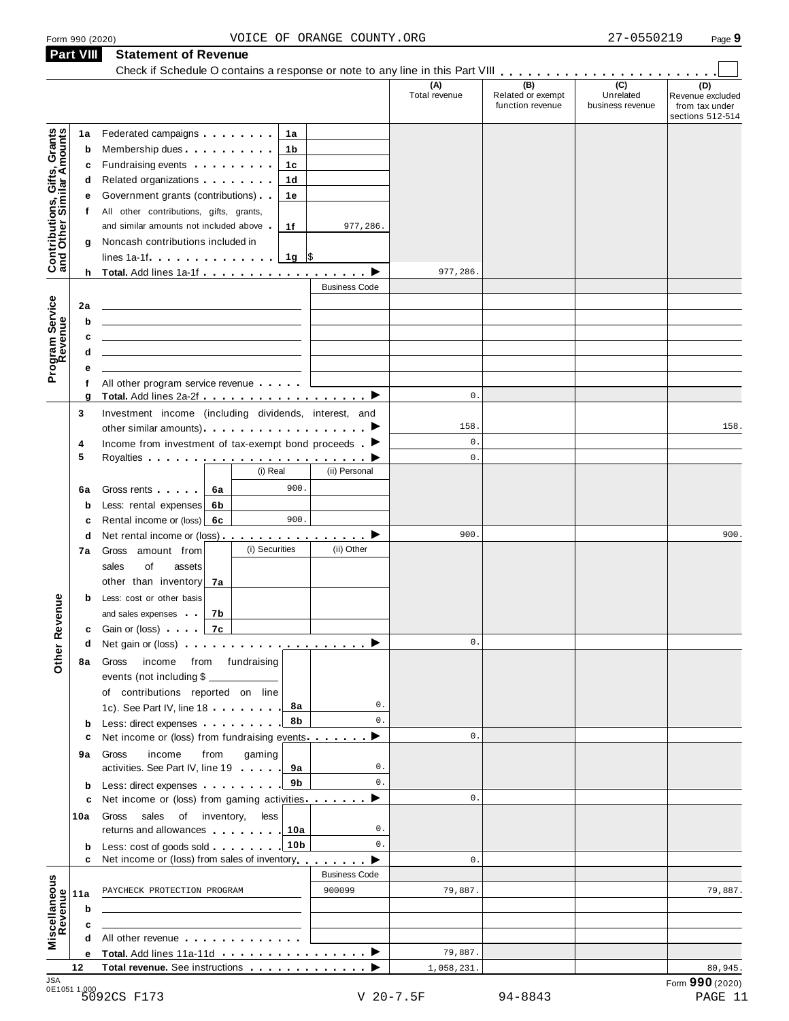|                                                                |                                                                                                                                                                                                                                               | (A)<br>Total revenue | (B)<br>Related or exempt<br>function revenue | (C)<br>Unrelated<br>business revenue | (D)<br>Revenue excluded<br>from tax under<br>sections 512-514 |
|----------------------------------------------------------------|-----------------------------------------------------------------------------------------------------------------------------------------------------------------------------------------------------------------------------------------------|----------------------|----------------------------------------------|--------------------------------------|---------------------------------------------------------------|
| 1a                                                             | Federated campaigns <b>Example 20</b><br>1а                                                                                                                                                                                                   |                      |                                              |                                      |                                                               |
| Contributions, Gifts, Grants<br>and Other Similar Amounts<br>b | Membership dues<br>1b                                                                                                                                                                                                                         |                      |                                              |                                      |                                                               |
| с                                                              | Fundraising events <b>Exercises</b><br>1с                                                                                                                                                                                                     |                      |                                              |                                      |                                                               |
| d                                                              | Related organizations <b>and the set of the set of the set of the set of the set of the set of the set of the set of the set of the set of the set of the set of the set of the set of the set of the set of the set of the set </b><br>1d    |                      |                                              |                                      |                                                               |
| е                                                              | Government grants (contributions)<br>1е                                                                                                                                                                                                       |                      |                                              |                                      |                                                               |
| Ť.                                                             | All other contributions, gifts, grants,                                                                                                                                                                                                       |                      |                                              |                                      |                                                               |
|                                                                | and similar amounts not included above<br>1f<br>977,286.                                                                                                                                                                                      |                      |                                              |                                      |                                                               |
| g                                                              | Noncash contributions included in                                                                                                                                                                                                             |                      |                                              |                                      |                                                               |
|                                                                | 1g $\sqrt{3}$<br>lines 1a-1f                                                                                                                                                                                                                  |                      |                                              |                                      |                                                               |
|                                                                |                                                                                                                                                                                                                                               | 977,286              |                                              |                                      |                                                               |
|                                                                | <b>Business Code</b>                                                                                                                                                                                                                          |                      |                                              |                                      |                                                               |
| 2a                                                             |                                                                                                                                                                                                                                               |                      |                                              |                                      |                                                               |
| Program Service<br>Revenue<br>b                                |                                                                                                                                                                                                                                               |                      |                                              |                                      |                                                               |
| c                                                              |                                                                                                                                                                                                                                               |                      |                                              |                                      |                                                               |
| d                                                              |                                                                                                                                                                                                                                               |                      |                                              |                                      |                                                               |
|                                                                |                                                                                                                                                                                                                                               |                      |                                              |                                      |                                                               |
| f                                                              | All other program service revenue                                                                                                                                                                                                             |                      |                                              |                                      |                                                               |
| g                                                              |                                                                                                                                                                                                                                               | $0$ .                |                                              |                                      |                                                               |
| 3                                                              | Investment income (including dividends, interest, and                                                                                                                                                                                         |                      |                                              |                                      |                                                               |
|                                                                | other similar amounts) ▶                                                                                                                                                                                                                      | 158.                 |                                              |                                      | 158.                                                          |
| 4                                                              | Income from investment of tax-exempt bond proceeds $\blacksquare$                                                                                                                                                                             | 0.                   |                                              |                                      |                                                               |
| 5                                                              |                                                                                                                                                                                                                                               | 0.                   |                                              |                                      |                                                               |
|                                                                | (i) Real<br>(ii) Personal                                                                                                                                                                                                                     |                      |                                              |                                      |                                                               |
| 6a                                                             | 900.<br>Gross rents   6a                                                                                                                                                                                                                      |                      |                                              |                                      |                                                               |
| b                                                              | Less: rental expenses<br>6b                                                                                                                                                                                                                   |                      |                                              |                                      |                                                               |
| c                                                              | 900.<br>Rental income or (loss) 6c                                                                                                                                                                                                            |                      |                                              |                                      |                                                               |
| d                                                              | Net rental income or (loss) $\cdots$ $\cdots$ $\cdots$ $\cdots$                                                                                                                                                                               | 900.                 |                                              |                                      | 900.                                                          |
| 7a                                                             | (i) Securities<br>(ii) Other<br>Gross amount from                                                                                                                                                                                             |                      |                                              |                                      |                                                               |
|                                                                | sales<br>of<br>assets                                                                                                                                                                                                                         |                      |                                              |                                      |                                                               |
|                                                                | other than inventory<br>7а                                                                                                                                                                                                                    |                      |                                              |                                      |                                                               |
| b                                                              | Less: cost or other basis                                                                                                                                                                                                                     |                      |                                              |                                      |                                                               |
|                                                                | and sales expenses<br>7b                                                                                                                                                                                                                      |                      |                                              |                                      |                                                               |
|                                                                | 7c<br><b>c</b> Gain or (loss)                                                                                                                                                                                                                 |                      |                                              |                                      |                                                               |
| d                                                              | Net gain or (loss) $\cdots$ $\cdots$ $\cdots$ $\cdots$ $\cdots$ $\cdots$ $\cdots$                                                                                                                                                             | $0$ .                |                                              |                                      |                                                               |
| 8а                                                             | income from fundraising<br>Gross                                                                                                                                                                                                              |                      |                                              |                                      |                                                               |
|                                                                | events (not including \$                                                                                                                                                                                                                      |                      |                                              |                                      |                                                               |
|                                                                | of contributions reported on line                                                                                                                                                                                                             |                      |                                              |                                      |                                                               |
|                                                                | 0.<br>8а<br>1c). See Part IV, line 18                                                                                                                                                                                                         |                      |                                              |                                      |                                                               |
| $\mathbf b$                                                    | $0$ .<br>8b<br>Less: direct expenses extending the state of the state of the state of the state of the state of the state of the state of the state of the state of the state of the state of the state of the state of the state of the stat |                      |                                              |                                      |                                                               |
| с                                                              | Net income or (loss) from fundraising events.<br>▸                                                                                                                                                                                            | $0$ .                |                                              |                                      |                                                               |
| 9а                                                             | gaming<br>income<br>from<br>Gross                                                                                                                                                                                                             |                      |                                              |                                      |                                                               |
|                                                                | activities. See Part IV, line 19<br>0.<br>9а                                                                                                                                                                                                  |                      |                                              |                                      |                                                               |
| b                                                              | $0$ .<br>9b<br>Less: direct expenses                                                                                                                                                                                                          |                      |                                              |                                      |                                                               |
| c                                                              | Net income or (loss) from gaming activities<br>▸                                                                                                                                                                                              | 0.                   |                                              |                                      |                                                               |
| 10a                                                            | Gross sales<br>of inventory,<br>less                                                                                                                                                                                                          |                      |                                              |                                      |                                                               |
|                                                                | returns and allowances 10a<br>0.                                                                                                                                                                                                              |                      |                                              |                                      |                                                               |
| b                                                              | $0$ .<br>10 <sub>b</sub><br>Less: cost of goods sold                                                                                                                                                                                          |                      |                                              |                                      |                                                               |
| c                                                              | Net income or (loss) from sales of inventory<br>▸                                                                                                                                                                                             | $\mathbf{0}$ .       |                                              |                                      |                                                               |
|                                                                | <b>Business Code</b>                                                                                                                                                                                                                          |                      |                                              |                                      |                                                               |
| Miscellaneous<br>Revenue<br>11a                                | 900099<br>PAYCHECK PROTECTION PROGRAM                                                                                                                                                                                                         | 79,887.              |                                              |                                      | 79,887.                                                       |
| b                                                              |                                                                                                                                                                                                                                               |                      |                                              |                                      |                                                               |
| c                                                              |                                                                                                                                                                                                                                               |                      |                                              |                                      |                                                               |
|                                                                | All other revenue                                                                                                                                                                                                                             |                      |                                              |                                      |                                                               |
| е                                                              |                                                                                                                                                                                                                                               | 79,887.              |                                              |                                      |                                                               |
| 12                                                             | Total revenue. See instructions                                                                                                                                                                                                               | 1,058,231.           |                                              |                                      | 80,945.<br>Form 990 (2020)                                    |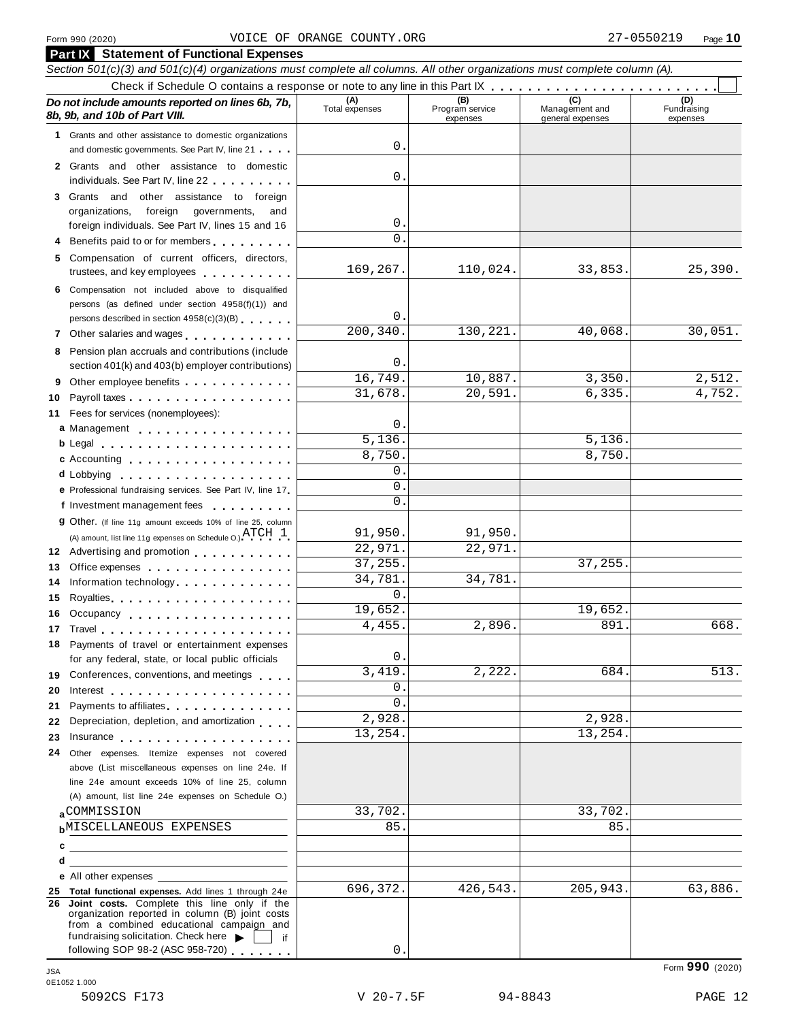|    | <b>Part IX</b> Statement of Functional Expenses<br>Section 501(c)(3) and 501(c)(4) organizations must complete all columns. All other organizations must complete column (A).                                                        |                       |                                    |                                    |                                |  |  |  |  |  |  |
|----|--------------------------------------------------------------------------------------------------------------------------------------------------------------------------------------------------------------------------------------|-----------------------|------------------------------------|------------------------------------|--------------------------------|--|--|--|--|--|--|
|    |                                                                                                                                                                                                                                      |                       |                                    |                                    |                                |  |  |  |  |  |  |
|    | Do not include amounts reported on lines 6b, 7b,<br>8b, 9b, and 10b of Part VIII.                                                                                                                                                    | (A)<br>Total expenses | (B)<br>Program service<br>expenses | Management and<br>general expenses | (D)<br>Fundraising<br>expenses |  |  |  |  |  |  |
|    | 1 Grants and other assistance to domestic organizations                                                                                                                                                                              |                       |                                    |                                    |                                |  |  |  |  |  |  |
|    | and domestic governments. See Part IV, line 21                                                                                                                                                                                       | 0                     |                                    |                                    |                                |  |  |  |  |  |  |
|    | 2 Grants and other assistance to domestic                                                                                                                                                                                            | $0$ .                 |                                    |                                    |                                |  |  |  |  |  |  |
|    | individuals. See Part IV, line 22                                                                                                                                                                                                    |                       |                                    |                                    |                                |  |  |  |  |  |  |
|    | 3 Grants and other assistance to foreign                                                                                                                                                                                             |                       |                                    |                                    |                                |  |  |  |  |  |  |
|    | foreign governments,<br>organizations,<br>and<br>foreign individuals. See Part IV, lines 15 and 16                                                                                                                                   | $0$ .                 |                                    |                                    |                                |  |  |  |  |  |  |
|    | Benefits paid to or for members                                                                                                                                                                                                      | $\Omega$ .            |                                    |                                    |                                |  |  |  |  |  |  |
| 5  | Compensation of current officers, directors,                                                                                                                                                                                         |                       |                                    |                                    |                                |  |  |  |  |  |  |
|    | trustees, and key employees expressed and the state of                                                                                                                                                                               | 169,267.              | 110,024.                           | 33,853.                            | 25,390.                        |  |  |  |  |  |  |
| 6  | Compensation not included above to disqualified                                                                                                                                                                                      |                       |                                    |                                    |                                |  |  |  |  |  |  |
|    | persons (as defined under section 4958(f)(1)) and                                                                                                                                                                                    |                       |                                    |                                    |                                |  |  |  |  |  |  |
|    | persons described in section 4958(c)(3)(B)                                                                                                                                                                                           | 0.                    |                                    |                                    |                                |  |  |  |  |  |  |
|    | 7 Other salaries and wages                                                                                                                                                                                                           | 200, 340.             | 130, 221.                          | 40,068                             | 30,051.                        |  |  |  |  |  |  |
| 8  | Pension plan accruals and contributions (include                                                                                                                                                                                     |                       |                                    |                                    |                                |  |  |  |  |  |  |
|    | section 401(k) and 403(b) employer contributions)                                                                                                                                                                                    | 0.<br>16,749.         | 10,887.                            | 3,350.                             | 2,512.                         |  |  |  |  |  |  |
| 9  | Other employee benefits                                                                                                                                                                                                              | 31,678.               | 20, 591.                           | 6,335                              | 4,752.                         |  |  |  |  |  |  |
| 10 | Payroll taxes                                                                                                                                                                                                                        |                       |                                    |                                    |                                |  |  |  |  |  |  |
| 11 | Fees for services (nonemployees):                                                                                                                                                                                                    | 0.                    |                                    |                                    |                                |  |  |  |  |  |  |
|    | a Management                                                                                                                                                                                                                         | 5,136.                |                                    | 5,136.                             |                                |  |  |  |  |  |  |
|    | b Legal entering the service of the service of the service of the service of the service of the service of the<br>c Accounting                                                                                                       | 8,750.                |                                    | 8,750                              |                                |  |  |  |  |  |  |
|    | d Lobbying experience and the set of the set of the set of the set of the set of the set of the set of the set                                                                                                                       | $\mathbf 0$ .         |                                    |                                    |                                |  |  |  |  |  |  |
|    | e Professional fundraising services. See Part IV, line 17                                                                                                                                                                            | 0                     |                                    |                                    |                                |  |  |  |  |  |  |
|    | f Investment management fees                                                                                                                                                                                                         | $\Omega$ .            |                                    |                                    |                                |  |  |  |  |  |  |
|    | 9 Other. (If line 11g amount exceeds 10% of line 25, column                                                                                                                                                                          |                       |                                    |                                    |                                |  |  |  |  |  |  |
|    | (A) amount, list line 11g expenses on Schedule O.) $\text{ATCH} \quad 1$ .                                                                                                                                                           | 91,950.               | 91,950.                            |                                    |                                |  |  |  |  |  |  |
|    | 12 Advertising and promotion                                                                                                                                                                                                         | 22,971.               | 22,971.                            |                                    |                                |  |  |  |  |  |  |
| 13 | Office expenses example and the set of the set of the set of the set of the set of the set of the set of the set of the set of the set of the set of the set of the set of the set of the set of the set of the set of the set       | 37, 255.              |                                    | 37,255.                            |                                |  |  |  |  |  |  |
| 14 | Information technology                                                                                                                                                                                                               | 34,781.               | 34,781.                            |                                    |                                |  |  |  |  |  |  |
| 15 | Royalties                                                                                                                                                                                                                            | $\Omega$ .<br>19,652. |                                    |                                    |                                |  |  |  |  |  |  |
| 16 | Occupancy                                                                                                                                                                                                                            | 4,455.                | 2,896.                             | 19,652.<br>891                     | 668.                           |  |  |  |  |  |  |
|    |                                                                                                                                                                                                                                      |                       |                                    |                                    |                                |  |  |  |  |  |  |
| 18 | Payments of travel or entertainment expenses<br>for any federal, state, or local public officials                                                                                                                                    | 0.                    |                                    |                                    |                                |  |  |  |  |  |  |
|    | 19 Conferences, conventions, and meetings                                                                                                                                                                                            | 3,419.                | 2,222.                             | 684.                               | 513.                           |  |  |  |  |  |  |
| 20 |                                                                                                                                                                                                                                      | 0.                    |                                    |                                    |                                |  |  |  |  |  |  |
| 21 | Payments to affiliates experience and the set of the set of the set of the set of the set of the set of the set of the set of the set of the set of the set of the set of the set of the set of the set of the set of the set        | $\Omega$ .            |                                    |                                    |                                |  |  |  |  |  |  |
| 22 | Depreciation, depletion, and amortization                                                                                                                                                                                            | 2,928.                |                                    | 2,928.                             |                                |  |  |  |  |  |  |
| 23 | Insurance <b>All According to the Contract of the Contract of the Contract of the Contract of the Contract of the Contract of the Contract of the Contract of the Contract of the Contract of the Contract of the Contract of th</b> | 13,254.               |                                    | 13,254.                            |                                |  |  |  |  |  |  |
| 24 | Other expenses. Itemize expenses not covered                                                                                                                                                                                         |                       |                                    |                                    |                                |  |  |  |  |  |  |
|    | above (List miscellaneous expenses on line 24e. If                                                                                                                                                                                   |                       |                                    |                                    |                                |  |  |  |  |  |  |
|    | line 24e amount exceeds 10% of line 25, column                                                                                                                                                                                       |                       |                                    |                                    |                                |  |  |  |  |  |  |
|    | (A) amount, list line 24e expenses on Schedule O.)                                                                                                                                                                                   |                       |                                    |                                    |                                |  |  |  |  |  |  |
|    | aCOMMISSION                                                                                                                                                                                                                          | 33,702.               |                                    | 33,702.                            |                                |  |  |  |  |  |  |
|    | <b>b</b> MISCELLANEOUS EXPENSES                                                                                                                                                                                                      | 85.                   |                                    | 85                                 |                                |  |  |  |  |  |  |
|    | $\mathbf{c}$                                                                                                                                                                                                                         |                       |                                    |                                    |                                |  |  |  |  |  |  |
| d  |                                                                                                                                                                                                                                      |                       |                                    |                                    |                                |  |  |  |  |  |  |
|    | e All other expenses                                                                                                                                                                                                                 | 696,372.              | 426,543.                           | 205,943.                           | 63,886.                        |  |  |  |  |  |  |
|    | 25 Total functional expenses. Add lines 1 through 24e<br>26 Joint costs. Complete this line only if the                                                                                                                              |                       |                                    |                                    |                                |  |  |  |  |  |  |
|    | organization reported in column (B) joint costs<br>from a combined educational campaign and<br>fundraising solicitation. Check here $\blacktriangleright$<br>if                                                                      |                       |                                    |                                    |                                |  |  |  |  |  |  |
|    | following SOP 98-2 (ASC 958-720)                                                                                                                                                                                                     | 0                     |                                    |                                    |                                |  |  |  |  |  |  |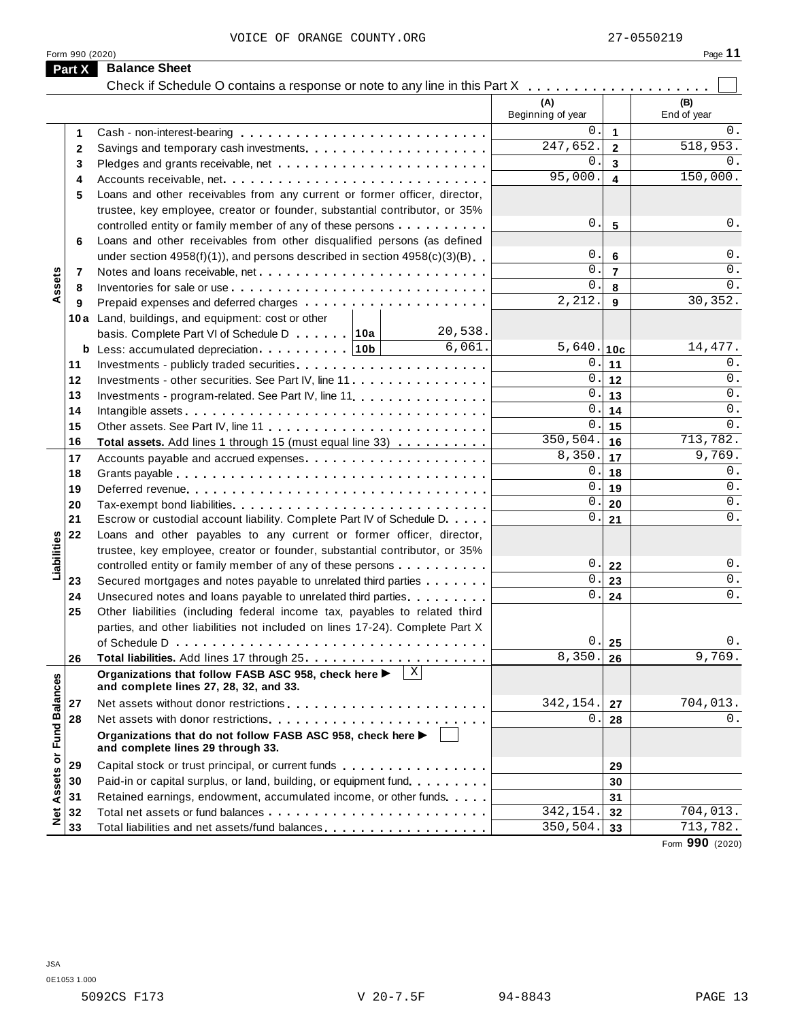|                             |                 | VOICE OF ORANGE COUNTY.ORG                                                                           |                          |                | 27-0550219         |
|-----------------------------|-----------------|------------------------------------------------------------------------------------------------------|--------------------------|----------------|--------------------|
|                             | Form 990 (2020) |                                                                                                      |                          |                | Page 11            |
|                             | Part X          | <b>Balance Sheet</b>                                                                                 |                          |                |                    |
|                             |                 |                                                                                                      |                          |                |                    |
|                             |                 |                                                                                                      | (A)<br>Beginning of year |                | (B)<br>End of year |
|                             | 1               |                                                                                                      | 0.                       | $\mathbf 1$    | 0.                 |
|                             | 2               |                                                                                                      | 247,652.                 | $\mathbf{2}$   | 518,953.           |
|                             | 3               |                                                                                                      | 0.                       | 3              | 0.                 |
|                             | 4               |                                                                                                      | 95,000.                  | 4              | 150,000.           |
|                             | 5               | Loans and other receivables from any current or former officer, director,                            |                          |                |                    |
|                             |                 | trustee, key employee, creator or founder, substantial contributor, or 35%                           |                          |                |                    |
|                             |                 | controlled entity or family member of any of these persons                                           | 0.                       | 5              | 0.                 |
|                             | 6               | Loans and other receivables from other disqualified persons (as defined                              |                          |                |                    |
|                             |                 | under section $4958(f)(1)$ , and persons described in section $4958(c)(3)(B)$                        | 0.                       | 6              | 0.                 |
|                             | 7               |                                                                                                      | 0.                       | $\overline{7}$ | 0.                 |
| Assets                      | 8               |                                                                                                      | 0.                       | 8              | $0$ .              |
|                             | 9               |                                                                                                      | 2,212.                   | 9              | 30,352.            |
|                             |                 | 10a Land, buildings, and equipment: cost or other                                                    |                          |                |                    |
|                             |                 | 20,538.<br>basis. Complete Part VI of Schedule D 10a                                                 |                          |                |                    |
|                             |                 | 6,061.                                                                                               | $5,640.$ 10c             |                | 14, 477.           |
|                             | 11              |                                                                                                      | 0.                       | 11             | 0.<br>0.           |
|                             | 12              | Investments - other securities. See Part IV, line 11                                                 | 0.<br>0.                 | 12             | $0$ .              |
|                             | 13              | Investments - program-related. See Part IV, line 11.                                                 |                          | 13             | $0$ .              |
|                             | 14              |                                                                                                      | 0.<br>0.                 | 14             | $0$ .              |
|                             | 15              |                                                                                                      | 350,504.                 | 15             | 713,782.           |
|                             | 16              | Total assets. Add lines 1 through 15 (must equal line 33)                                            | 8,350.                   | 16             | 9,769.             |
|                             | 17              |                                                                                                      | 0.                       | 17             | 0.                 |
|                             | 18              |                                                                                                      | 0.                       | 18<br>19       | 0.                 |
|                             | 19              |                                                                                                      | 0.                       | 20             | 0.                 |
|                             | 20<br>21        | Escrow or custodial account liability. Complete Part IV of Schedule D.                               | 0.                       | 21             | 0.                 |
|                             | 22              | Loans and other payables to any current or former officer, director,                                 |                          |                |                    |
| Liabilities                 |                 | trustee, key employee, creator or founder, substantial contributor, or 35%                           |                          |                |                    |
|                             |                 | controlled entity or family member of any of these persons                                           | 0.                       | 22             | 0.                 |
|                             | 23              | Secured mortgages and notes payable to unrelated third parties                                       | 0.                       | 23             | $0$ .              |
|                             | 24              | Unsecured notes and loans payable to unrelated third parties.                                        | 0.                       | 24             | $\overline{0}$ .   |
|                             | 25              | Other liabilities (including federal income tax, payables to related third                           |                          |                |                    |
|                             |                 | parties, and other liabilities not included on lines 17-24). Complete Part X                         |                          |                |                    |
|                             |                 |                                                                                                      | 0.                       | 25             | 0.                 |
|                             | 26              |                                                                                                      | 8,350.                   | 26             | 9,769.             |
|                             |                 | X <br>Organizations that follow FASB ASC 958, check here ▶<br>and complete lines 27, 28, 32, and 33. |                          |                |                    |
|                             | 27              |                                                                                                      | 342,154.                 | 27             | 704,013.           |
|                             | 28              |                                                                                                      | 0.                       | 28             | 0.                 |
| Net Assets or Fund Balances |                 | Organizations that do not follow FASB ASC 958, check here ▶<br>and complete lines 29 through 33.     |                          |                |                    |
|                             | 29              | Capital stock or trust principal, or current funds                                                   |                          | 29             |                    |
|                             | 30              | Paid-in or capital surplus, or land, building, or equipment fund                                     |                          | 30             |                    |
|                             | 31              | Retained earnings, endowment, accumulated income, or other funds                                     |                          | 31             |                    |
|                             | 32              |                                                                                                      | 342,154.                 | 32             | 704,013.           |
|                             | 33              | Total liabilities and net assets/fund balances                                                       | 350,504.                 | 33             | 713,782.           |
|                             |                 |                                                                                                      |                          |                | Form 990 (2020)    |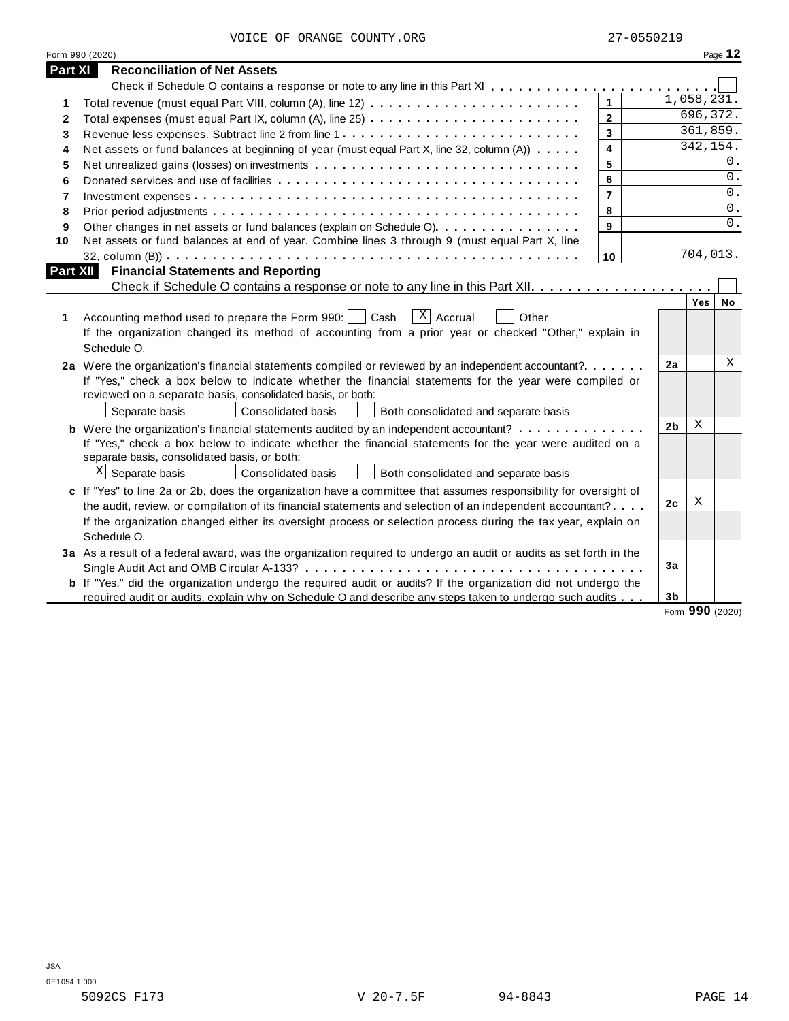| VOICE OF ORANGE COUNTY.ORG |  |  |  |  |  |
|----------------------------|--|--|--|--|--|
|----------------------------|--|--|--|--|--|

|              | Form 990 (2020)                                                                                                                                                                                                                                                                                                                                                   |                |                |            | Page 12 |
|--------------|-------------------------------------------------------------------------------------------------------------------------------------------------------------------------------------------------------------------------------------------------------------------------------------------------------------------------------------------------------------------|----------------|----------------|------------|---------|
| Part XI      | <b>Reconciliation of Net Assets</b>                                                                                                                                                                                                                                                                                                                               |                |                |            |         |
|              |                                                                                                                                                                                                                                                                                                                                                                   |                |                |            |         |
| 1            |                                                                                                                                                                                                                                                                                                                                                                   | $\overline{1}$ |                | 1,058,231. |         |
| $\mathbf{2}$ |                                                                                                                                                                                                                                                                                                                                                                   | $\overline{2}$ |                | 696, 372.  |         |
| 3            |                                                                                                                                                                                                                                                                                                                                                                   | $\overline{3}$ |                | 361,859.   |         |
| 4            | Net assets or fund balances at beginning of year (must equal Part X, line 32, column (A))                                                                                                                                                                                                                                                                         | 4              |                | 342, 154.  |         |
| 5            |                                                                                                                                                                                                                                                                                                                                                                   | 5              |                |            | 0.      |
| 6            |                                                                                                                                                                                                                                                                                                                                                                   | 6              |                |            | 0.      |
| 7            |                                                                                                                                                                                                                                                                                                                                                                   | $\overline{7}$ |                |            | 0.      |
| 8            |                                                                                                                                                                                                                                                                                                                                                                   | 8              |                |            | 0.      |
| 9            | Other changes in net assets or fund balances (explain on Schedule O).                                                                                                                                                                                                                                                                                             | 9              |                |            | 0.      |
| 10           | Net assets or fund balances at end of year. Combine lines 3 through 9 (must equal Part X, line                                                                                                                                                                                                                                                                    |                |                |            |         |
|              |                                                                                                                                                                                                                                                                                                                                                                   | 10             |                | 704,013.   |         |
| Part XII     | <b>Financial Statements and Reporting</b>                                                                                                                                                                                                                                                                                                                         |                |                |            |         |
|              |                                                                                                                                                                                                                                                                                                                                                                   |                |                |            |         |
| 1            | $\overline{X}$ Accrual<br>Accounting method used to prepare the Form 990:<br>Cash<br>Other<br>If the organization changed its method of accounting from a prior year or checked "Other," explain in<br>Schedule O.                                                                                                                                                |                |                | Yes        | No      |
|              | 2a Were the organization's financial statements compiled or reviewed by an independent accountant?<br>If "Yes," check a box below to indicate whether the financial statements for the year were compiled or<br>reviewed on a separate basis, consolidated basis, or both:<br>Separate basis<br><b>Consolidated basis</b><br>Both consolidated and separate basis |                | 2a             |            | Χ       |
|              | <b>b</b> Were the organization's financial statements audited by an independent accountant?                                                                                                                                                                                                                                                                       |                | 2b             | X          |         |
|              | If "Yes," check a box below to indicate whether the financial statements for the year were audited on a<br>separate basis, consolidated basis, or both:<br>$\mathbf{x}$<br>Separate basis<br>Consolidated basis<br>Both consolidated and separate basis                                                                                                           |                |                |            |         |
|              | c If "Yes" to line 2a or 2b, does the organization have a committee that assumes responsibility for oversight of                                                                                                                                                                                                                                                  |                |                |            |         |
|              | the audit, review, or compilation of its financial statements and selection of an independent accountant?                                                                                                                                                                                                                                                         |                | 2c             | Χ          |         |
|              | If the organization changed either its oversight process or selection process during the tax year, explain on<br>Schedule O.                                                                                                                                                                                                                                      |                |                |            |         |
|              | 3a As a result of a federal award, was the organization required to undergo an audit or audits as set forth in the                                                                                                                                                                                                                                                |                |                |            |         |
|              |                                                                                                                                                                                                                                                                                                                                                                   |                | 3a             |            |         |
|              | <b>b</b> If "Yes," did the organization undergo the required audit or audits? If the organization did not undergo the                                                                                                                                                                                                                                             |                |                |            |         |
|              | required audit or audits, explain why on Schedule O and describe any steps taken to undergo such audits                                                                                                                                                                                                                                                           |                | 3 <sub>b</sub> |            |         |

Form **990** (2020)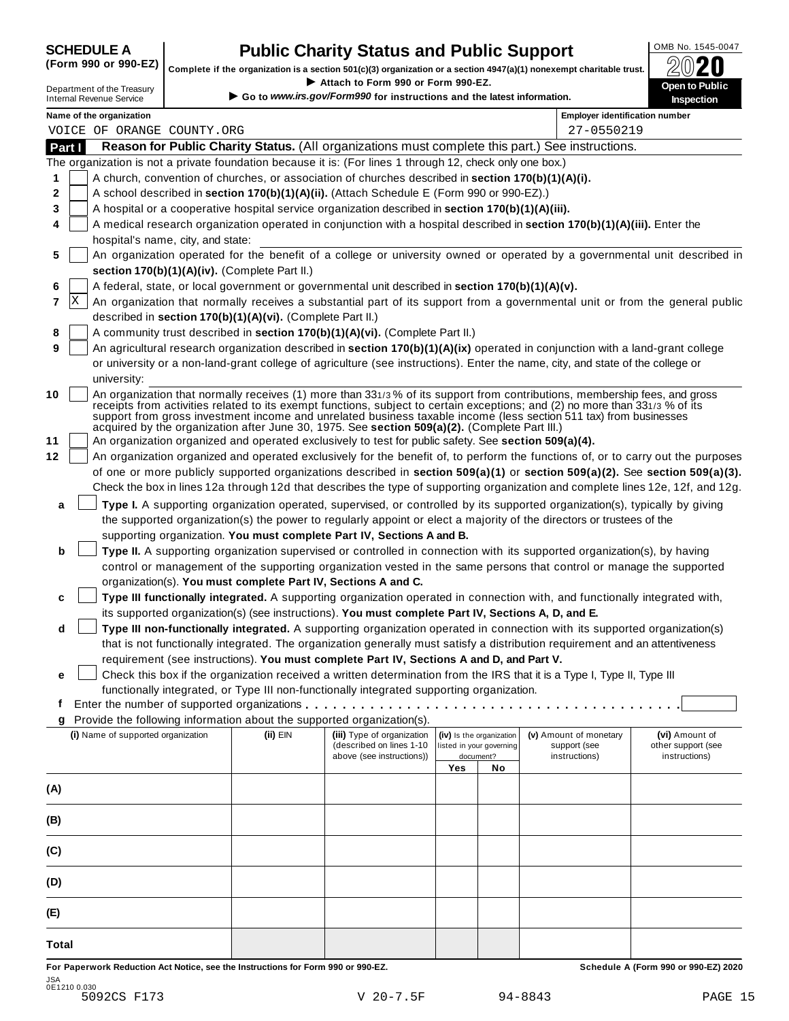# **CHEDULE A Public Charity Status and Public Support**  $\frac{100\text{dB No. }1545-0047}{000\text{dB No.}}$

(Form 990 or 990-EZ) complete if the organization is a section 501(c)(3) organization or a section 4947(a)(1) nonexempt charitable trust.  $2020$ 

|        |                                                               |                                                            |                                                                                                              |     |                          | Complete if the organization is a section 501(c)(3) organization or a section $4947(a)(1)$ nonexempt charitable trust.                                                                                                                                    | BWŁU                                                                                                                         |
|--------|---------------------------------------------------------------|------------------------------------------------------------|--------------------------------------------------------------------------------------------------------------|-----|--------------------------|-----------------------------------------------------------------------------------------------------------------------------------------------------------------------------------------------------------------------------------------------------------|------------------------------------------------------------------------------------------------------------------------------|
|        | Department of the Treasury<br><b>Internal Revenue Service</b> |                                                            | Attach to Form 990 or Form 990-EZ.<br>Go to www.irs.gov/Form990 for instructions and the latest information. |     |                          |                                                                                                                                                                                                                                                           | Open to Public<br>Inspection                                                                                                 |
|        | Name of the organization                                      |                                                            |                                                                                                              |     |                          | <b>Employer identification number</b>                                                                                                                                                                                                                     |                                                                                                                              |
|        | VOICE OF ORANGE COUNTY.ORG                                    |                                                            |                                                                                                              |     |                          | 27-0550219                                                                                                                                                                                                                                                |                                                                                                                              |
| Part I |                                                               |                                                            |                                                                                                              |     |                          | Reason for Public Charity Status. (All organizations must complete this part.) See instructions.                                                                                                                                                          |                                                                                                                              |
|        |                                                               |                                                            | The organization is not a private foundation because it is: (For lines 1 through 12, check only one box.)    |     |                          |                                                                                                                                                                                                                                                           |                                                                                                                              |
| 1      |                                                               |                                                            | A church, convention of churches, or association of churches described in section 170(b)(1)(A)(i).           |     |                          |                                                                                                                                                                                                                                                           |                                                                                                                              |
| 2      |                                                               |                                                            | A school described in section 170(b)(1)(A)(ii). (Attach Schedule E (Form 990 or 990-EZ).)                    |     |                          |                                                                                                                                                                                                                                                           |                                                                                                                              |
| 3      |                                                               |                                                            | A hospital or a cooperative hospital service organization described in section 170(b)(1)(A)(iii).            |     |                          |                                                                                                                                                                                                                                                           |                                                                                                                              |
| 4      | hospital's name, city, and state:                             |                                                            |                                                                                                              |     |                          | A medical research organization operated in conjunction with a hospital described in section 170(b)(1)(A)(iii). Enter the                                                                                                                                 |                                                                                                                              |
| 5      |                                                               |                                                            |                                                                                                              |     |                          | An organization operated for the benefit of a college or university owned or operated by a governmental unit described in                                                                                                                                 |                                                                                                                              |
|        |                                                               | section 170(b)(1)(A)(iv). (Complete Part II.)              |                                                                                                              |     |                          |                                                                                                                                                                                                                                                           |                                                                                                                              |
| 6      |                                                               |                                                            | A federal, state, or local government or governmental unit described in section 170(b)(1)(A)(v).             |     |                          |                                                                                                                                                                                                                                                           |                                                                                                                              |
| X<br>7 |                                                               |                                                            |                                                                                                              |     |                          |                                                                                                                                                                                                                                                           | An organization that normally receives a substantial part of its support from a governmental unit or from the general public |
|        |                                                               | described in section 170(b)(1)(A)(vi). (Complete Part II.) |                                                                                                              |     |                          |                                                                                                                                                                                                                                                           |                                                                                                                              |
| 8      |                                                               |                                                            | A community trust described in section 170(b)(1)(A)(vi). (Complete Part II.)                                 |     |                          |                                                                                                                                                                                                                                                           |                                                                                                                              |
| 9      |                                                               |                                                            |                                                                                                              |     |                          | An agricultural research organization described in section 170(b)(1)(A)(ix) operated in conjunction with a land-grant college                                                                                                                             |                                                                                                                              |
|        |                                                               |                                                            |                                                                                                              |     |                          | or university or a non-land-grant college of agriculture (see instructions). Enter the name, city, and state of the college or                                                                                                                            |                                                                                                                              |
|        | university:                                                   |                                                            |                                                                                                              |     |                          |                                                                                                                                                                                                                                                           |                                                                                                                              |
| 10     |                                                               |                                                            |                                                                                                              |     |                          | An organization that normally receives (1) more than 331/3% of its support from contributions, membership fees, and gross<br>receipts from activities related to its exempt functions, subject to certain exceptions; and (2) no more than 331/3 % of its |                                                                                                                              |
|        |                                                               |                                                            | acquired by the organization after June 30, 1975. See section 509(a)(2). (Complete Part III.)                |     |                          | support from gross investment income and unrelated business taxable income (less section 511 tax) from businesses                                                                                                                                         |                                                                                                                              |
| 11     |                                                               |                                                            | An organization organized and operated exclusively to test for public safety. See section 509(a)(4).         |     |                          |                                                                                                                                                                                                                                                           |                                                                                                                              |
| 12     |                                                               |                                                            |                                                                                                              |     |                          | An organization organized and operated exclusively for the benefit of, to perform the functions of, or to carry out the purposes                                                                                                                          |                                                                                                                              |
|        |                                                               |                                                            |                                                                                                              |     |                          | of one or more publicly supported organizations described in section 509(a)(1) or section 509(a)(2). See section 509(a)(3).                                                                                                                               |                                                                                                                              |
|        |                                                               |                                                            |                                                                                                              |     |                          | Check the box in lines 12a through 12d that describes the type of supporting organization and complete lines 12e, 12f, and 12g.                                                                                                                           |                                                                                                                              |
|        |                                                               |                                                            |                                                                                                              |     |                          |                                                                                                                                                                                                                                                           |                                                                                                                              |
| a      |                                                               |                                                            |                                                                                                              |     |                          | Type I. A supporting organization operated, supervised, or controlled by its supported organization(s), typically by giving                                                                                                                               |                                                                                                                              |
|        |                                                               |                                                            |                                                                                                              |     |                          | the supported organization(s) the power to regularly appoint or elect a majority of the directors or trustees of the                                                                                                                                      |                                                                                                                              |
|        |                                                               |                                                            | supporting organization. You must complete Part IV, Sections A and B.                                        |     |                          |                                                                                                                                                                                                                                                           |                                                                                                                              |
| b      |                                                               |                                                            |                                                                                                              |     |                          | Type II. A supporting organization supervised or controlled in connection with its supported organization(s), by having                                                                                                                                   |                                                                                                                              |
|        |                                                               |                                                            |                                                                                                              |     |                          | control or management of the supporting organization vested in the same persons that control or manage the supported                                                                                                                                      |                                                                                                                              |
|        |                                                               |                                                            | organization(s). You must complete Part IV, Sections A and C.                                                |     |                          |                                                                                                                                                                                                                                                           |                                                                                                                              |
| c      |                                                               |                                                            |                                                                                                              |     |                          | Type III functionally integrated. A supporting organization operated in connection with, and functionally integrated with,                                                                                                                                |                                                                                                                              |
|        |                                                               |                                                            | its supported organization(s) (see instructions). You must complete Part IV, Sections A, D, and E.           |     |                          |                                                                                                                                                                                                                                                           |                                                                                                                              |
| d      |                                                               |                                                            |                                                                                                              |     |                          | Type III non-functionally integrated. A supporting organization operated in connection with its supported organization(s)                                                                                                                                 |                                                                                                                              |
|        |                                                               |                                                            |                                                                                                              |     |                          | that is not functionally integrated. The organization generally must satisfy a distribution requirement and an attentiveness                                                                                                                              |                                                                                                                              |
|        |                                                               |                                                            | requirement (see instructions). You must complete Part IV, Sections A and D, and Part V.                     |     |                          |                                                                                                                                                                                                                                                           |                                                                                                                              |
| е      |                                                               |                                                            |                                                                                                              |     |                          | Check this box if the organization received a written determination from the IRS that it is a Type I, Type II, Type III                                                                                                                                   |                                                                                                                              |
|        |                                                               |                                                            | functionally integrated, or Type III non-functionally integrated supporting organization.                    |     |                          |                                                                                                                                                                                                                                                           |                                                                                                                              |
| t      |                                                               |                                                            |                                                                                                              |     |                          |                                                                                                                                                                                                                                                           |                                                                                                                              |
| g      |                                                               |                                                            | Provide the following information about the supported organization(s).                                       |     |                          |                                                                                                                                                                                                                                                           |                                                                                                                              |
|        | (i) Name of supported organization                            | (ii) EIN                                                   | (iii) Type of organization                                                                                   |     | (iv) Is the organization | (v) Amount of monetary                                                                                                                                                                                                                                    | (vi) Amount of                                                                                                               |
|        |                                                               |                                                            | (described on lines 1-10                                                                                     |     | listed in your governing | support (see                                                                                                                                                                                                                                              | other support (see                                                                                                           |
|        |                                                               |                                                            | above (see instructions))                                                                                    | Yes | document?<br>No          | instructions)                                                                                                                                                                                                                                             | instructions)                                                                                                                |
|        |                                                               |                                                            |                                                                                                              |     |                          |                                                                                                                                                                                                                                                           |                                                                                                                              |
| (A)    |                                                               |                                                            |                                                                                                              |     |                          |                                                                                                                                                                                                                                                           |                                                                                                                              |
|        |                                                               |                                                            |                                                                                                              |     |                          |                                                                                                                                                                                                                                                           |                                                                                                                              |
| (B)    |                                                               |                                                            |                                                                                                              |     |                          |                                                                                                                                                                                                                                                           |                                                                                                                              |
|        |                                                               |                                                            |                                                                                                              |     |                          |                                                                                                                                                                                                                                                           |                                                                                                                              |
| (C)    |                                                               |                                                            |                                                                                                              |     |                          |                                                                                                                                                                                                                                                           |                                                                                                                              |
|        |                                                               |                                                            |                                                                                                              |     |                          |                                                                                                                                                                                                                                                           |                                                                                                                              |
| (D)    |                                                               |                                                            |                                                                                                              |     |                          |                                                                                                                                                                                                                                                           |                                                                                                                              |
|        |                                                               |                                                            |                                                                                                              |     |                          |                                                                                                                                                                                                                                                           |                                                                                                                              |
| (E)    |                                                               |                                                            |                                                                                                              |     |                          |                                                                                                                                                                                                                                                           |                                                                                                                              |
|        |                                                               |                                                            |                                                                                                              |     |                          |                                                                                                                                                                                                                                                           |                                                                                                                              |
| Total  |                                                               |                                                            |                                                                                                              |     |                          |                                                                                                                                                                                                                                                           |                                                                                                                              |

For Paperwork Reduction Act Notice, see the Instructions for Form 990 or 990-EZ. Schedule A (Form 990 or 990-EZ) 2020 JSA 0E1210 0.030 5092CS F173 V 20-7.5F 94-8843 PAGE 15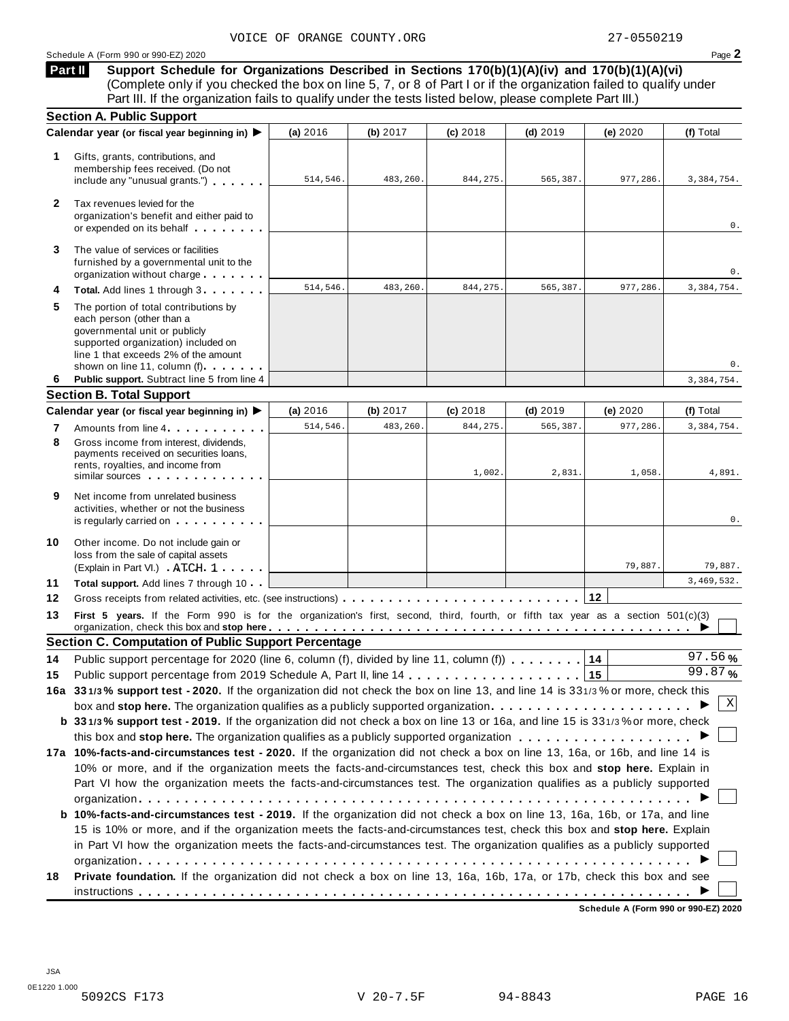**Support Schedule for Organizations Described in Sections 170(b)(1)(A)(iv) and 170(b)(1)(A)(vi)** Complete only if you checked the box on line 5, 7, or 8 of Part I or if the organization failed to qualify under Part III. If the organization fails to qualify under the tests listed below, please complete Part III.) **Part II**

| <b>Section A. Public Support</b>                                                                                                                                                                                                                       |                                                                                                                                                                   |            |                                                            |            |                                                                                        |                                                                                                                                                                                                                                                                                                                                                                                                                                                                                                                                                                                                                                                                                                                                                                                                                                                                                                                                                                                                                         |  |  |
|--------------------------------------------------------------------------------------------------------------------------------------------------------------------------------------------------------------------------------------------------------|-------------------------------------------------------------------------------------------------------------------------------------------------------------------|------------|------------------------------------------------------------|------------|----------------------------------------------------------------------------------------|-------------------------------------------------------------------------------------------------------------------------------------------------------------------------------------------------------------------------------------------------------------------------------------------------------------------------------------------------------------------------------------------------------------------------------------------------------------------------------------------------------------------------------------------------------------------------------------------------------------------------------------------------------------------------------------------------------------------------------------------------------------------------------------------------------------------------------------------------------------------------------------------------------------------------------------------------------------------------------------------------------------------------|--|--|
|                                                                                                                                                                                                                                                        | (a) 2016                                                                                                                                                          | (b) $2017$ | $(c)$ 2018                                                 | $(d)$ 2019 | (e) 2020                                                                               | (f) Total                                                                                                                                                                                                                                                                                                                                                                                                                                                                                                                                                                                                                                                                                                                                                                                                                                                                                                                                                                                                               |  |  |
| Gifts, grants, contributions, and<br>membership fees received. (Do not<br>include any "unusual grants.")                                                                                                                                               | 514,546.                                                                                                                                                          | 483,260.   | 844, 275.                                                  | 565,387.   | 977,286.                                                                               | 3,384,754.                                                                                                                                                                                                                                                                                                                                                                                                                                                                                                                                                                                                                                                                                                                                                                                                                                                                                                                                                                                                              |  |  |
| Tax revenues levied for the<br>organization's benefit and either paid to<br>or expended on its behalf                                                                                                                                                  |                                                                                                                                                                   |            |                                                            |            |                                                                                        | 0.                                                                                                                                                                                                                                                                                                                                                                                                                                                                                                                                                                                                                                                                                                                                                                                                                                                                                                                                                                                                                      |  |  |
| The value of services or facilities<br>furnished by a governmental unit to the<br>organization without charge                                                                                                                                          |                                                                                                                                                                   |            |                                                            |            |                                                                                        | 0.                                                                                                                                                                                                                                                                                                                                                                                                                                                                                                                                                                                                                                                                                                                                                                                                                                                                                                                                                                                                                      |  |  |
| Total. Add lines 1 through 3                                                                                                                                                                                                                           | 514,546.                                                                                                                                                          | 483,260.   | 844,275.                                                   | 565,387.   | 977,286.                                                                               | 3,384,754.                                                                                                                                                                                                                                                                                                                                                                                                                                                                                                                                                                                                                                                                                                                                                                                                                                                                                                                                                                                                              |  |  |
| The portion of total contributions by<br>each person (other than a<br>governmental unit or publicly<br>supported organization) included on<br>line 1 that exceeds 2% of the amount                                                                     |                                                                                                                                                                   |            |                                                            |            |                                                                                        | 0.                                                                                                                                                                                                                                                                                                                                                                                                                                                                                                                                                                                                                                                                                                                                                                                                                                                                                                                                                                                                                      |  |  |
| Public support. Subtract line 5 from line 4                                                                                                                                                                                                            |                                                                                                                                                                   |            |                                                            |            |                                                                                        | 3,384,754.                                                                                                                                                                                                                                                                                                                                                                                                                                                                                                                                                                                                                                                                                                                                                                                                                                                                                                                                                                                                              |  |  |
|                                                                                                                                                                                                                                                        |                                                                                                                                                                   |            |                                                            |            |                                                                                        |                                                                                                                                                                                                                                                                                                                                                                                                                                                                                                                                                                                                                                                                                                                                                                                                                                                                                                                                                                                                                         |  |  |
|                                                                                                                                                                                                                                                        | (a) 2016                                                                                                                                                          | (b) $2017$ | (c) 2018                                                   | $(d)$ 2019 | (e) $2020$                                                                             | (f) Total                                                                                                                                                                                                                                                                                                                                                                                                                                                                                                                                                                                                                                                                                                                                                                                                                                                                                                                                                                                                               |  |  |
| Amounts from line 4                                                                                                                                                                                                                                    | 514,546.                                                                                                                                                          | 483,260    | 844,275                                                    | 565,387.   | 977,286.                                                                               | 3, 384, 754.                                                                                                                                                                                                                                                                                                                                                                                                                                                                                                                                                                                                                                                                                                                                                                                                                                                                                                                                                                                                            |  |  |
| Gross income from interest, dividends.<br>payments received on securities loans,<br>rents, royalties, and income from<br>similar sources experiences                                                                                                   |                                                                                                                                                                   |            | 1,002                                                      | 2,831      | 1,058.                                                                                 | 4,891.                                                                                                                                                                                                                                                                                                                                                                                                                                                                                                                                                                                                                                                                                                                                                                                                                                                                                                                                                                                                                  |  |  |
| Net income from unrelated business<br>activities, whether or not the business<br>is regularly carried on the control of the set of the set of the set of the set of the set of the set of the s                                                        |                                                                                                                                                                   |            |                                                            |            |                                                                                        | 0.                                                                                                                                                                                                                                                                                                                                                                                                                                                                                                                                                                                                                                                                                                                                                                                                                                                                                                                                                                                                                      |  |  |
| Other income. Do not include gain or<br>loss from the sale of capital assets<br>(Explain in Part VI.) ATCH 1                                                                                                                                           |                                                                                                                                                                   |            |                                                            |            | 79,887.                                                                                | 79,887.                                                                                                                                                                                                                                                                                                                                                                                                                                                                                                                                                                                                                                                                                                                                                                                                                                                                                                                                                                                                                 |  |  |
| Total support. Add lines 7 through 10                                                                                                                                                                                                                  |                                                                                                                                                                   |            |                                                            |            |                                                                                        | 3,469,532.                                                                                                                                                                                                                                                                                                                                                                                                                                                                                                                                                                                                                                                                                                                                                                                                                                                                                                                                                                                                              |  |  |
|                                                                                                                                                                                                                                                        |                                                                                                                                                                   |            |                                                            |            |                                                                                        |                                                                                                                                                                                                                                                                                                                                                                                                                                                                                                                                                                                                                                                                                                                                                                                                                                                                                                                                                                                                                         |  |  |
|                                                                                                                                                                                                                                                        |                                                                                                                                                                   |            |                                                            |            |                                                                                        |                                                                                                                                                                                                                                                                                                                                                                                                                                                                                                                                                                                                                                                                                                                                                                                                                                                                                                                                                                                                                         |  |  |
|                                                                                                                                                                                                                                                        |                                                                                                                                                                   |            |                                                            |            |                                                                                        |                                                                                                                                                                                                                                                                                                                                                                                                                                                                                                                                                                                                                                                                                                                                                                                                                                                                                                                                                                                                                         |  |  |
|                                                                                                                                                                                                                                                        |                                                                                                                                                                   |            |                                                            |            |                                                                                        | 97.56%                                                                                                                                                                                                                                                                                                                                                                                                                                                                                                                                                                                                                                                                                                                                                                                                                                                                                                                                                                                                                  |  |  |
|                                                                                                                                                                                                                                                        |                                                                                                                                                                   |            |                                                            |            |                                                                                        | 99.87%                                                                                                                                                                                                                                                                                                                                                                                                                                                                                                                                                                                                                                                                                                                                                                                                                                                                                                                                                                                                                  |  |  |
|                                                                                                                                                                                                                                                        |                                                                                                                                                                   |            |                                                            |            |                                                                                        |                                                                                                                                                                                                                                                                                                                                                                                                                                                                                                                                                                                                                                                                                                                                                                                                                                                                                                                                                                                                                         |  |  |
|                                                                                                                                                                                                                                                        |                                                                                                                                                                   |            |                                                            |            |                                                                                        | Χ                                                                                                                                                                                                                                                                                                                                                                                                                                                                                                                                                                                                                                                                                                                                                                                                                                                                                                                                                                                                                       |  |  |
|                                                                                                                                                                                                                                                        |                                                                                                                                                                   |            |                                                            |            |                                                                                        |                                                                                                                                                                                                                                                                                                                                                                                                                                                                                                                                                                                                                                                                                                                                                                                                                                                                                                                                                                                                                         |  |  |
|                                                                                                                                                                                                                                                        |                                                                                                                                                                   |            |                                                            |            |                                                                                        |                                                                                                                                                                                                                                                                                                                                                                                                                                                                                                                                                                                                                                                                                                                                                                                                                                                                                                                                                                                                                         |  |  |
|                                                                                                                                                                                                                                                        |                                                                                                                                                                   |            |                                                            |            |                                                                                        |                                                                                                                                                                                                                                                                                                                                                                                                                                                                                                                                                                                                                                                                                                                                                                                                                                                                                                                                                                                                                         |  |  |
|                                                                                                                                                                                                                                                        |                                                                                                                                                                   |            |                                                            |            |                                                                                        |                                                                                                                                                                                                                                                                                                                                                                                                                                                                                                                                                                                                                                                                                                                                                                                                                                                                                                                                                                                                                         |  |  |
|                                                                                                                                                                                                                                                        |                                                                                                                                                                   |            |                                                            |            |                                                                                        |                                                                                                                                                                                                                                                                                                                                                                                                                                                                                                                                                                                                                                                                                                                                                                                                                                                                                                                                                                                                                         |  |  |
|                                                                                                                                                                                                                                                        |                                                                                                                                                                   |            |                                                            |            |                                                                                        |                                                                                                                                                                                                                                                                                                                                                                                                                                                                                                                                                                                                                                                                                                                                                                                                                                                                                                                                                                                                                         |  |  |
|                                                                                                                                                                                                                                                        |                                                                                                                                                                   |            |                                                            |            |                                                                                        |                                                                                                                                                                                                                                                                                                                                                                                                                                                                                                                                                                                                                                                                                                                                                                                                                                                                                                                                                                                                                         |  |  |
|                                                                                                                                                                                                                                                        |                                                                                                                                                                   |            |                                                            |            |                                                                                        |                                                                                                                                                                                                                                                                                                                                                                                                                                                                                                                                                                                                                                                                                                                                                                                                                                                                                                                                                                                                                         |  |  |
|                                                                                                                                                                                                                                                        |                                                                                                                                                                   |            |                                                            |            |                                                                                        |                                                                                                                                                                                                                                                                                                                                                                                                                                                                                                                                                                                                                                                                                                                                                                                                                                                                                                                                                                                                                         |  |  |
| 15 is 10% or more, and if the organization meets the facts-and-circumstances test, check this box and stop here. Explain<br>in Part VI how the organization meets the facts-and-circumstances test. The organization qualifies as a publicly supported |                                                                                                                                                                   |            |                                                            |            |                                                                                        |                                                                                                                                                                                                                                                                                                                                                                                                                                                                                                                                                                                                                                                                                                                                                                                                                                                                                                                                                                                                                         |  |  |
| Private foundation. If the organization did not check a box on line 13, 16a, 16b, 17a, or 17b, check this box and see                                                                                                                                  |                                                                                                                                                                   |            |                                                            |            |                                                                                        |                                                                                                                                                                                                                                                                                                                                                                                                                                                                                                                                                                                                                                                                                                                                                                                                                                                                                                                                                                                                                         |  |  |
|                                                                                                                                                                                                                                                        | Calendar year (or fiscal year beginning in) ▶<br>shown on line 11, column (f)<br><b>Section B. Total Support</b><br>Calendar year (or fiscal year beginning in) ▶ |            | <b>Section C. Computation of Public Support Percentage</b> |            | Public support percentage for 2020 (line 6, column (f), divided by line 11, column (f) | First 5 years. If the Form 990 is for the organization's first, second, third, fourth, or fifth tax year as a section 501(c)(3)<br>14<br>16a 331/3% support test - 2020. If the organization did not check the box on line 13, and line 14 is 331/3% or more, check this<br>box and stop here. The organization qualifies as a publicly supported organization<br>b 331/3% support test - 2019. If the organization did not check a box on line 13 or 16a, and line 15 is 331/3% or more, check<br>17a 10%-facts-and-circumstances test - 2020. If the organization did not check a box on line 13, 16a, or 16b, and line 14 is<br>10% or more, and if the organization meets the facts-and-circumstances test, check this box and stop here. Explain in<br>Part VI how the organization meets the facts-and-circumstances test. The organization qualifies as a publicly supported<br><b>b 10%-facts-and-circumstances test - 2019.</b> If the organization did not check a box on line 13, 16a, 16b, or 17a, and line |  |  |

**Schedule A (Form 990 or 990-EZ) 2020**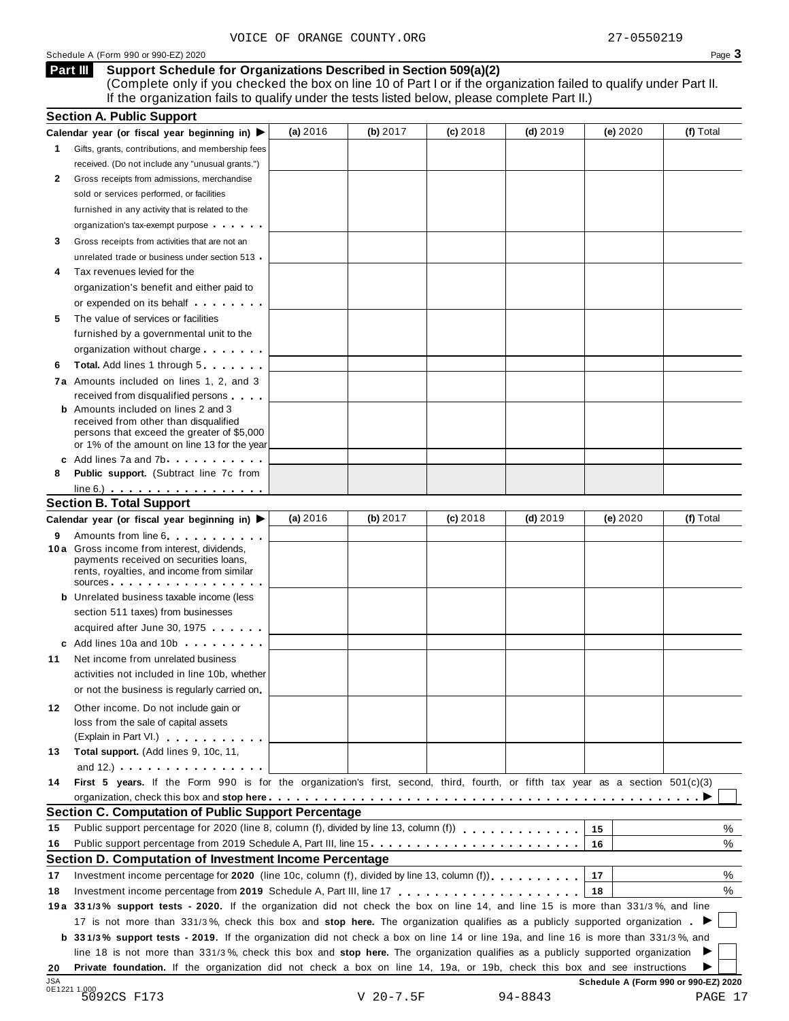#### **Support Schedule for Organizations Described in Section 509(a)(2) Part III**

(Complete only if you checked the box on line 10 of Part I or if the organization failed to qualify under Part II. If the organization fails to qualify under the tests listed below, please complete Part II.)

|            | <b>Section A. Public Support</b>                                                                                                                                                                                                                                                                                                            |          |             |            |             |                                      |           |
|------------|---------------------------------------------------------------------------------------------------------------------------------------------------------------------------------------------------------------------------------------------------------------------------------------------------------------------------------------------|----------|-------------|------------|-------------|--------------------------------------|-----------|
|            | Calendar year (or fiscal year beginning in) $\blacktriangleright$                                                                                                                                                                                                                                                                           | (a) 2016 | (b) 2017    | $(c)$ 2018 | $(d)$ 2019  | (e) 2020                             | (f) Total |
| 1.         | Gifts, grants, contributions, and membership fees                                                                                                                                                                                                                                                                                           |          |             |            |             |                                      |           |
|            | received. (Do not include any "unusual grants.")                                                                                                                                                                                                                                                                                            |          |             |            |             |                                      |           |
| 2          | Gross receipts from admissions, merchandise                                                                                                                                                                                                                                                                                                 |          |             |            |             |                                      |           |
|            | sold or services performed, or facilities                                                                                                                                                                                                                                                                                                   |          |             |            |             |                                      |           |
|            | furnished in any activity that is related to the                                                                                                                                                                                                                                                                                            |          |             |            |             |                                      |           |
|            | organization's tax-exempt purpose                                                                                                                                                                                                                                                                                                           |          |             |            |             |                                      |           |
| 3          | Gross receipts from activities that are not an                                                                                                                                                                                                                                                                                              |          |             |            |             |                                      |           |
|            | unrelated trade or business under section 513                                                                                                                                                                                                                                                                                               |          |             |            |             |                                      |           |
| 4          | Tax revenues levied for the                                                                                                                                                                                                                                                                                                                 |          |             |            |             |                                      |           |
|            | organization's benefit and either paid to                                                                                                                                                                                                                                                                                                   |          |             |            |             |                                      |           |
|            | or expended on its behalf <b>contained</b> on $\theta$                                                                                                                                                                                                                                                                                      |          |             |            |             |                                      |           |
| 5          | The value of services or facilities                                                                                                                                                                                                                                                                                                         |          |             |            |             |                                      |           |
|            | furnished by a governmental unit to the                                                                                                                                                                                                                                                                                                     |          |             |            |             |                                      |           |
|            | organization without charge                                                                                                                                                                                                                                                                                                                 |          |             |            |             |                                      |           |
| 6          | <b>Total.</b> Add lines 1 through 5                                                                                                                                                                                                                                                                                                         |          |             |            |             |                                      |           |
|            | 7a Amounts included on lines 1, 2, and 3                                                                                                                                                                                                                                                                                                    |          |             |            |             |                                      |           |
|            | received from disqualified persons                                                                                                                                                                                                                                                                                                          |          |             |            |             |                                      |           |
|            | <b>b</b> Amounts included on lines 2 and 3                                                                                                                                                                                                                                                                                                  |          |             |            |             |                                      |           |
|            | received from other than disqualified                                                                                                                                                                                                                                                                                                       |          |             |            |             |                                      |           |
|            | persons that exceed the greater of \$5,000                                                                                                                                                                                                                                                                                                  |          |             |            |             |                                      |           |
|            | or 1% of the amount on line 13 for the year<br>c Add lines 7a and 7b                                                                                                                                                                                                                                                                        |          |             |            |             |                                      |           |
| 8          | <b>Public support.</b> (Subtract line 7c from                                                                                                                                                                                                                                                                                               |          |             |            |             |                                      |           |
|            | $line 6.)$                                                                                                                                                                                                                                                                                                                                  |          |             |            |             |                                      |           |
|            | <b>Section B. Total Support</b>                                                                                                                                                                                                                                                                                                             |          |             |            |             |                                      |           |
|            | Calendar year (or fiscal year beginning in) ▶                                                                                                                                                                                                                                                                                               | (a) 2016 | (b) 2017    | $(c)$ 2018 | $(d)$ 2019  | (e) 2020                             | (f) Total |
|            |                                                                                                                                                                                                                                                                                                                                             |          |             |            |             |                                      |           |
| 9          | Amounts from line 6<br>10 a Gross income from interest, dividends,                                                                                                                                                                                                                                                                          |          |             |            |             |                                      |           |
|            | payments received on securities loans,                                                                                                                                                                                                                                                                                                      |          |             |            |             |                                      |           |
|            | rents, royalties, and income from similar                                                                                                                                                                                                                                                                                                   |          |             |            |             |                                      |           |
|            | SOUICES                                                                                                                                                                                                                                                                                                                                     |          |             |            |             |                                      |           |
|            | <b>b</b> Unrelated business taxable income (less                                                                                                                                                                                                                                                                                            |          |             |            |             |                                      |           |
|            | section 511 taxes) from businesses                                                                                                                                                                                                                                                                                                          |          |             |            |             |                                      |           |
|            | acquired after June 30, 1975                                                                                                                                                                                                                                                                                                                |          |             |            |             |                                      |           |
|            | c Add lines 10a and 10b                                                                                                                                                                                                                                                                                                                     |          |             |            |             |                                      |           |
| 11         | Net income from unrelated business                                                                                                                                                                                                                                                                                                          |          |             |            |             |                                      |           |
|            | activities not included in line 10b, whether                                                                                                                                                                                                                                                                                                |          |             |            |             |                                      |           |
|            | or not the business is regularly carried on                                                                                                                                                                                                                                                                                                 |          |             |            |             |                                      |           |
| 12.        | Other income. Do not include gain or                                                                                                                                                                                                                                                                                                        |          |             |            |             |                                      |           |
|            | loss from the sale of capital assets                                                                                                                                                                                                                                                                                                        |          |             |            |             |                                      |           |
|            | (Explain in Part VI.)                                                                                                                                                                                                                                                                                                                       |          |             |            |             |                                      |           |
| 13         | Total support. (Add lines 9, 10c, 11,                                                                                                                                                                                                                                                                                                       |          |             |            |             |                                      |           |
|            | and $12.$ ) $\qquad \qquad$ $\qquad \qquad$ $\qquad$ $\qquad$ $\qquad$ $\qquad$ $\qquad$ $\qquad$ $\qquad$ $\qquad$ $\qquad$ $\qquad$ $\qquad$ $\qquad$ $\qquad$ $\qquad$ $\qquad$ $\qquad$ $\qquad$ $\qquad$ $\qquad$ $\qquad$ $\qquad$ $\qquad$ $\qquad$ $\qquad$ $\qquad$ $\qquad$ $\qquad$ $\qquad$ $\qquad$ $\qquad$ $\qquad$ $\qquad$ |          |             |            |             |                                      |           |
| 14         | First 5 years. If the Form 990 is for the organization's first, second, third, fourth, or fifth tax year as a section 501(c)(3)                                                                                                                                                                                                             |          |             |            |             |                                      |           |
|            |                                                                                                                                                                                                                                                                                                                                             |          |             |            |             |                                      |           |
|            | Section C. Computation of Public Support Percentage                                                                                                                                                                                                                                                                                         |          |             |            |             |                                      |           |
| 15         | Public support percentage for 2020 (line 8, column (f), divided by line 13, column (f)                                                                                                                                                                                                                                                      |          |             |            |             | 15                                   | %         |
| 16         | Public support percentage from 2019 Schedule A, Part III, line 15                                                                                                                                                                                                                                                                           |          |             |            |             | 16                                   | %         |
|            | Section D. Computation of Investment Income Percentage                                                                                                                                                                                                                                                                                      |          |             |            |             |                                      |           |
| 17         | Investment income percentage for 2020 (line 10c, column (f), divided by line 13, column (f)).                                                                                                                                                                                                                                               |          |             |            |             | 17                                   | %         |
| 18         |                                                                                                                                                                                                                                                                                                                                             |          |             |            |             | 18                                   | %         |
|            | 19a 331/3% support tests - 2020. If the organization did not check the box on line 14, and line 15 is more than 331/3%, and line                                                                                                                                                                                                            |          |             |            |             |                                      |           |
|            | 17 is not more than 331/3%, check this box and stop here. The organization qualifies as a publicly supported organization.                                                                                                                                                                                                                  |          |             |            |             |                                      |           |
|            | <b>b</b> 331/3% support tests - 2019. If the organization did not check a box on line 14 or line 19a, and line 16 is more than 331/3%, and                                                                                                                                                                                                  |          |             |            |             |                                      |           |
|            | line 18 is not more than 331/3%, check this box and stop here. The organization qualifies as a publicly supported organization                                                                                                                                                                                                              |          |             |            |             |                                      |           |
| 20         | Private foundation. If the organization did not check a box on line 14, 19a, or 19b, check this box and see instructions                                                                                                                                                                                                                    |          |             |            |             |                                      |           |
|            |                                                                                                                                                                                                                                                                                                                                             |          |             |            |             |                                      |           |
| <b>JSA</b> | 0E1221 1.000<br>5092CS F173                                                                                                                                                                                                                                                                                                                 |          | $V$ 20-7.5F |            | $94 - 8843$ | Schedule A (Form 990 or 990-EZ) 2020 |           |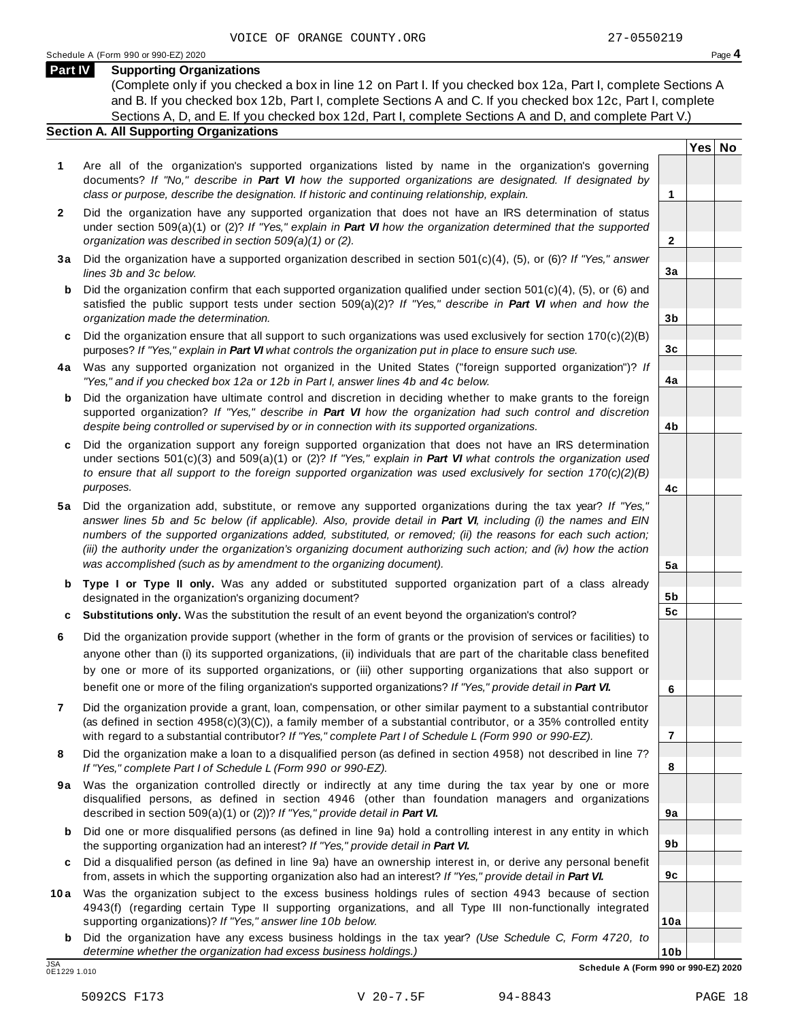**Yes No**

**2**

**3a**

**3b**

**3c**

**4a**

**4b**

**4c**

**5a**

**5b 5c**

**6**

**7**

**8**

**9a**

**9b**

**9c**

**10a**

#### **Part IV Supporting Organizations**

(Complete only if you checked a box in line 12 on Part I. If you checked box 12a, Part I, complete Sections A and B. If you checked box 12b, Part I, complete Sections A and C. If you checked box 12c, Part I, complete Sections A, D, and E. If you checked box 12d, Part I, complete Sections A and D, and complete Part V.)

#### **Section A. All Supporting Organizations**

- **1** Are all of the organization's supported organizations listed by name in the organization's governing documents? *If "No," describe in Part VI how the supported organizations are designated. If designated by class or purpose, describe the designation. If historic and continuing relationship, explain.* **1**
- **2** Did the organization have any supported organization that does not have an IRS determination of status under section 509(a)(1) or (2)? *If"Yes," explain in Part VI how the organization determined that the supported organization was described in section 509(a)(1) or (2).*
- **3 a** Did the organization have a supported organization described in section 501(c)(4), (5), or (6)? *If "Yes," answer lines 3b and 3c below.*
- **b** Did the organization confirm that each supported organization qualified under section 501(c)(4), (5), or (6) and | satisfied the public support tests under section 509(a)(2)? *If "Yes," describe in Part VI when and how the organization made the determination.*
- **c** Did the organization ensure that all support to such organizations was used exclusively for section 170(c)(2)(B) purposes? *If"Yes," explain in Part VI what controls the organization put in place to ensure such use.*
- **4 a** Was any supported organization not organized in the United States ("foreign supported organization")? *If "Yes," and if you checked box 12a or 12b in Part I, answer lines 4b and 4c below.*
- **b** Did the organization have ultimate control and discretion in deciding whether to make grants to the foreign | supported organization? *If "Yes," describe in Part VI how the organization had such control and discretion despite being controlled or supervised by or in connection with its supported organizations.*
- **c** Did the organization support any foreign supported organization that does not have an IRS determination | under sections 501(c)(3) and 509(a)(1) or (2)? *If "Yes," explain in Part VI what controls the organization used to ensure that all support to the foreign supported organization was used exclusively for section 170(c)(2)(B) purposes.*
- **5 a** Did the organization add, substitute, or remove any supported organizations during the tax year? *If "Yes,"* answer lines 5b and 5c below (if applicable). Also, provide detail in Part VI, including (i) the names and EIN *numbers of the supported organizations added, substituted, or removed; (ii) the reasons for each such action;* (iii) the authority under the organization's organizing document authorizing such action; and (iv) how the action *was accomplished (such as by amendment to the organizing document).*
- **b Type I or Type II only.** Was any added or substituted supported organization part of a class already designated in the organization's organizing document?
- **c Substitutions only.** Was the substitution the result of an event beyond the organization's control?
- **6** Did the organization provide support (whether in the form of grants or the provision of services or facilities) to anyone other than (i) its supported organizations, (ii) individuals that are part of the charitable class benefited by one or more of its supported organizations, or (iii) other supporting organizations that also support or benefit one or more of the filing organization's supported organizations? *If"Yes," provide detail in Part VI.*
- **7** Did the organization provide a grant, loan, compensation, or other similar payment to a substantial contributor (as defined in section 4958(c)(3)(C)), a family member of a substantial contributor, or a 35% controlled entity with regard to a substantial contributor? *If"Yes," complete Part I of Schedule L (Form 990 or 990-EZ).*
- **8** Did the organization make a loan to a disqualified person (as defined in section 4958) not described in line 7? *If "Yes," complete Part I of Schedule L (Form 990 or 990-EZ).*
- **9a** Was the organization controlled directly or indirectly at any time during the tax year by one or more | disqualified persons, as defined in section 4946 (other than foundation managers and organizations described in section 509(a)(1) or (2))? *If"Yes," provide detail in Part VI.*
- **b** Did one or more disqualified persons (as defined in line 9a) hold a controlling interest in any entity in which | the supporting organization had an interest? *If"Yes," provide detail in Part VI.*
- **c** Did a disqualified person (as defined in line 9a) have an ownership interest in, or derive any personal benefit from, assets in which the supporting organization also had an interest? *If"Yes," provide detail in Part VI.*
- **10a** Was the organization subject to the excess business holdings rules of section 4943 because of section | 4943(f) (regarding certain Type II supporting organizations, and all Type III non-functionally integrated supporting organizations)? *If"Yes," answer line 10b below.*
	- **b** Did the organization have any excess business holdings in the tax year? *(Use Schedule C, Form 4720, to determine whether the organization had excess business holdings.)*

0E1229 1.010

**10b** JSA **Schedule A (Form 990 or 990-EZ) 2020**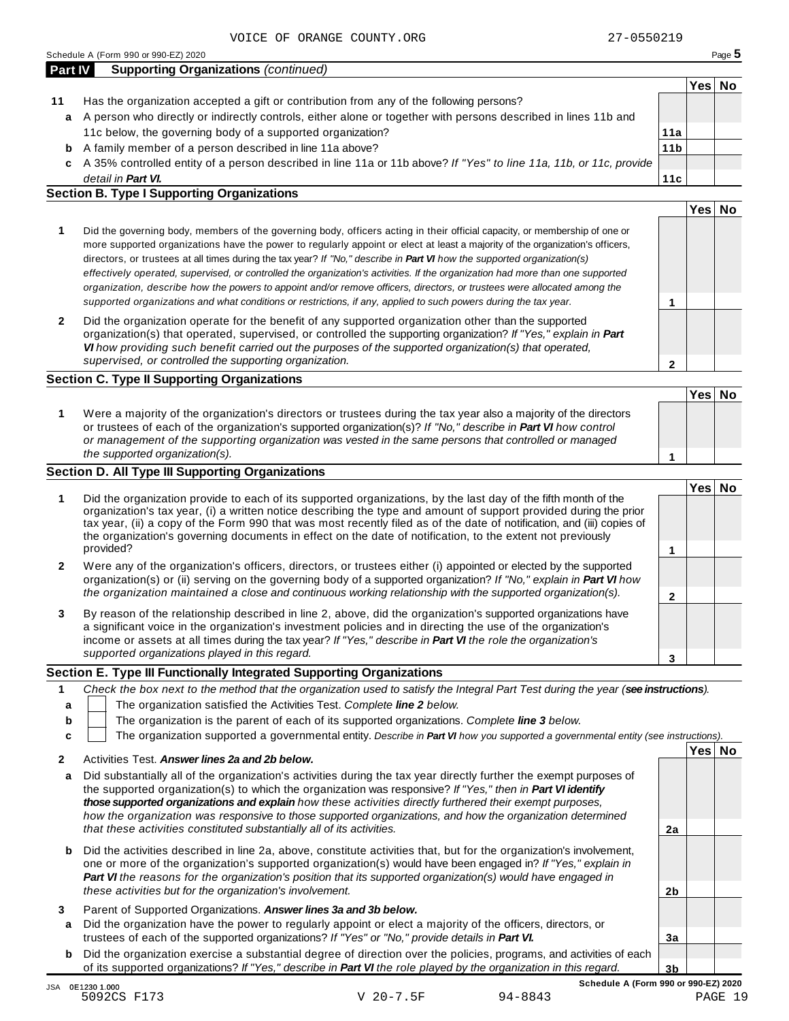|    |                                                                                                                    |                 | Yes∣ | No |
|----|--------------------------------------------------------------------------------------------------------------------|-----------------|------|----|
| 11 | Has the organization accepted a gift or contribution from any of the following persons?                            |                 |      |    |
| a  | A person who directly or indirectly controls, either alone or together with persons described in lines 11b and     |                 |      |    |
|    | 11c below, the governing body of a supported organization?                                                         | 11a             |      |    |
| b  | A family member of a person described in line 11a above?                                                           | 11 <sub>b</sub> |      |    |
| c  | A 35% controlled entity of a person described in line 11a or 11b above? If "Yes" to line 11a, 11b, or 11c, provide |                 |      |    |
|    | detail in <b>Part VI.</b>                                                                                          | 11c             |      |    |
|    | <b>Section B. Type I Supporting Organizations</b>                                                                  |                 |      |    |
|    |                                                                                                                    |                 | Yes. |    |

| Did the governing body, members of the governing body, officers acting in their official capacity, or membership of one or<br>more supported organizations have the power to regularly appoint or elect at least a majority of the organization's officers,<br>directors, or trustees at all times during the tax year? If "No," describe in Part VI how the supported organization(s)<br>effectively operated, supervised, or controlled the organization's activities. If the organization had more than one supported<br>organization, describe how the powers to appoint and/or remove officers, directors, or trustees were allocated among the |  |
|------------------------------------------------------------------------------------------------------------------------------------------------------------------------------------------------------------------------------------------------------------------------------------------------------------------------------------------------------------------------------------------------------------------------------------------------------------------------------------------------------------------------------------------------------------------------------------------------------------------------------------------------------|--|
| supported organizations and what conditions or restrictions, if any, applied to such powers during the tax year.                                                                                                                                                                                                                                                                                                                                                                                                                                                                                                                                     |  |
| Did the organization operate for the benefit of any supported organization other than the supported                                                                                                                                                                                                                                                                                                                                                                                                                                                                                                                                                  |  |

**2** Did the organization operate for the benefit of any supported organization other than the supported organization(s) that operated, supervised, or controlled the supporting organization? *If "Yes," explain in Part VI how providing such benefit carried out the purposes of the supported organization(s) that operated, supervised, or controlled the supporting organization.*

#### **Section C. Type II Supporting Organizations**

**1 Yes No 1** Were a majority of the organization's directors or trustees during the tax year also a majority of the directors or trustees of each of the organization's supported organization(s)? *If"No," describe in Part VI how control or management of the supporting organization was vested in the same persons that controlled or managed the supported organization(s).*

### **Section D. All Type III Supporting Organizations**

|              |                                                                                                                                                                                                                                                                                                                                                                                                                                                                                          | Yes⊺ |  |
|--------------|------------------------------------------------------------------------------------------------------------------------------------------------------------------------------------------------------------------------------------------------------------------------------------------------------------------------------------------------------------------------------------------------------------------------------------------------------------------------------------------|------|--|
|              | Did the organization provide to each of its supported organizations, by the last day of the fifth month of the<br>organization's tax year, (i) a written notice describing the type and amount of support provided during the prior<br>tax year, (ii) a copy of the Form 990 that was most recently filed as of the date of notification, and (iii) copies of<br>the organization's governing documents in effect on the date of notification, to the extent not previously<br>provided? |      |  |
| $\mathbf{2}$ | Were any of the organization's officers, directors, or trustees either (i) appointed or elected by the supported<br>organization(s) or (ii) serving on the governing body of a supported organization? If "No," explain in Part VI how<br>the organization maintained a close and continuous working relationship with the supported organization(s).                                                                                                                                    |      |  |
| 3            | By reason of the relationship described in line 2, above, did the organization's supported organizations have<br>a significant voice in the organization's investment policies and in directing the use of the organization's<br>income or assets at all times during the tax year? If "Yes," describe in Part VI the role the organization's                                                                                                                                            |      |  |
|              | supported organizations played in this regard.                                                                                                                                                                                                                                                                                                                                                                                                                                           |      |  |

#### **Section E. Type III Functionally Integrated Supporting Organizations**

|   |                                                                                                                                   | Yesl | Nο |
|---|-----------------------------------------------------------------------------------------------------------------------------------|------|----|
|   | The organization supported a governmental entity. Describe in Part VI how you supported a governmental entity (see instructions). |      |    |
| b | The organization is the parent of each of its supported organizations. Complete line 3 below.                                     |      |    |
|   | The organization satisfied the Activities Test. Complete line 2 below.                                                            |      |    |
|   | Check the box next to the method that the organization used to satisfy the Integral Part Test during the year (see instructions). |      |    |

|   | ACTIVILIES TESL. ANSWER IINES Za and ZD DEIDW.                                                                                                                                                                                                                                                                                                                                                                                                            |    |  |
|---|-----------------------------------------------------------------------------------------------------------------------------------------------------------------------------------------------------------------------------------------------------------------------------------------------------------------------------------------------------------------------------------------------------------------------------------------------------------|----|--|
| a | Did substantially all of the organization's activities during the tax year directly further the exempt purposes of<br>the supported organization(s) to which the organization was responsive? If "Yes," then in Part VI identify<br>those supported organizations and explain how these activities directly furthered their exempt purposes,<br>how the organization was responsive to those supported organizations, and how the organization determined |    |  |
|   | that these activities constituted substantially all of its activities.                                                                                                                                                                                                                                                                                                                                                                                    | 2a |  |
| b | Did the activities described in line 2a, above, constitute activities that, but for the organization's involvement,<br>one or more of the organization's supported organization(s) would have been engaged in? If "Yes," explain in<br>Part VI the reasons for the organization's position that its supported organization(s) would have engaged in                                                                                                       |    |  |
|   | these activities but for the organization's involvement.                                                                                                                                                                                                                                                                                                                                                                                                  | 2b |  |
| 3 | Parent of Supported Organizations. Answer lines 3a and 3b below.                                                                                                                                                                                                                                                                                                                                                                                          |    |  |
| a | Did the organization have the power to regularly appoint or elect a majority of the officers, directors, or                                                                                                                                                                                                                                                                                                                                               |    |  |
|   | trustees of each of the supported organizations? If "Yes" or "No," provide details in Part VI.                                                                                                                                                                                                                                                                                                                                                            | 3a |  |
| b | Did the organization exercise a substantial degree of direction over the policies, programs, and activities of each                                                                                                                                                                                                                                                                                                                                       |    |  |
|   | of its supported organizations? If "Yes," describe in <b>Part VI</b> the role played by the organization in this regard.                                                                                                                                                                                                                                                                                                                                  | 3b |  |

**2**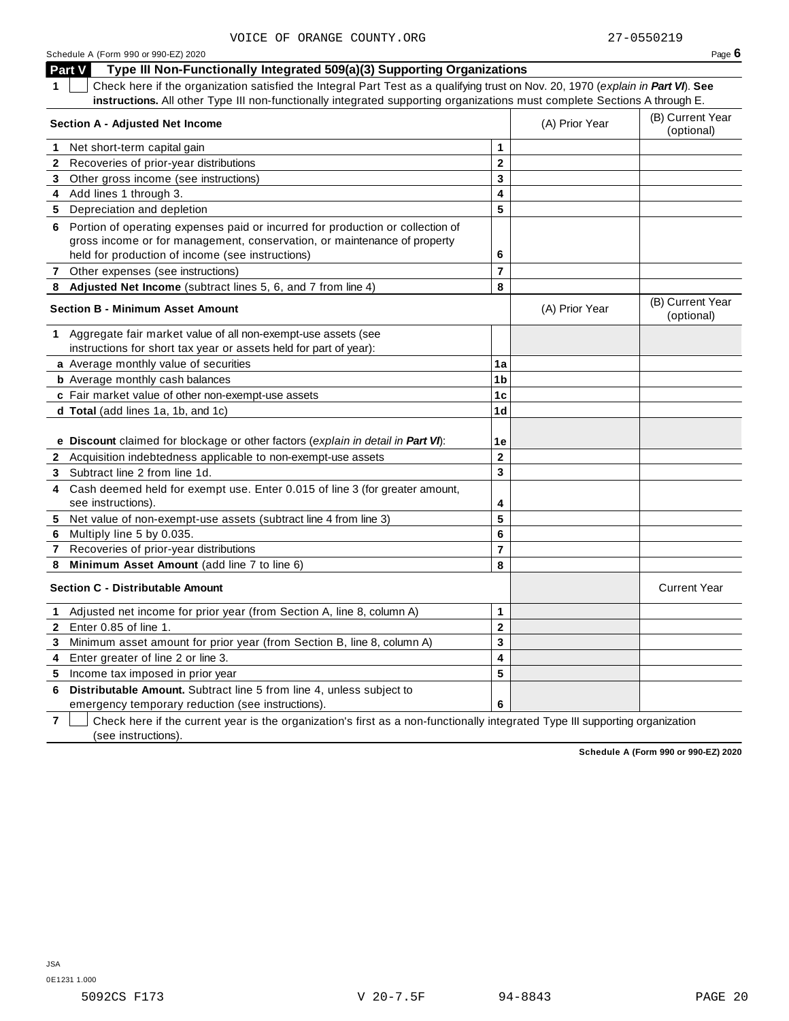| Schedule A (Form 990 or 990-EZ) 2020 | Page $6$ |
|--------------------------------------|----------|
|--------------------------------------|----------|

**Part V Type III Non-Functionally Integrated 509(a)(3) Supporting Organizations 1** Check here if the organization satisfied the Integral Part Test as a qualifying trust on Nov. 20, 1970 (*explain in Part VI*). **See instructions.** All other Type III non-functionally integrated supporting organizations must complete Sections A through E. (B) Current Year **Section <sup>A</sup> - Adjusted Net Income** (A) Prior Year (optional) **1** Net short-term capital gain **1 1 2 3 4 5 2** Recoveries of prior-year distributions **3** Other gross income (see instructions) **4** Add lines 1 through 3. **5** Depreciation and depletion **6** Portion of operating expenses paid or incurred for production or collection of gross income or for management, conservation, or maintenance of property held for production of income (see instructions) **6 7** Other expenses (see instructions) **7 8 Adjusted Net Income** (subtract lines 5, 6, and 7 from line 4) **8** (B) Current Year **Section <sup>B</sup> - Minimum Asset Amount** (A) Prior Year (optional) **1** Aggregate fair market value of all non-exempt-use assets (see instructions for short tax year or assets held for part of year): **a** Average monthly value of securities **1a 1b 1c 1d 1e b** Average monthly cash balances **c** Fair market value of other non-exempt-use assets **d Total** (add lines 1a, 1b, and 1c) **e Discount** claimed for blockage or other factors (*explain in detail in Part VI*): **2** Acquisition indebtedness applicable to non-exempt-use assets **2 3 4 5 6 7 8 3** Subtract line 2 from line 1d. **4** Cash deemed held for exempt use. Enter 0.015 of line 3 (for greater amount, see instructions). **5** Net value of non-exempt-use assets (subtract line 4 from line 3) **6** Multiply line 5 by 0.035. **7** Recoveries of prior-year distributions **8 Minimum Asset Amount** (add line 7 to line 6) **Section C -** Distributable Amount **Current Year** Current Year **Current Year** Current Year **Current Year 1** Adjusted net income for prior year (from Section A, line 8, column A) **1 2 3 4 5 2** Enter 0.85 of line 1. **3** Minimum asset amount for prior year (from Section B, line 8, column A) **4** Enter greater of line 2 or line 3. **5** Income tax imposed in prior year **6 Distributable Amount.** Subtract line 5 from line 4, unless subject to

emergency temporary reduction (see instructions).

**7** Check here if the current year is the organization's first as a non-functionally integrated Type III supporting organization (see instructions).

**Schedule A (Form 990 or 990-EZ) 2020**

**6**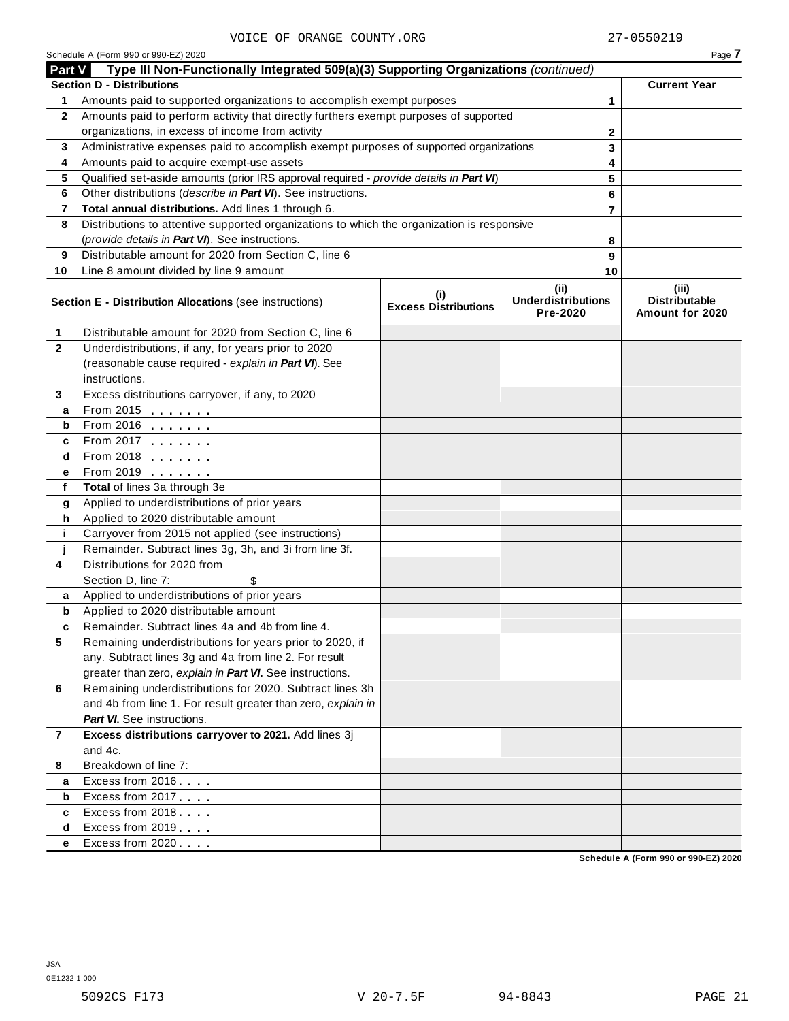|                | Schedule A (Form 990 or 990-EZ) 2020                                                       |                                    |                                               |    | Page 7                                           |
|----------------|--------------------------------------------------------------------------------------------|------------------------------------|-----------------------------------------------|----|--------------------------------------------------|
| Part V         | Type III Non-Functionally Integrated 509(a)(3) Supporting Organizations (continued)        |                                    |                                               |    |                                                  |
|                | <b>Section D - Distributions</b>                                                           |                                    |                                               |    | <b>Current Year</b>                              |
| 1              | Amounts paid to supported organizations to accomplish exempt purposes                      |                                    |                                               | 1  |                                                  |
| $\mathbf{2}$   | Amounts paid to perform activity that directly furthers exempt purposes of supported       |                                    |                                               |    |                                                  |
|                | organizations, in excess of income from activity                                           |                                    |                                               |    |                                                  |
| 3              | Administrative expenses paid to accomplish exempt purposes of supported organizations      |                                    |                                               | 3  |                                                  |
| 4              | Amounts paid to acquire exempt-use assets                                                  |                                    |                                               | 4  |                                                  |
| 5              | Qualified set-aside amounts (prior IRS approval required - provide details in Part VI)     |                                    |                                               | 5  |                                                  |
| 6              | Other distributions (describe in Part VI). See instructions.                               |                                    |                                               | 6  |                                                  |
| 7              | Total annual distributions. Add lines 1 through 6.                                         |                                    |                                               |    |                                                  |
| 8              | Distributions to attentive supported organizations to which the organization is responsive |                                    |                                               |    |                                                  |
|                | (provide details in Part VI). See instructions.                                            |                                    |                                               | 8  |                                                  |
| 9              | Distributable amount for 2020 from Section C, line 6                                       |                                    |                                               | 9  |                                                  |
| 10             | Line 8 amount divided by line 9 amount                                                     |                                    |                                               | 10 |                                                  |
|                | <b>Section E - Distribution Allocations (see instructions)</b>                             | (i)<br><b>Excess Distributions</b> | (ii)<br><b>Underdistributions</b><br>Pre-2020 |    | (iii)<br><b>Distributable</b><br>Amount for 2020 |
| $\mathbf{1}$   | Distributable amount for 2020 from Section C, line 6                                       |                                    |                                               |    |                                                  |
| $\mathbf{2}$   | Underdistributions, if any, for years prior to 2020                                        |                                    |                                               |    |                                                  |
|                | (reasonable cause required - explain in Part VI). See                                      |                                    |                                               |    |                                                  |
|                | instructions.                                                                              |                                    |                                               |    |                                                  |
| 3              | Excess distributions carryover, if any, to 2020                                            |                                    |                                               |    |                                                  |
| a              | From 2015 $\frac{1}{2}$                                                                    |                                    |                                               |    |                                                  |
| b              |                                                                                            |                                    |                                               |    |                                                  |
| c              | From 2017 $\frac{1}{2}$                                                                    |                                    |                                               |    |                                                  |
| d              | From 2018 $\frac{1}{2}$                                                                    |                                    |                                               |    |                                                  |
| е              | From 2019                                                                                  |                                    |                                               |    |                                                  |
| f              | Total of lines 3a through 3e                                                               |                                    |                                               |    |                                                  |
| g              | Applied to underdistributions of prior years                                               |                                    |                                               |    |                                                  |
| h              | Applied to 2020 distributable amount                                                       |                                    |                                               |    |                                                  |
| j.             | Carryover from 2015 not applied (see instructions)                                         |                                    |                                               |    |                                                  |
|                | Remainder. Subtract lines 3g, 3h, and 3i from line 3f.                                     |                                    |                                               |    |                                                  |
| 4              | Distributions for 2020 from                                                                |                                    |                                               |    |                                                  |
|                | Section D, line 7:                                                                         |                                    |                                               |    |                                                  |
| a              | Applied to underdistributions of prior years                                               |                                    |                                               |    |                                                  |
| b              | Applied to 2020 distributable amount                                                       |                                    |                                               |    |                                                  |
|                | Remainder. Subtract lines 4a and 4b from line 4.                                           |                                    |                                               |    |                                                  |
| 5              | Remaining underdistributions for years prior to 2020, if                                   |                                    |                                               |    |                                                  |
|                | any. Subtract lines 3g and 4a from line 2. For result                                      |                                    |                                               |    |                                                  |
|                | greater than zero, explain in Part VI. See instructions.                                   |                                    |                                               |    |                                                  |
| 6              | Remaining underdistributions for 2020. Subtract lines 3h                                   |                                    |                                               |    |                                                  |
|                | and 4b from line 1. For result greater than zero, explain in                               |                                    |                                               |    |                                                  |
|                | <b>Part VI.</b> See instructions.                                                          |                                    |                                               |    |                                                  |
| $\overline{7}$ | Excess distributions carryover to 2021. Add lines 3j                                       |                                    |                                               |    |                                                  |
|                | and 4c.                                                                                    |                                    |                                               |    |                                                  |
| 8              | Breakdown of line 7:                                                                       |                                    |                                               |    |                                                  |
| a              | Excess from 2016                                                                           |                                    |                                               |    |                                                  |
| b              | Excess from 2017                                                                           |                                    |                                               |    |                                                  |
| c              | Excess from 2018                                                                           |                                    |                                               |    |                                                  |
| d              | Excess from 2019                                                                           |                                    |                                               |    |                                                  |
| е              | Excess from 2020                                                                           |                                    |                                               |    | 0.00552000                                       |

**Schedule A (Form 990 or 990-EZ) 2020**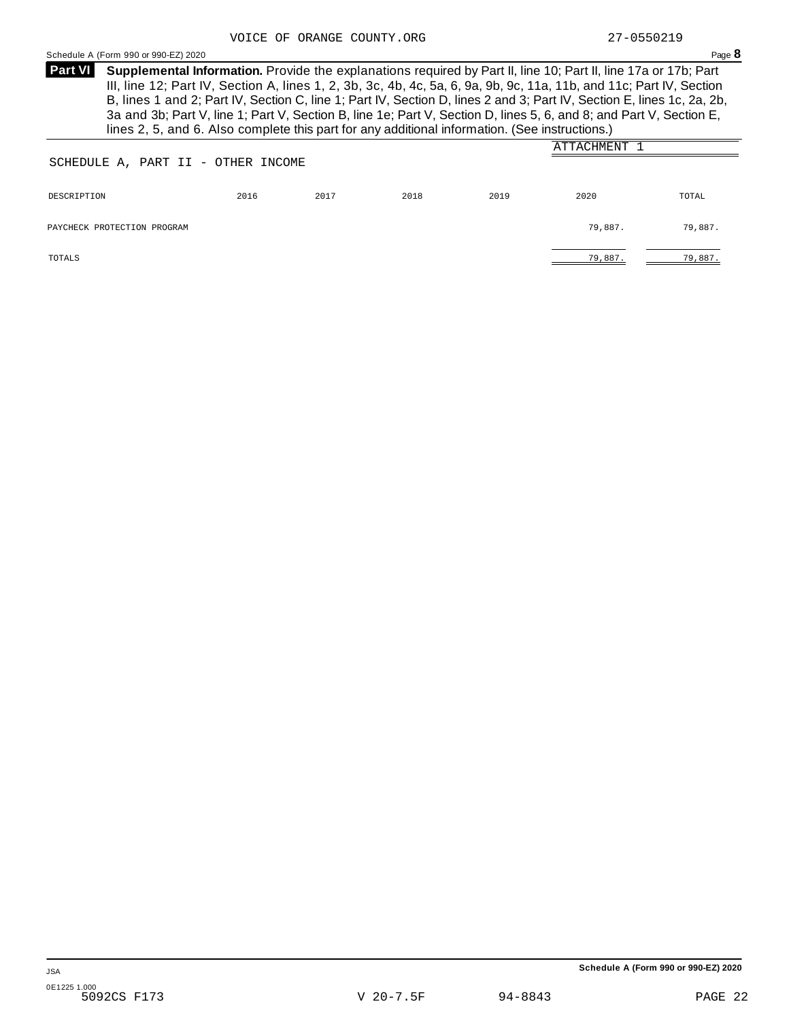<span id="page-19-0"></span>Schedule <sup>A</sup> (Form <sup>990</sup> or 990-EZ) <sup>2020</sup> Page **8**

**Supplemental Information.** Provide the explanations required by Part II, line 10; Part II, line 17a or 17b; Part **Part VI** III, line 12; Part IV, Section A, lines 1, 2, 3b, 3c, 4b, 4c, 5a, 6, 9a, 9b, 9c, 11a, 11b, and 11c; Part IV, Section B, lines 1 and 2; Part IV, Section C, line 1; Part IV, Section D, lines 2 and 3; Part IV, Section E, lines 1c, 2a, 2b, 3a and 3b; Part V, line 1; Part V, Section B, line 1e; Part V, Section D, lines 5, 6, and 8; and Part V, Section E, lines 2, 5, and 6. Also complete this part for any additional information. (See instructions.)

|                                    |      |      |      |      | ATTACHMENT 1 |         |
|------------------------------------|------|------|------|------|--------------|---------|
| SCHEDULE A, PART II - OTHER INCOME |      |      |      |      |              |         |
| DESCRIPTION                        | 2016 | 2017 | 2018 | 2019 | 2020         | TOTAL   |
| PAYCHECK PROTECTION PROGRAM        |      |      |      |      | 79,887.      | 79,887. |
| TOTALS                             |      |      |      |      | 79,887.      | 79,887. |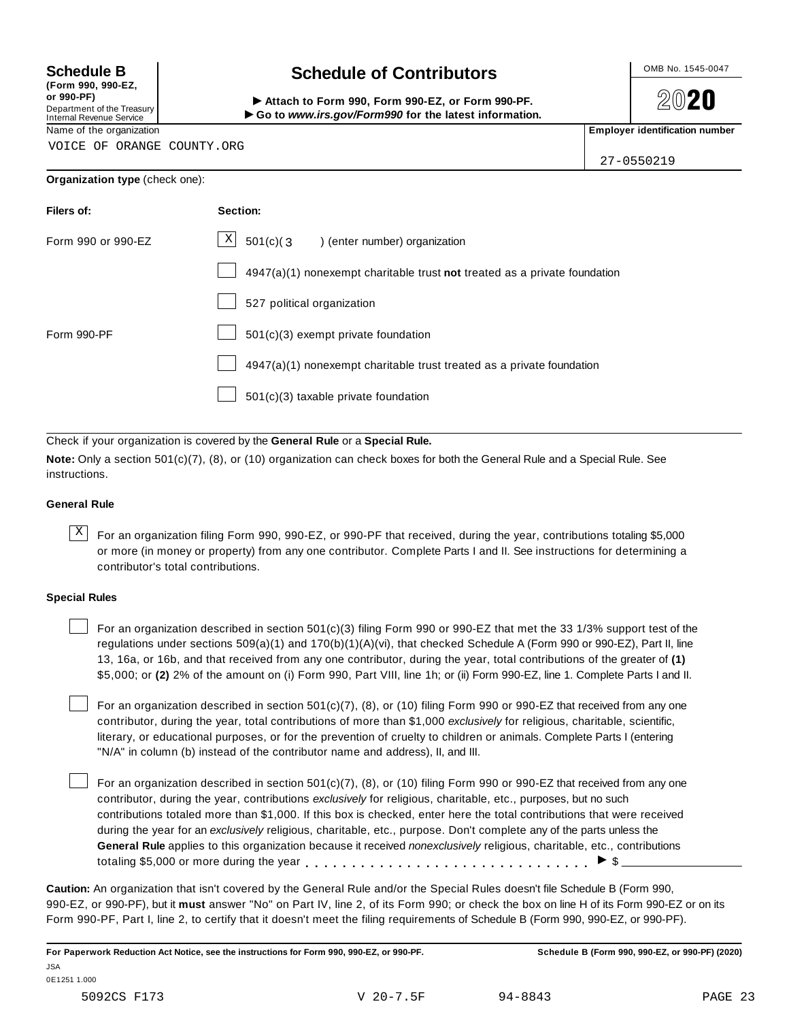**(Form 990, 990-EZ, or 990-PF)**

# Department of the Treasury<br>Internal Revenue Service

VOICE OF ORANGE COUNTY.ORG

# **Schedule B chedule of Contributors**

(Form 990, 990-EZ,<br>
or 990-PF,<br>
Department of the Treasury **COLOCY**<br>
Internal Revenue Service **COLOCY**<br>
Name of the organization<br>
Name of the organization

**2020** 

27-0550219

| <b>Organization type (check one):</b> |                                                                           |  |
|---------------------------------------|---------------------------------------------------------------------------|--|
| Filers of:                            | Section:                                                                  |  |
| Form 990 or 990-EZ                    | $\mathbf{x}$<br>$501(c)$ $(3$<br>) (enter number) organization            |  |
|                                       | 4947(a)(1) nonexempt charitable trust not treated as a private foundation |  |
|                                       | 527 political organization                                                |  |
| Form 990-PF                           | 501(c)(3) exempt private foundation                                       |  |

501(c)(3) taxable private foundation

Check if your organization is covered by the **General Rule** or a **Special Rule.**

**Note:** Only a section 501(c)(7), (8), or (10) organization can check boxes for both the General Rule and a Special Rule. See instructions.

#### **General Rule**

 $\overline{X}$  For an organization filing Form 990, 990-EZ, or 990-PF that received, during the year, contributions totaling \$5,000 or more (in money or property) from any one contributor. Complete Parts I and II. See instructions for determining a contributor's total contributions.

4947(a)(1) nonexempt charitable trust treated as a private foundation

#### **Special Rules**

For an organization described in section 501(c)(3) filing Form 990 or 990-EZ that met the 33 1/3% support test of the regulations under sections 509(a)(1) and 170(b)(1)(A)(vi), that checked Schedule A (Form 990 or 990-EZ), Part II, line 13, 16a, or 16b, and that received from any one contributor, during the year, total contributions of the greater of **(1)** \$5,000; or **(2)** 2% of the amount on (i) Form 990, Part VIII, line 1h; or (ii) Form 990-EZ, line 1. Complete Parts I and II.

For an organization described in section 501(c)(7), (8), or (10) filing Form 990 or 990-EZ that received from any one contributor, during the year, total contributions of more than \$1,000 *exclusively* for religious, charitable, scientific, literary, or educational purposes, or for the prevention of cruelty to children or animals. Complete Parts I (entering "N/A" in column (b) instead of the contributor name and address), II, and III.

For an organization described in section  $501(c)(7)$ , (8), or (10) filing Form 990 or 990-EZ that received from any one contributor, during the year, contributions *exclusively* for religious, charitable, etc., purposes, but no such contributions totaled more than \$1,000. If this box is checked, enter here the total contributions that were received during the year for an *exclusively* religious, charitable, etc., purpose. Don't complete any of the parts unless the **General Rule** applies to this organization because it received *nonexclusively* religious, charitable, etc., contributions totaling \$5,000 or more during the year  $\ldots \ldots \ldots \ldots \ldots \ldots \ldots \ldots \ldots \vdots$ 

**Caution:** An organization that isn't covered by the General Rule and/or the Special Rules doesn't file Schedule B (Form 990, 990-EZ, or 990-PF), but it **must** answer "No" on Part IV, line 2, of its Form 990; or check the box on line H of its Form 990-EZ or on its Form 990-PF, Part I, line 2, to certify that it doesn't meet the filing requirements of Schedule B (Form 990, 990-EZ, or 990-PF).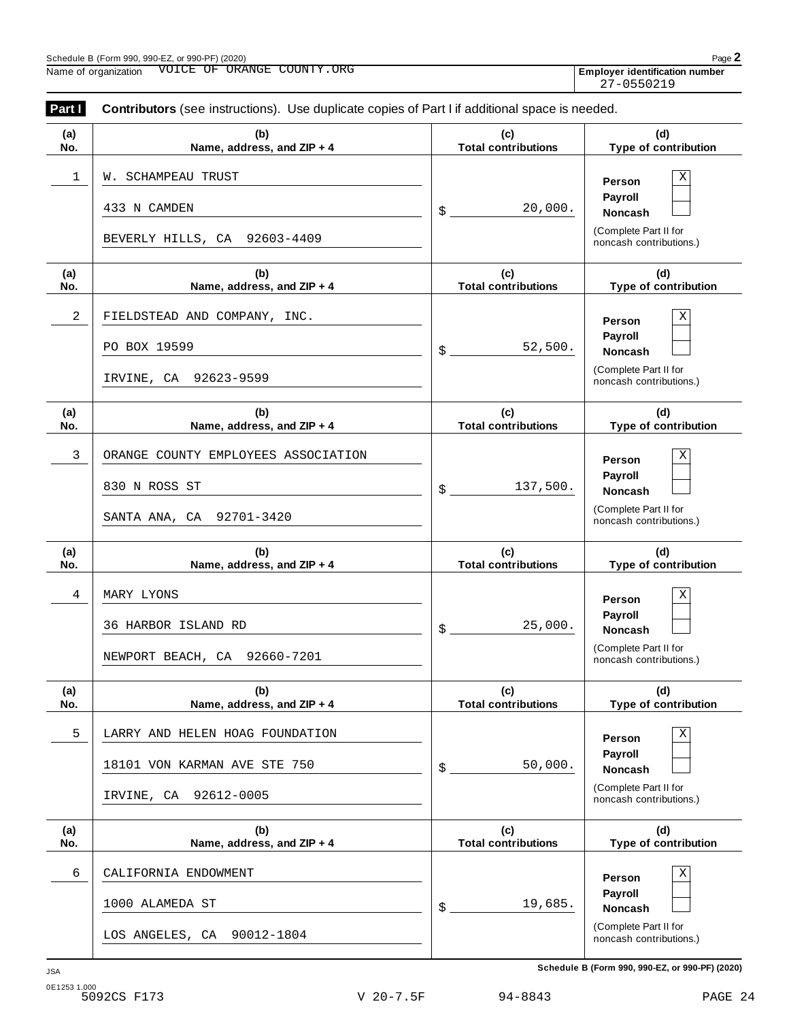| Part I     | Contributors (see instructions). Use duplicate copies of Part I if additional space is needed. |                                   |                                                                                                        |
|------------|------------------------------------------------------------------------------------------------|-----------------------------------|--------------------------------------------------------------------------------------------------------|
| (a)<br>No. | (b)<br>Name, address, and ZIP + 4                                                              | (c)<br><b>Total contributions</b> | (d)<br>Type of contribution                                                                            |
| 1          | W. SCHAMPEAU TRUST<br>433 N CAMDEN<br>BEVERLY HILLS, CA 92603-4409                             | 20,000.<br>\$                     | Χ<br>Person<br>Payroll<br><b>Noncash</b><br>(Complete Part II for<br>noncash contributions.)           |
| (a)<br>No. | (b)<br>Name, address, and ZIP + 4                                                              | (c)<br><b>Total contributions</b> | (d)<br>Type of contribution                                                                            |
| 2          | FIELDSTEAD AND COMPANY, INC.<br>PO BOX 19599<br>IRVINE, CA 92623-9599                          | 52,500.<br>\$                     | Χ<br>Person<br>Payroll<br><b>Noncash</b><br>(Complete Part II for<br>noncash contributions.)           |
| (a)<br>No. | (b)<br>Name, address, and ZIP + 4                                                              | (c)<br><b>Total contributions</b> | (d)<br>Type of contribution                                                                            |
| 3          | ORANGE COUNTY EMPLOYEES ASSOCIATION<br>830 N ROSS ST<br>SANTA ANA, CA 92701-3420               | 137,500.<br>\$                    | $\mathbf X$<br>Person<br>Payroll<br><b>Noncash</b><br>(Complete Part II for<br>noncash contributions.) |
| (a)<br>No. | (b)<br>Name, address, and ZIP + 4                                                              | (c)<br><b>Total contributions</b> | (d)<br>Type of contribution                                                                            |
| 4          | MARY LYONS<br>36 HARBOR ISLAND RD<br>NEWPORT BEACH, CA 92660-7201                              | 25,000.<br>\$                     | $\mathbf X$<br>Person<br>Payroll<br><b>Noncash</b><br>(Complete Part II for<br>noncash contributions.) |
| (a)<br>No. | (b)<br>Name, address, and ZIP + 4                                                              | (c)<br><b>Total contributions</b> | (d)<br>Type of contribution                                                                            |
| 5          | LARRY AND HELEN HOAG FOUNDATION<br>18101 VON KARMAN AVE STE 750<br>92612-0005<br>IRVINE, CA    | 50,000.<br>\$                     | Χ<br>Person<br><b>Payroll</b><br><b>Noncash</b><br>(Complete Part II for<br>noncash contributions.)    |
| (a)<br>No. | (b)<br>Name, address, and ZIP + 4                                                              | (c)<br><b>Total contributions</b> | (d)<br>Type of contribution                                                                            |
| 6          | CALIFORNIA ENDOWMENT<br>1000 ALAMEDA ST<br>90012-1804<br>LOS ANGELES, CA                       | 19,685.<br>\$                     | Χ<br>Person<br>Payroll<br><b>Noncash</b><br>(Complete Part II for<br>noncash contributions.)           |

**Schedule B (Form 990, 990-EZ, or 990-PF) (2020)** JSA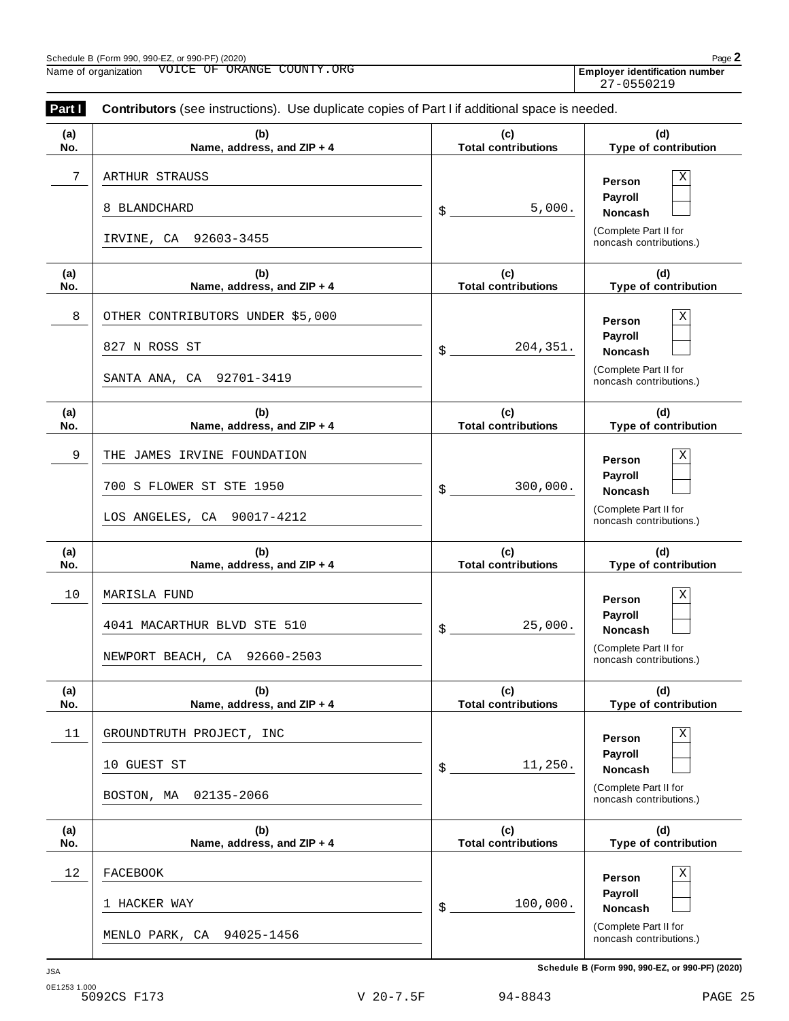**Part <b>I** Contributors (see instructions). Use duplicate copies of Part I if additional space is needed.

| .J. 990-F⊺<br>990-PF<br>: CForm 990، ۲ ک<br>Schedule<br>. or<br>JSA |
|---------------------------------------------------------------------|
|---------------------------------------------------------------------|

| (a)<br>No. | (b)<br>Name, address, and ZIP + 4     | (c)<br><b>Total contributions</b> | (d)<br>Type of contribution                      |
|------------|---------------------------------------|-----------------------------------|--------------------------------------------------|
| 7          | ARTHUR STRAUSS                        |                                   | Χ<br>Person<br>Payroll                           |
|            | 8 BLANDCHARD<br>IRVINE, CA 92603-3455 | 5,000.<br>\$                      | <b>Noncash</b><br>(Complete Part II for          |
| (a)        | (b)                                   | (c)                               | noncash contributions.)<br>(d)                   |
| No.        | Name, address, and ZIP + 4            | <b>Total contributions</b>        | Type of contribution                             |
| 8          | OTHER CONTRIBUTORS UNDER \$5,000      |                                   | Χ<br>Person<br>Payroll                           |
|            | 827 N ROSS ST                         | 204, 351.<br>\$                   | <b>Noncash</b>                                   |
|            | SANTA ANA, CA 92701-3419              |                                   | (Complete Part II for<br>noncash contributions.) |
| (a)<br>No. | (b)<br>Name, address, and ZIP + 4     | (c)<br><b>Total contributions</b> | (d)<br>Type of contribution                      |
| 9          | THE JAMES IRVINE FOUNDATION           |                                   | Χ<br>Person<br>Payroll                           |
|            | 700 S FLOWER ST STE 1950              | 300,000.<br>\$                    | <b>Noncash</b>                                   |
|            | LOS ANGELES, CA 90017-4212            |                                   | (Complete Part II for<br>noncash contributions.) |
| (a)        | (b)                                   | (c)                               | (d)                                              |
| No.        | Name, address, and ZIP + 4            | <b>Total contributions</b>        | Type of contribution                             |
| 10         | MARISLA FUND                          |                                   | Χ<br>Person                                      |
|            | 4041 MACARTHUR BLVD STE 510           |                                   | Payroll                                          |
|            |                                       |                                   |                                                  |
|            | NEWPORT BEACH, CA 92660-2503          | 25,000.<br>\$                     | <b>Noncash</b><br>(Complete Part II for          |
|            |                                       |                                   | noncash contributions.)                          |
| (a)<br>NO. | (b)<br>Name, address, and ZIP + 4     | (c)<br><b>Total contributions</b> | (d)<br>Type of contribution                      |
| 11         | GROUNDTRUTH PROJECT, INC              |                                   | $\mathbf X$<br>Person                            |
|            | 10 GUEST ST                           | 11,250.<br>\$                     | Payroll<br><b>Noncash</b>                        |
|            | 02135-2066<br>BOSTON, MA              |                                   | (Complete Part II for<br>noncash contributions.) |
| (a)        | (b)                                   | (c)                               | (d)                                              |
| No.        | Name, address, and ZIP + 4            | <b>Total contributions</b>        | Type of contribution                             |
| 12         | <b>FACEBOOK</b>                       |                                   | Χ<br>Person                                      |
|            | 1 HACKER WAY                          | 100,000.<br>\$                    | Payroll<br><b>Noncash</b>                        |

27-0550219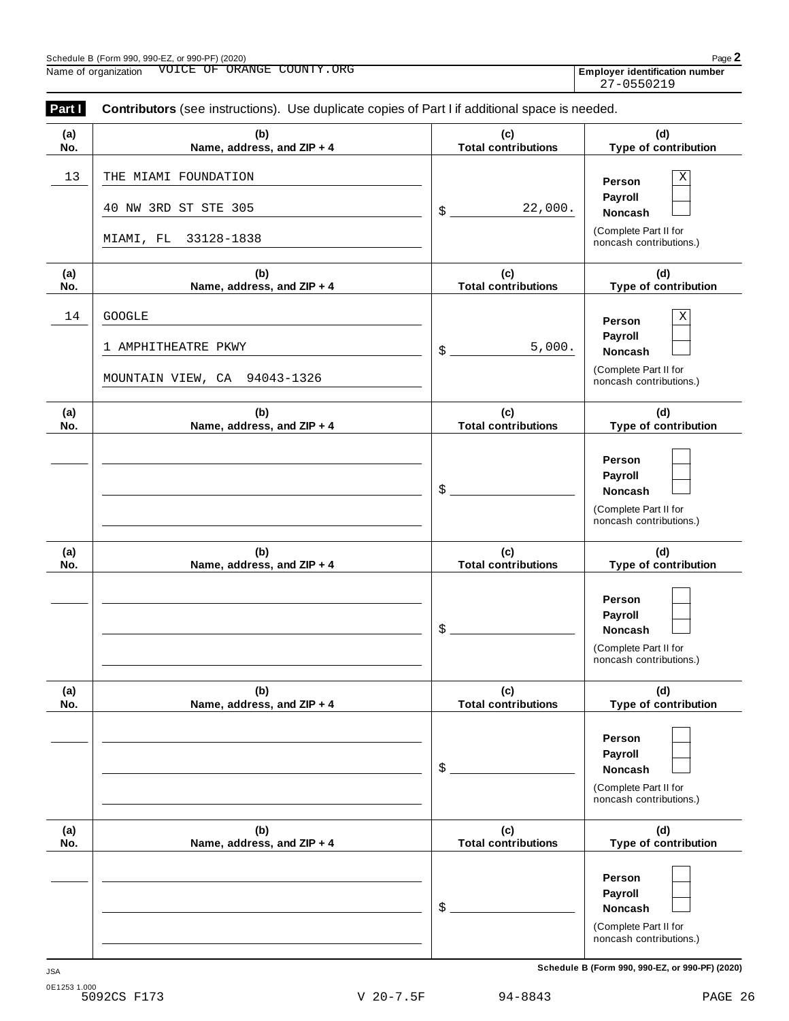Employer identification number<br>27-0550219

| Part I     | <b>Contributors</b> (see instructions). Use duplicate copies of Part I if additional space is needed. |                                   |                                                                                  |
|------------|-------------------------------------------------------------------------------------------------------|-----------------------------------|----------------------------------------------------------------------------------|
| (a)<br>No. | (b)<br>Name, address, and ZIP + 4                                                                     | (c)<br><b>Total contributions</b> | (d)<br>Type of contribution                                                      |
| 13         | THE MIAMI FOUNDATION<br>40 NW 3RD ST STE 305                                                          | 22,000.<br>\$                     | Χ<br>Person<br>Payroll<br>Noncash                                                |
|            | 33128-1838<br>MIAMI, FL                                                                               |                                   | (Complete Part II for<br>noncash contributions.)                                 |
| (a)<br>No. | (b)<br>Name, address, and ZIP + 4                                                                     | (c)<br><b>Total contributions</b> | (d)<br>Type of contribution                                                      |
| 14         | <b>GOOGLE</b><br>1 AMPHITHEATRE PKWY                                                                  | 5,000.<br>\$                      | Χ<br>Person<br>Payroll<br>Noncash                                                |
|            | MOUNTAIN VIEW, CA 94043-1326                                                                          |                                   | (Complete Part II for<br>noncash contributions.)                                 |
| (a)<br>No. | (b)<br>Name, address, and ZIP + 4                                                                     | (c)<br><b>Total contributions</b> | (d)<br>Type of contribution                                                      |
|            |                                                                                                       | \$                                | Person<br>Payroll<br>Noncash<br>(Complete Part II for<br>noncash contributions.) |
| (a)<br>No. | (b)<br>Name, address, and ZIP + 4                                                                     | (c)<br><b>Total contributions</b> | (d)<br>Type of contribution                                                      |
|            |                                                                                                       | \$                                | Person<br>Payroll<br>Noncash<br>(Complete Part II for<br>noncash contributions.) |
| (a)<br>No. | (b)<br>Name, address, and ZIP + 4                                                                     | (c)<br><b>Total contributions</b> | (d)<br>Type of contribution                                                      |
|            |                                                                                                       | \$                                | Person<br>Payroll<br>Noncash<br>(Complete Part II for<br>noncash contributions.) |
| (a)<br>No. | (b)<br>Name, address, and ZIP + 4                                                                     | (c)<br><b>Total contributions</b> | (d)<br>Type of contribution                                                      |
|            |                                                                                                       | \$                                | Person<br>Payroll<br>Noncash<br>(Complete Part II for<br>noncash contributions.) |

**Schedule B (Form 990, 990-EZ, or 990-PF) (2020)** JSA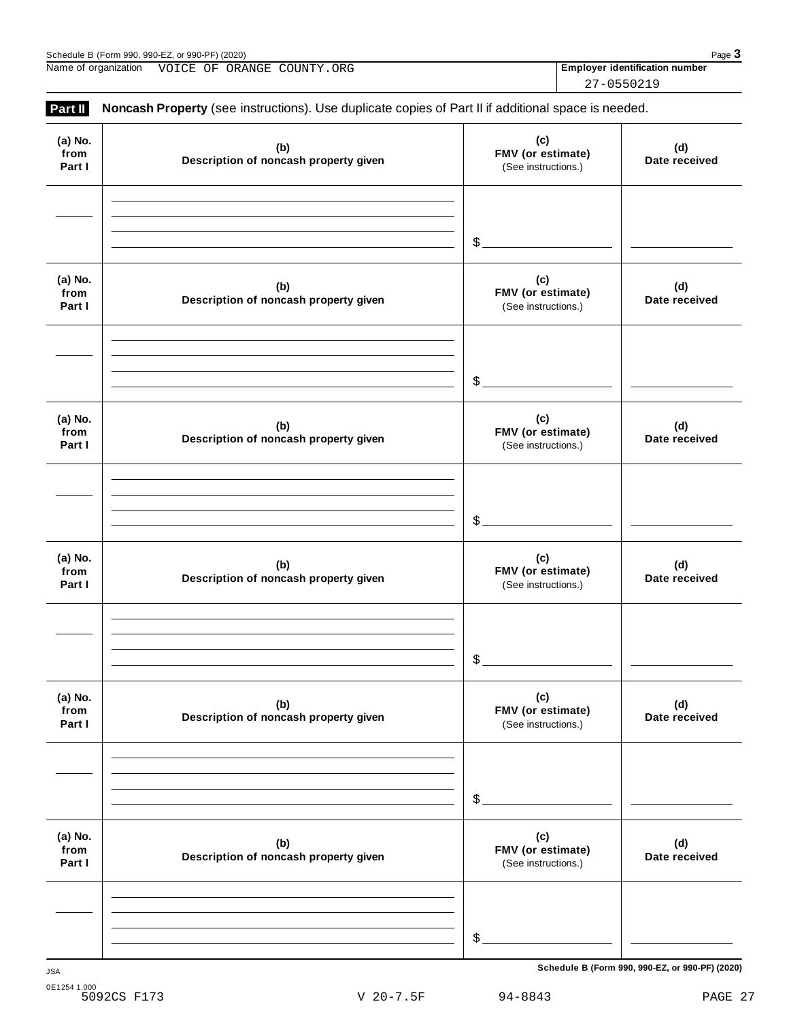| ---<br>, (2020)<br>$\alpha r$ QQ $\Omega$ . $\mathsf{P}\Gamma$<br>$\sim$<br>Schedule<br>റററ<br>-990.<br>'⊢orm<br>- ランプリーニー<br>- - - - - - - - | Pac<br>$\mathbf{1}$ |
|-----------------------------------------------------------------------------------------------------------------------------------------------|---------------------|
|                                                                                                                                               |                     |

Name of organization **WOICE OF ORANGE COUNTY.ORG Employer identification number** 

| w |  | ١ |
|---|--|---|
|---|--|---|

| (a) No.<br>from<br>Part I | (b)<br>Description of noncash property given | (c)<br>FMV (or estimate)<br>(See instructions.) | (d)<br>Date received |
|---------------------------|----------------------------------------------|-------------------------------------------------|----------------------|
|                           |                                              | \$                                              |                      |
| (a) No.<br>from<br>Part I | (b)<br>Description of noncash property given | (c)<br>FMV (or estimate)<br>(See instructions.) | (d)<br>Date received |
|                           |                                              | \$                                              |                      |
| (a) No.<br>from<br>Part I | (b)<br>Description of noncash property given | (c)<br>FMV (or estimate)<br>(See instructions.) | (d)<br>Date received |
|                           |                                              | \$                                              |                      |
| (a) No.<br>from<br>Part I | (b)<br>Description of noncash property given | (c)<br>FMV (or estimate)<br>(See instructions.) | (d)<br>Date received |
|                           |                                              | \$                                              |                      |
| (a) No.<br>from<br>Part I | (b)<br>Description of noncash property given | (c)<br>FMV (or estimate)<br>(See instructions.) | (d)<br>Date received |
|                           |                                              | $$^{\circ}$                                     |                      |
| (a) No.<br>from<br>Part I | (b)<br>Description of noncash property given | (c)<br>FMV (or estimate)<br>(See instructions.) | (d)<br>Date received |
|                           |                                              | $$^{\circ}$                                     |                      |

**Part II Noncash Property** (see instructions). Use duplicate copies of Part II if additional space is needed.

27-0550219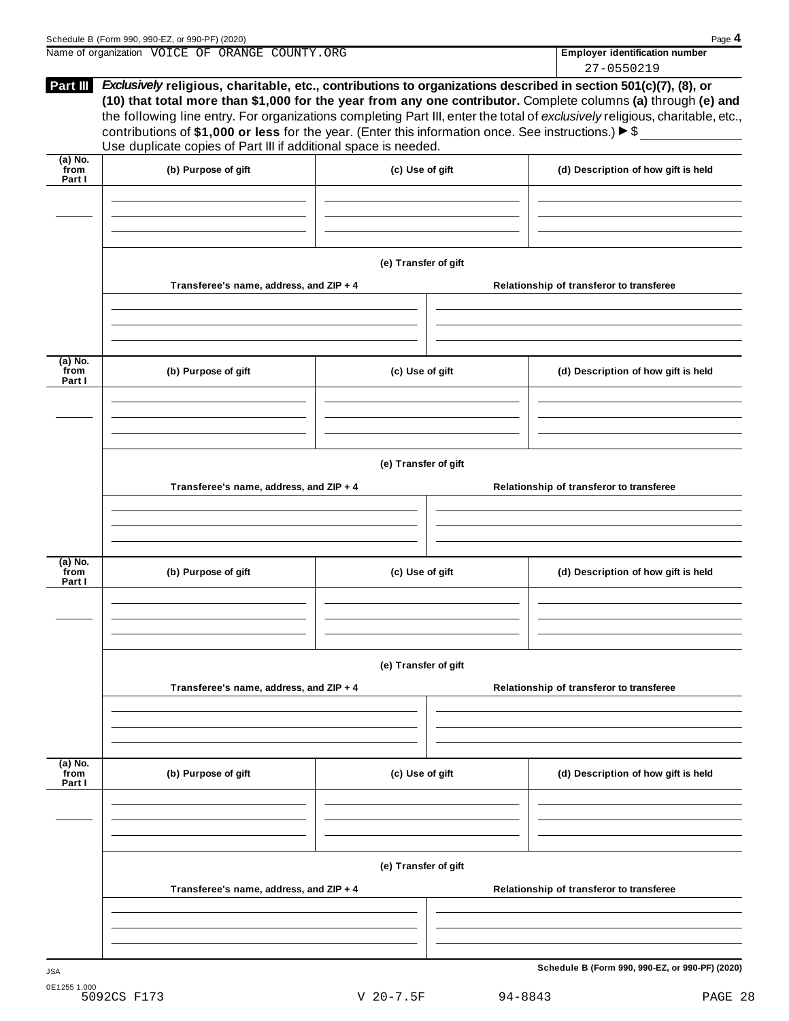| contributions of \$1,000 or less for the year. (Enter this information once. See instructions.) $\blacktriangleright$ \$<br>Use duplicate copies of Part III if additional space is needed.<br>(b) Purpose of gift<br>Transferee's name, address, and ZIP + 4<br>(b) Purpose of gift<br>Transferee's name, address, and ZIP + 4 | (c) Use of gift<br>(e) Transfer of gift<br>(c) Use of gift<br>(e) Transfer of gift | 27-0550219<br>Exclusively religious, charitable, etc., contributions to organizations described in section 501(c)(7), (8), or<br>(10) that total more than \$1,000 for the year from any one contributor. Complete columns (a) through (e) and<br>the following line entry. For organizations completing Part III, enter the total of exclusively religious, charitable, etc.,<br>(d) Description of how gift is held<br>Relationship of transferor to transferee<br>(d) Description of how gift is held<br>Relationship of transferor to transferee |
|---------------------------------------------------------------------------------------------------------------------------------------------------------------------------------------------------------------------------------------------------------------------------------------------------------------------------------|------------------------------------------------------------------------------------|------------------------------------------------------------------------------------------------------------------------------------------------------------------------------------------------------------------------------------------------------------------------------------------------------------------------------------------------------------------------------------------------------------------------------------------------------------------------------------------------------------------------------------------------------|
|                                                                                                                                                                                                                                                                                                                                 |                                                                                    |                                                                                                                                                                                                                                                                                                                                                                                                                                                                                                                                                      |
|                                                                                                                                                                                                                                                                                                                                 |                                                                                    |                                                                                                                                                                                                                                                                                                                                                                                                                                                                                                                                                      |
|                                                                                                                                                                                                                                                                                                                                 |                                                                                    |                                                                                                                                                                                                                                                                                                                                                                                                                                                                                                                                                      |
|                                                                                                                                                                                                                                                                                                                                 |                                                                                    |                                                                                                                                                                                                                                                                                                                                                                                                                                                                                                                                                      |
|                                                                                                                                                                                                                                                                                                                                 |                                                                                    |                                                                                                                                                                                                                                                                                                                                                                                                                                                                                                                                                      |
|                                                                                                                                                                                                                                                                                                                                 |                                                                                    |                                                                                                                                                                                                                                                                                                                                                                                                                                                                                                                                                      |
|                                                                                                                                                                                                                                                                                                                                 |                                                                                    |                                                                                                                                                                                                                                                                                                                                                                                                                                                                                                                                                      |
| (b) Purpose of gift                                                                                                                                                                                                                                                                                                             | (c) Use of gift                                                                    | (d) Description of how gift is held                                                                                                                                                                                                                                                                                                                                                                                                                                                                                                                  |
|                                                                                                                                                                                                                                                                                                                                 |                                                                                    |                                                                                                                                                                                                                                                                                                                                                                                                                                                                                                                                                      |
|                                                                                                                                                                                                                                                                                                                                 | (e) Transfer of gift                                                               | Relationship of transferor to transferee                                                                                                                                                                                                                                                                                                                                                                                                                                                                                                             |
|                                                                                                                                                                                                                                                                                                                                 |                                                                                    |                                                                                                                                                                                                                                                                                                                                                                                                                                                                                                                                                      |
|                                                                                                                                                                                                                                                                                                                                 |                                                                                    | (d) Description of how gift is held                                                                                                                                                                                                                                                                                                                                                                                                                                                                                                                  |
|                                                                                                                                                                                                                                                                                                                                 | (e) Transfer of gift                                                               | Relationship of transferor to transferee                                                                                                                                                                                                                                                                                                                                                                                                                                                                                                             |
|                                                                                                                                                                                                                                                                                                                                 |                                                                                    |                                                                                                                                                                                                                                                                                                                                                                                                                                                                                                                                                      |
|                                                                                                                                                                                                                                                                                                                                 | (b) Purpose of gift                                                                | Transferee's name, address, and ZIP + 4<br>(c) Use of gift<br>Transferee's name, address, and ZIP + 4                                                                                                                                                                                                                                                                                                                                                                                                                                                |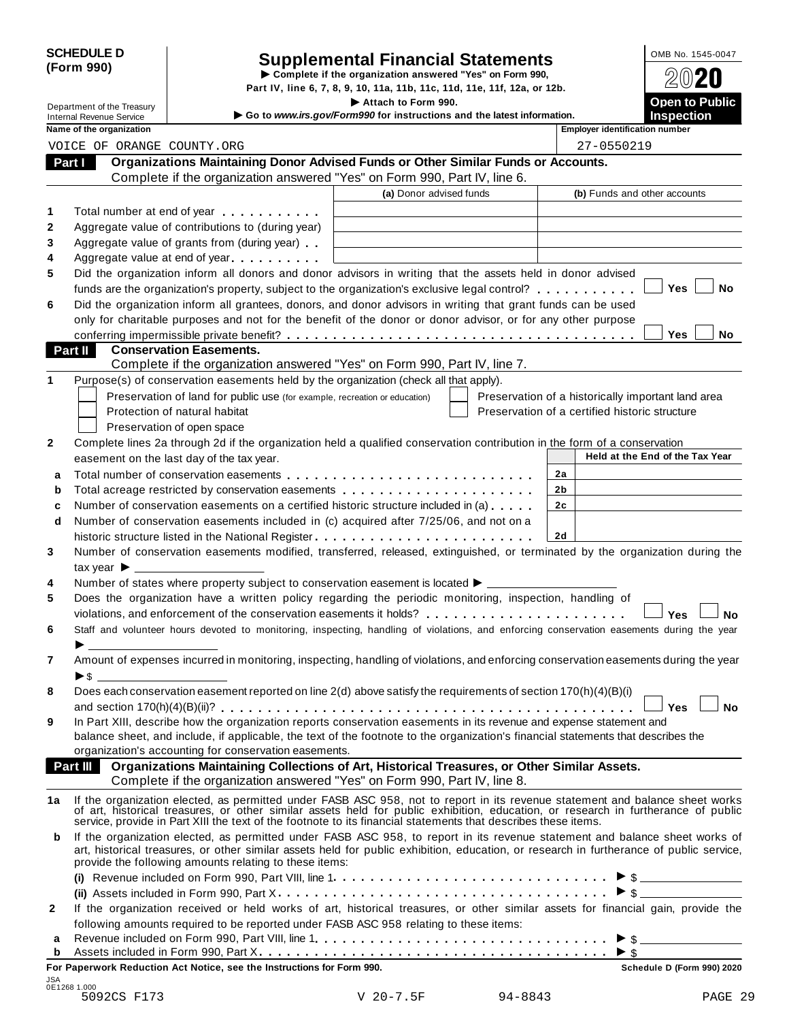|            | <b>SCHEDULE D</b> |
|------------|-------------------|
| (Form 990) |                   |

# SCHEDULE D<br>
Supplemental Financial Statements<br>
Form 990)<br>
Part IV, line 6, 7, 8, 9, 10, 11a, 11b, 11c, 11d, 11e, 11f, 12a, or 12b.<br>
Part IV, line 6, 7, 8, 9, 10, 11a, 11b, 11c, 11d, 11e, 11f, 12a, or 12b.

|    |                                                               |                                                                                                                                                                                                                                                                                                                                                  | Part IV, line 6, 7, 8, 9, 10, 11a, 11b, 11c, 11d, 11e, 11f, 12a, or 12b.                      |    |                                                    |           |
|----|---------------------------------------------------------------|--------------------------------------------------------------------------------------------------------------------------------------------------------------------------------------------------------------------------------------------------------------------------------------------------------------------------------------------------|-----------------------------------------------------------------------------------------------|----|----------------------------------------------------|-----------|
|    | Department of the Treasury<br><b>Internal Revenue Service</b> |                                                                                                                                                                                                                                                                                                                                                  | Attach to Form 990.<br>Go to www.irs.gov/Form990 for instructions and the latest information. |    | <b>Open to Public</b><br><b>Inspection</b>         |           |
|    | Name of the organization                                      |                                                                                                                                                                                                                                                                                                                                                  |                                                                                               |    | <b>Employer identification number</b>              |           |
|    | VOICE OF ORANGE COUNTY.ORG                                    |                                                                                                                                                                                                                                                                                                                                                  |                                                                                               |    | 27-0550219                                         |           |
|    | Part I                                                        | Organizations Maintaining Donor Advised Funds or Other Similar Funds or Accounts.                                                                                                                                                                                                                                                                |                                                                                               |    |                                                    |           |
|    |                                                               | Complete if the organization answered "Yes" on Form 990, Part IV, line 6.                                                                                                                                                                                                                                                                        |                                                                                               |    |                                                    |           |
|    |                                                               |                                                                                                                                                                                                                                                                                                                                                  | (a) Donor advised funds                                                                       |    | (b) Funds and other accounts                       |           |
| 1  |                                                               | Total number at end of year <b>that the state of the state of the state of the state of the state of the state of the state of the state of the state of the state of the state of the state of the state of the state of the st</b>                                                                                                             |                                                                                               |    |                                                    |           |
| 2  |                                                               | Aggregate value of contributions to (during year)                                                                                                                                                                                                                                                                                                |                                                                                               |    |                                                    |           |
| 3  |                                                               | Aggregate value of grants from (during year)                                                                                                                                                                                                                                                                                                     |                                                                                               |    |                                                    |           |
| 4  |                                                               | Aggregate value at end of year                                                                                                                                                                                                                                                                                                                   |                                                                                               |    |                                                    |           |
| 5  |                                                               | Did the organization inform all donors and donor advisors in writing that the assets held in donor advised                                                                                                                                                                                                                                       |                                                                                               |    |                                                    |           |
|    |                                                               | funds are the organization's property, subject to the organization's exclusive legal control?                                                                                                                                                                                                                                                    |                                                                                               |    | Yes                                                | No        |
| 6  |                                                               | Did the organization inform all grantees, donors, and donor advisors in writing that grant funds can be used                                                                                                                                                                                                                                     |                                                                                               |    |                                                    |           |
|    |                                                               | only for charitable purposes and not for the benefit of the donor or donor advisor, or for any other purpose                                                                                                                                                                                                                                     |                                                                                               |    |                                                    |           |
|    |                                                               |                                                                                                                                                                                                                                                                                                                                                  |                                                                                               |    | Yes                                                | No        |
|    | Part II                                                       | <b>Conservation Easements.</b>                                                                                                                                                                                                                                                                                                                   |                                                                                               |    |                                                    |           |
|    |                                                               | Complete if the organization answered "Yes" on Form 990, Part IV, line 7.                                                                                                                                                                                                                                                                        |                                                                                               |    |                                                    |           |
| 1  |                                                               | Purpose(s) of conservation easements held by the organization (check all that apply).                                                                                                                                                                                                                                                            |                                                                                               |    |                                                    |           |
|    |                                                               | Preservation of land for public use (for example, recreation or education)                                                                                                                                                                                                                                                                       |                                                                                               |    | Preservation of a historically important land area |           |
|    |                                                               | Protection of natural habitat                                                                                                                                                                                                                                                                                                                    |                                                                                               |    | Preservation of a certified historic structure     |           |
|    |                                                               | Preservation of open space                                                                                                                                                                                                                                                                                                                       |                                                                                               |    |                                                    |           |
| 2  |                                                               | Complete lines 2a through 2d if the organization held a qualified conservation contribution in the form of a conservation                                                                                                                                                                                                                        |                                                                                               |    |                                                    |           |
|    |                                                               | easement on the last day of the tax year.                                                                                                                                                                                                                                                                                                        |                                                                                               |    | Held at the End of the Tax Year                    |           |
| a  |                                                               |                                                                                                                                                                                                                                                                                                                                                  |                                                                                               | 2a |                                                    |           |
| b  |                                                               | Total acreage restricted by conservation easements                                                                                                                                                                                                                                                                                               |                                                                                               | 2b |                                                    |           |
| c  |                                                               | Number of conservation easements on a certified historic structure included in (a)                                                                                                                                                                                                                                                               |                                                                                               | 2c |                                                    |           |
| d  |                                                               | Number of conservation easements included in (c) acquired after 7/25/06, and not on a                                                                                                                                                                                                                                                            |                                                                                               |    |                                                    |           |
|    |                                                               |                                                                                                                                                                                                                                                                                                                                                  |                                                                                               | 2d |                                                    |           |
| 3  |                                                               | Number of conservation easements modified, transferred, released, extinguished, or terminated by the organization during the                                                                                                                                                                                                                     |                                                                                               |    |                                                    |           |
| 4  | tax year $\blacktriangleright$ $\perp$                        | Number of states where property subject to conservation easement is located ▶ _________                                                                                                                                                                                                                                                          |                                                                                               |    |                                                    |           |
| 5  |                                                               | Does the organization have a written policy regarding the periodic monitoring, inspection, handling of                                                                                                                                                                                                                                           |                                                                                               |    |                                                    |           |
|    |                                                               | violations, and enforcement of the conservation easements it holds?                                                                                                                                                                                                                                                                              |                                                                                               |    | Yes                                                | No        |
| 6  |                                                               | Staff and volunteer hours devoted to monitoring, inspecting, handling of violations, and enforcing conservation easements during the year                                                                                                                                                                                                        |                                                                                               |    |                                                    |           |
|    |                                                               |                                                                                                                                                                                                                                                                                                                                                  |                                                                                               |    |                                                    |           |
| 7  |                                                               | Amount of expenses incurred in monitoring, inspecting, handling of violations, and enforcing conservation easements during the year                                                                                                                                                                                                              |                                                                                               |    |                                                    |           |
|    |                                                               |                                                                                                                                                                                                                                                                                                                                                  |                                                                                               |    |                                                    |           |
| 8  |                                                               | Does each conservation easement reported on line 2(d) above satisfy the requirements of section 170(h)(4)(B)(i)                                                                                                                                                                                                                                  |                                                                                               |    |                                                    |           |
|    |                                                               |                                                                                                                                                                                                                                                                                                                                                  |                                                                                               |    | Yes                                                | <b>No</b> |
| 9  |                                                               | In Part XIII, describe how the organization reports conservation easements in its revenue and expense statement and                                                                                                                                                                                                                              |                                                                                               |    |                                                    |           |
|    |                                                               | balance sheet, and include, if applicable, the text of the footnote to the organization's financial statements that describes the                                                                                                                                                                                                                |                                                                                               |    |                                                    |           |
|    |                                                               | organization's accounting for conservation easements.                                                                                                                                                                                                                                                                                            |                                                                                               |    |                                                    |           |
|    | Part III                                                      | Organizations Maintaining Collections of Art, Historical Treasures, or Other Similar Assets.                                                                                                                                                                                                                                                     |                                                                                               |    |                                                    |           |
|    |                                                               | Complete if the organization answered "Yes" on Form 990, Part IV, line 8.                                                                                                                                                                                                                                                                        |                                                                                               |    |                                                    |           |
| 1a |                                                               | If the organization elected, as permitted under FASB ASC 958, not to report in its revenue statement and balance sheet works of art, historical treasures, or other similar assets held for public exhibition, education, or r<br>service, provide in Part XIII the text of the footnote to its financial statements that describes these items. |                                                                                               |    |                                                    |           |
| b  |                                                               | If the organization elected, as permitted under FASB ASC 958, to report in its revenue statement and balance sheet works of<br>art, historical treasures, or other similar assets held for public exhibition, education, or research in furtherance of public service,<br>provide the following amounts relating to these items:                 |                                                                                               |    |                                                    |           |
|    |                                                               |                                                                                                                                                                                                                                                                                                                                                  |                                                                                               |    |                                                    |           |
|    |                                                               |                                                                                                                                                                                                                                                                                                                                                  |                                                                                               |    | $\triangleright$ \$                                |           |
| 2  |                                                               | If the organization received or held works of art, historical treasures, or other similar assets for financial gain, provide the                                                                                                                                                                                                                 |                                                                                               |    |                                                    |           |
|    |                                                               | following amounts required to be reported under FASB ASC 958 relating to these items:                                                                                                                                                                                                                                                            |                                                                                               |    |                                                    |           |
| а  |                                                               |                                                                                                                                                                                                                                                                                                                                                  |                                                                                               |    |                                                    |           |
| b  |                                                               |                                                                                                                                                                                                                                                                                                                                                  |                                                                                               |    |                                                    |           |
|    |                                                               |                                                                                                                                                                                                                                                                                                                                                  |                                                                                               |    |                                                    |           |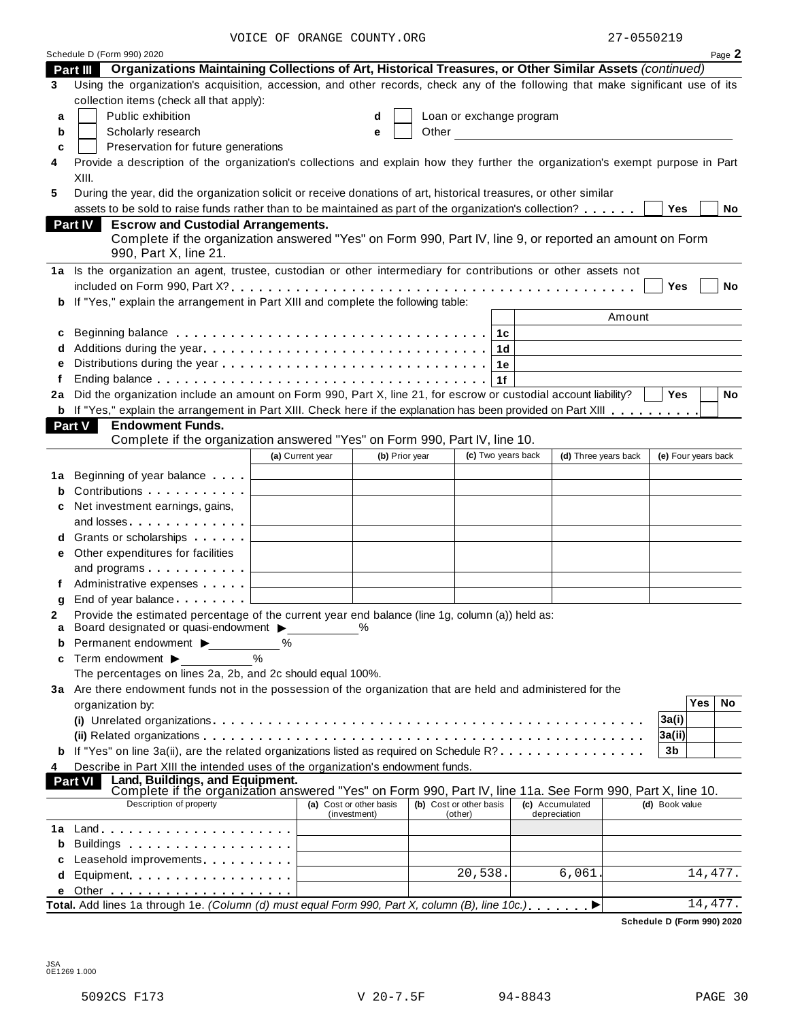VOICE OF ORANGE COUNTY.ORG 27-0550219

|        | Schedule D (Form 990) 2020                                                                                                                                      |                                     |               |                |       |                          |                |                                                     |                |            | Page 2              |  |
|--------|-----------------------------------------------------------------------------------------------------------------------------------------------------------------|-------------------------------------|---------------|----------------|-------|--------------------------|----------------|-----------------------------------------------------|----------------|------------|---------------------|--|
|        | Part III Organizations Maintaining Collections of Art, Historical Treasures, or Other Similar Assets (continued)                                                |                                     |               |                |       |                          |                |                                                     |                |            |                     |  |
| 3      | Using the organization's acquisition, accession, and other records, check any of the following that make significant use of its                                 |                                     |               |                |       |                          |                |                                                     |                |            |                     |  |
|        | collection items (check all that apply):                                                                                                                        |                                     |               |                |       |                          |                |                                                     |                |            |                     |  |
| a      | Public exhibition                                                                                                                                               |                                     | d             |                |       | Loan or exchange program |                |                                                     |                |            |                     |  |
| b      | Scholarly research                                                                                                                                              |                                     | е             |                | Other |                          |                | <u> 1980 - Jan James James Barbara, president e</u> |                |            |                     |  |
| C      | Preservation for future generations                                                                                                                             |                                     |               |                |       |                          |                |                                                     |                |            |                     |  |
| 4      | Provide a description of the organization's collections and explain how they further the organization's exempt purpose in Part                                  |                                     |               |                |       |                          |                |                                                     |                |            |                     |  |
|        | XIII.                                                                                                                                                           |                                     |               |                |       |                          |                |                                                     |                |            |                     |  |
| 5      | During the year, did the organization solicit or receive donations of art, historical treasures, or other similar                                               |                                     |               |                |       |                          |                |                                                     |                |            |                     |  |
|        | assets to be sold to raise funds rather than to be maintained as part of the organization's collection?<br>Part IV<br><b>Escrow and Custodial Arrangements.</b> |                                     |               |                |       |                          |                |                                                     |                | <b>Yes</b> | No                  |  |
|        | Complete if the organization answered "Yes" on Form 990, Part IV, line 9, or reported an amount on Form                                                         |                                     |               |                |       |                          |                |                                                     |                |            |                     |  |
|        | 990, Part X, line 21.                                                                                                                                           |                                     |               |                |       |                          |                |                                                     |                |            |                     |  |
|        | 1a Is the organization an agent, trustee, custodian or other intermediary for contributions or other assets not                                                 |                                     |               |                |       |                          |                |                                                     |                |            |                     |  |
|        |                                                                                                                                                                 |                                     |               |                |       |                          |                |                                                     |                | Yes        | No                  |  |
|        | If "Yes," explain the arrangement in Part XIII and complete the following table:                                                                                |                                     |               |                |       |                          |                |                                                     |                |            |                     |  |
|        |                                                                                                                                                                 |                                     |               |                |       |                          |                |                                                     | Amount         |            |                     |  |
| c      |                                                                                                                                                                 |                                     |               |                |       |                          | 1c             |                                                     |                |            |                     |  |
| d      |                                                                                                                                                                 |                                     |               |                |       |                          | 1 <sub>d</sub> |                                                     |                |            |                     |  |
| e      |                                                                                                                                                                 |                                     |               |                |       |                          | 1e             |                                                     |                |            |                     |  |
| f      |                                                                                                                                                                 |                                     |               |                |       |                          | 1f             |                                                     |                |            |                     |  |
| 2a     | Did the organization include an amount on Form 990, Part X, line 21, for escrow or custodial account liability?                                                 |                                     |               |                |       |                          |                |                                                     |                | Yes        | <b>No</b>           |  |
|        | <b>b</b> If "Yes," explain the arrangement in Part XIII. Check here if the explanation has been provided on Part XIII<br>Part V<br><b>Endowment Funds.</b>      |                                     |               |                |       |                          |                |                                                     |                |            |                     |  |
|        | Complete if the organization answered "Yes" on Form 990, Part IV, line 10.                                                                                      |                                     |               |                |       |                          |                |                                                     |                |            |                     |  |
|        |                                                                                                                                                                 | (a) Current year                    |               | (b) Prior year |       | (c) Two years back       |                | (d) Three years back                                |                |            | (e) Four years back |  |
| 1a     | Beginning of year balance $\qquad \qquad \Box$                                                                                                                  | the contract of the contract of the |               |                |       |                          |                |                                                     |                |            |                     |  |
| b      | Contributions $\begin{array}{ccc} \hline \end{array}$                                                                                                           |                                     |               |                |       |                          |                |                                                     |                |            |                     |  |
| c      | Net investment earnings, gains,                                                                                                                                 |                                     |               |                |       |                          |                |                                                     |                |            |                     |  |
|        |                                                                                                                                                                 |                                     |               |                |       |                          |                |                                                     |                |            |                     |  |
| d      | Grants or scholarships $\ldots$                                                                                                                                 |                                     |               |                |       |                          |                |                                                     |                |            |                     |  |
| е      | Other expenditures for facilities                                                                                                                               |                                     |               |                |       |                          |                |                                                     |                |            |                     |  |
|        | and programs $\ldots \ldots \ldots$                                                                                                                             |                                     |               |                |       |                          |                |                                                     |                |            |                     |  |
|        | Administrative expenses example and a material and a material and a material and a material and a material and                                                  |                                     |               |                |       |                          |                |                                                     |                |            |                     |  |
| g      |                                                                                                                                                                 |                                     |               |                |       |                          |                |                                                     |                |            |                     |  |
| 2      | Provide the estimated percentage of the current year end balance (line 1g, column (a)) held as:                                                                 |                                     |               |                |       |                          |                |                                                     |                |            |                     |  |
| a      | Board designated or quasi-endowment $\blacktriangleright$<br>Permanent endowment >                                                                              | ℅                                   | $\frac{0}{0}$ |                |       |                          |                |                                                     |                |            |                     |  |
| b<br>c | $\%$<br>Term endowment ▶                                                                                                                                        |                                     |               |                |       |                          |                |                                                     |                |            |                     |  |
|        | The percentages on lines 2a, 2b, and 2c should equal 100%.                                                                                                      |                                     |               |                |       |                          |                |                                                     |                |            |                     |  |
|        | 3a Are there endowment funds not in the possession of the organization that are held and administered for the                                                   |                                     |               |                |       |                          |                |                                                     |                |            |                     |  |
|        | organization by:                                                                                                                                                |                                     |               |                |       |                          |                |                                                     |                | <b>Yes</b> | No                  |  |
|        |                                                                                                                                                                 |                                     |               |                |       |                          |                |                                                     | 3a(i)          |            |                     |  |
|        |                                                                                                                                                                 |                                     |               |                |       |                          |                |                                                     | 3a(ii)         |            |                     |  |
| b      | If "Yes" on line 3a(ii), are the related organizations listed as required on Schedule R?                                                                        |                                     |               |                |       |                          |                |                                                     | 3 <sub>b</sub> |            |                     |  |
| 4      | Describe in Part XIII the intended uses of the organization's endowment funds.                                                                                  |                                     |               |                |       |                          |                |                                                     |                |            |                     |  |
|        | Land, Buildings, and Equipment.<br>Part VI<br>Complete if the organization answered "Yes" on Form 990, Part IV, line 11a. See Form 990, Part X, line 10.        |                                     |               |                |       |                          |                |                                                     |                |            |                     |  |
|        | Description of property                                                                                                                                         | (a) Cost or other basis             |               |                |       | (b) Cost or other basis  |                | (c) Accumulated                                     | (d) Book value |            |                     |  |
| 1a     |                                                                                                                                                                 |                                     | (investment)  |                |       | (other)                  |                | depreciation                                        |                |            |                     |  |
| b      |                                                                                                                                                                 |                                     |               |                |       |                          |                |                                                     |                |            |                     |  |
| c      | Leasehold improvements experiences                                                                                                                              |                                     |               |                |       |                          |                |                                                     |                |            |                     |  |
| d      | Equipment                                                                                                                                                       |                                     |               |                |       | 20,538.                  |                | 6,061                                               |                |            | 14,477.             |  |
| е      |                                                                                                                                                                 |                                     |               |                |       |                          |                |                                                     |                |            |                     |  |
|        | Total. Add lines 1a through 1e. (Column (d) must equal Form 990, Part X, column (B), line 10c.)▶                                                                |                                     |               |                |       |                          |                |                                                     |                |            | 14,477.             |  |

**Schedule D (Form 990) 2020**

JSA 0E1269 1.000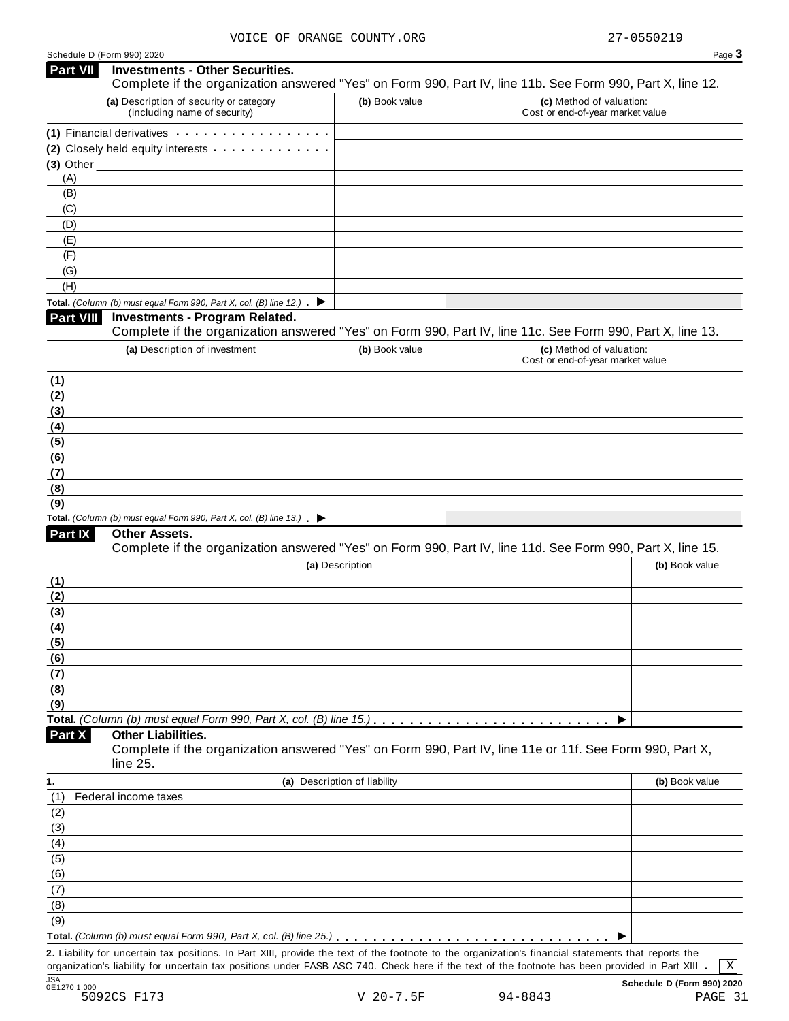| <b>Part VII</b>  | <b>Investments - Other Securities.</b><br>Complete if the organization answered "Yes" on Form 990, Part IV, line 11b. See Form 990, Part X, line 12.                                                                                                                                                   |                              |                                                              |                |
|------------------|--------------------------------------------------------------------------------------------------------------------------------------------------------------------------------------------------------------------------------------------------------------------------------------------------------|------------------------------|--------------------------------------------------------------|----------------|
|                  | (a) Description of security or category                                                                                                                                                                                                                                                                |                              |                                                              |                |
|                  | (including name of security)                                                                                                                                                                                                                                                                           | (b) Book value               | (c) Method of valuation:<br>Cost or end-of-year market value |                |
|                  | (1) Financial derivatives expansion of the state of the state of the state of the state of the state of the state of the state of the state of the state of the state of the state of the state of the state of the state of t                                                                         |                              |                                                              |                |
|                  | (2) Closely held equity interests                                                                                                                                                                                                                                                                      |                              |                                                              |                |
| $(3)$ Other      |                                                                                                                                                                                                                                                                                                        |                              |                                                              |                |
| (A)              |                                                                                                                                                                                                                                                                                                        |                              |                                                              |                |
| (B)              |                                                                                                                                                                                                                                                                                                        |                              |                                                              |                |
| (C)              |                                                                                                                                                                                                                                                                                                        |                              |                                                              |                |
| (D)              |                                                                                                                                                                                                                                                                                                        |                              |                                                              |                |
| (E)              |                                                                                                                                                                                                                                                                                                        |                              |                                                              |                |
| (F)              |                                                                                                                                                                                                                                                                                                        |                              |                                                              |                |
| (G)<br>(H)       |                                                                                                                                                                                                                                                                                                        |                              |                                                              |                |
|                  |                                                                                                                                                                                                                                                                                                        |                              |                                                              |                |
|                  | Total. (Column (b) must equal Form 990, Part X, col. (B) line 12.) $\blacktriangleright$                                                                                                                                                                                                               |                              |                                                              |                |
| <b>Part VIII</b> | <b>Investments - Program Related.</b><br>Complete if the organization answered "Yes" on Form 990, Part IV, line 11c. See Form 990, Part X, line 13.                                                                                                                                                    |                              |                                                              |                |
|                  |                                                                                                                                                                                                                                                                                                        |                              |                                                              |                |
|                  | (a) Description of investment                                                                                                                                                                                                                                                                          | (b) Book value               | (c) Method of valuation:<br>Cost or end-of-year market value |                |
| (1)              |                                                                                                                                                                                                                                                                                                        |                              |                                                              |                |
| (2)              |                                                                                                                                                                                                                                                                                                        |                              |                                                              |                |
| (3)              |                                                                                                                                                                                                                                                                                                        |                              |                                                              |                |
| (4)              |                                                                                                                                                                                                                                                                                                        |                              |                                                              |                |
| (5)              |                                                                                                                                                                                                                                                                                                        |                              |                                                              |                |
| (6)              |                                                                                                                                                                                                                                                                                                        |                              |                                                              |                |
| (7)              |                                                                                                                                                                                                                                                                                                        |                              |                                                              |                |
| (8)              |                                                                                                                                                                                                                                                                                                        |                              |                                                              |                |
| (9)              |                                                                                                                                                                                                                                                                                                        |                              |                                                              |                |
|                  | Total. (Column (b) must equal Form 990, Part X, col. (B) line 13.) $\blacktriangleright$                                                                                                                                                                                                               |                              |                                                              |                |
| <b>Part IX</b>   | Other Assets.                                                                                                                                                                                                                                                                                          |                              |                                                              |                |
|                  | Complete if the organization answered "Yes" on Form 990, Part IV, line 11d. See Form 990, Part X, line 15.                                                                                                                                                                                             |                              |                                                              |                |
|                  |                                                                                                                                                                                                                                                                                                        | (a) Description              |                                                              | (b) Book value |
| <u>(1)</u>       |                                                                                                                                                                                                                                                                                                        |                              |                                                              |                |
| (2)              |                                                                                                                                                                                                                                                                                                        |                              |                                                              |                |
| (3)              |                                                                                                                                                                                                                                                                                                        |                              |                                                              |                |
| (4)              |                                                                                                                                                                                                                                                                                                        |                              |                                                              |                |
| <u>(5)</u>       |                                                                                                                                                                                                                                                                                                        |                              |                                                              |                |
| (6)              |                                                                                                                                                                                                                                                                                                        |                              |                                                              |                |
| (7)              |                                                                                                                                                                                                                                                                                                        |                              |                                                              |                |
| (8)              |                                                                                                                                                                                                                                                                                                        |                              |                                                              |                |
| (9)              |                                                                                                                                                                                                                                                                                                        |                              |                                                              |                |
|                  | Total. (Column (b) must equal Form 990, Part X, col. (B) line 15.).                                                                                                                                                                                                                                    |                              |                                                              |                |
| <b>Part X</b>    | <b>Other Liabilities.</b><br>Complete if the organization answered "Yes" on Form 990, Part IV, line 11e or 11f. See Form 990, Part X,                                                                                                                                                                  |                              |                                                              |                |
|                  | line 25.                                                                                                                                                                                                                                                                                               |                              |                                                              |                |
|                  |                                                                                                                                                                                                                                                                                                        |                              |                                                              |                |
| 1.               | Federal income taxes                                                                                                                                                                                                                                                                                   | (a) Description of liability |                                                              | (b) Book value |
| (1)              |                                                                                                                                                                                                                                                                                                        |                              |                                                              |                |
| (2)              |                                                                                                                                                                                                                                                                                                        |                              |                                                              |                |
| (3)              |                                                                                                                                                                                                                                                                                                        |                              |                                                              |                |
| (4)              |                                                                                                                                                                                                                                                                                                        |                              |                                                              |                |
| (5)              |                                                                                                                                                                                                                                                                                                        |                              |                                                              |                |
| (6)              |                                                                                                                                                                                                                                                                                                        |                              |                                                              |                |
| (7)              |                                                                                                                                                                                                                                                                                                        |                              |                                                              |                |
| (8)              |                                                                                                                                                                                                                                                                                                        |                              |                                                              |                |
| (9)              |                                                                                                                                                                                                                                                                                                        |                              |                                                              |                |
|                  |                                                                                                                                                                                                                                                                                                        |                              |                                                              |                |
|                  | 2. Liability for uncertain tax positions. In Part XIII, provide the text of the footnote to the organization's financial statements that reports the<br>organization's liability for uncertain tax positions under FASB ASC 740. Check here if the text of the footnote has been provided in Part XIII |                              |                                                              | $\mathbf{x}$   |
|                  |                                                                                                                                                                                                                                                                                                        |                              |                                                              |                |

0E1270 1.000<br>16 SO92CS F173 V 20−7.5F 94-8843 PAGE 31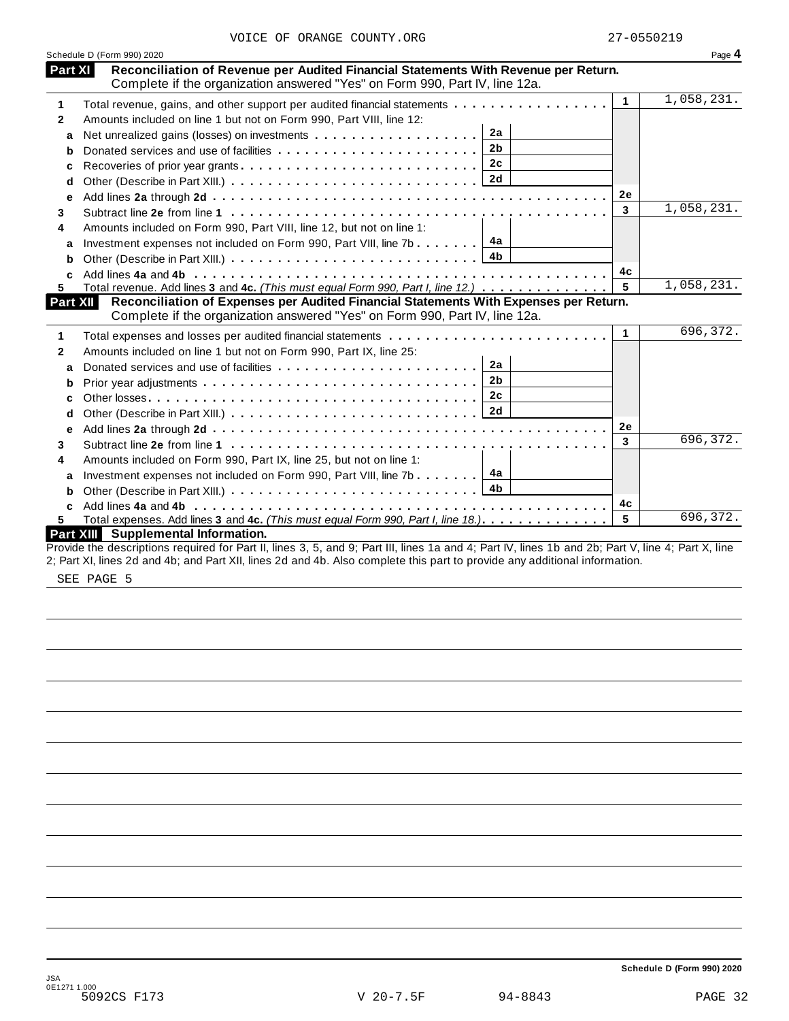|              | Schedule D (Form 990) 2020                                                                                                                         |              | Page 4     |
|--------------|----------------------------------------------------------------------------------------------------------------------------------------------------|--------------|------------|
| Part XI      | Reconciliation of Revenue per Audited Financial Statements With Revenue per Return.                                                                |              |            |
|              | Complete if the organization answered "Yes" on Form 990, Part IV, line 12a.                                                                        |              |            |
| 1            | Total revenue, gains, and other support per audited financial statements                                                                           | $\mathbf{1}$ | 1,058,231. |
| $\mathbf{2}$ | Amounts included on line 1 but not on Form 990, Part VIII, line 12:                                                                                |              |            |
| a            | 2a                                                                                                                                                 |              |            |
| b            | 2 <sub>b</sub><br>Donated services and use of facilities                                                                                           |              |            |
| c            | 2c<br>Recoveries of prior year grants                                                                                                              |              |            |
| d            | 2d                                                                                                                                                 |              |            |
| е            |                                                                                                                                                    | 2е           |            |
| 3            |                                                                                                                                                    | 3            | 1,058,231. |
| 4            | Amounts included on Form 990, Part VIII, line 12, but not on line 1:                                                                               |              |            |
| a            | 4a<br>Investment expenses not included on Form 990, Part VIII, line 7b                                                                             |              |            |
| b            | 4 <sub>b</sub>                                                                                                                                     |              |            |
|              |                                                                                                                                                    | 4c           |            |
| 5.           | Total revenue. Add lines 3 and 4c. (This must equal Form 990, Part I, line 12.)                                                                    | 5            | 1,058,231. |
| Part XII     | Reconciliation of Expenses per Audited Financial Statements With Expenses per Return.                                                              |              |            |
|              | Complete if the organization answered "Yes" on Form 990, Part IV, line 12a.                                                                        |              |            |
| 1            |                                                                                                                                                    | $\mathbf{1}$ | 696, 372.  |
| $\mathbf{2}$ | Amounts included on line 1 but not on Form 990, Part IX, line 25:                                                                                  |              |            |
| a            | 2a<br>Donated services and use of facilities                                                                                                       |              |            |
| b            | 2 <sub>b</sub>                                                                                                                                     |              |            |
| c            | 2c                                                                                                                                                 |              |            |
| d            | 2d                                                                                                                                                 |              |            |
| е            |                                                                                                                                                    | 2е           |            |
| 3            |                                                                                                                                                    | 3            | 696,372.   |
| 4            | Amounts included on Form 990, Part IX, line 25, but not on line 1:                                                                                 |              |            |
| a            | 4a<br>Investment expenses not included on Form 990, Part VIII, line 7b                                                                             |              |            |
| b            |                                                                                                                                                    |              |            |
| C            |                                                                                                                                                    | 4c           |            |
| 5.           | Total expenses. Add lines 3 and 4c. (This must equal Form 990, Part I, line 18.).                                                                  | 5            | 696,372.   |
|              | Part XIII Supplemental Information.                                                                                                                |              |            |
|              | Provide the descriptions required for Part II, lines 3, 5, and 9; Part III, lines 1a and 4; Part IV, lines 1b and 2b; Part V, line 4; Part X, line |              |            |
|              | 2; Part XI, lines 2d and 4b; and Part XII, lines 2d and 4b. Also complete this part to provide any additional information.                         |              |            |

SEE PAGE 5

**Schedule D (Form 990) 2020**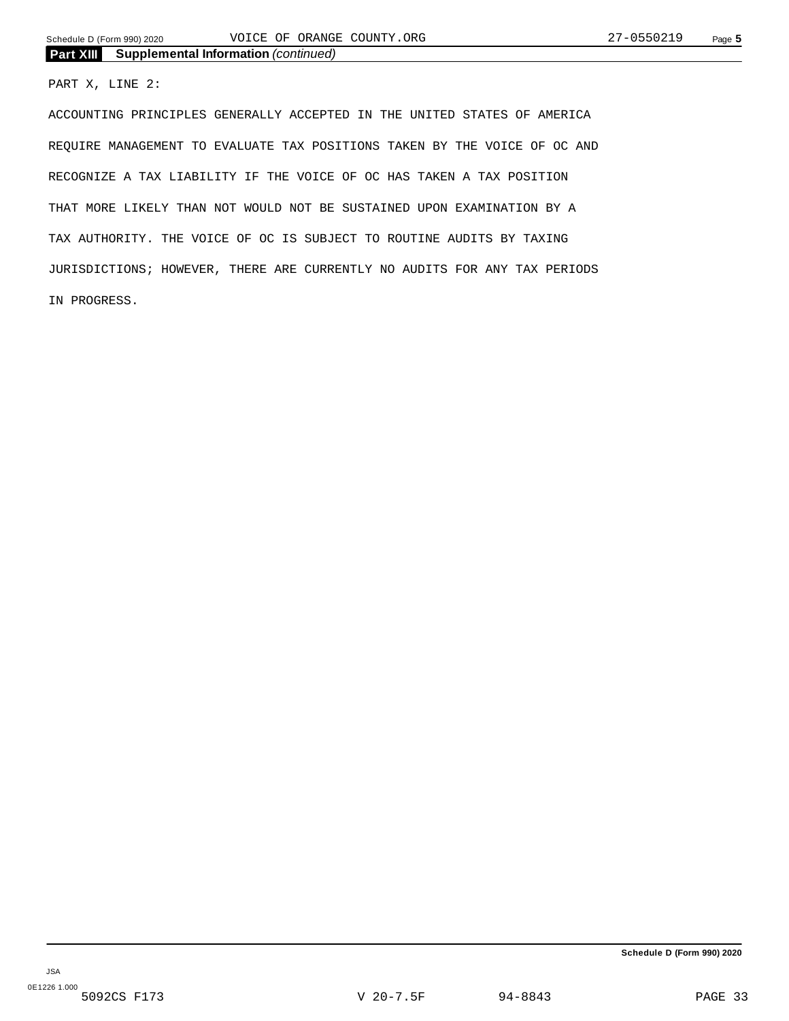**Part XIII Supplemental Information** *(continued)*

#### PART X, LINE 2:

ACCOUNTING PRINCIPLES GENERALLY ACCEPTED IN THE UNITED STATES OF AMERICA REQUIRE MANAGEMENT TO EVALUATE TAX POSITIONS TAKEN BY THE VOICE OF OC AND RECOGNIZE A TAX LIABILITY IF THE VOICE OF OC HAS TAKEN A TAX POSITION THAT MORE LIKELY THAN NOT WOULD NOT BE SUSTAINED UPON EXAMINATION BY A TAX AUTHORITY. THE VOICE OF OC IS SUBJECT TO ROUTINE AUDITS BY TAXING JURISDICTIONS; HOWEVER, THERE ARE CURRENTLY NO AUDITS FOR ANY TAX PERIODS IN PROGRESS.

**Schedule D (Form 990) 2020**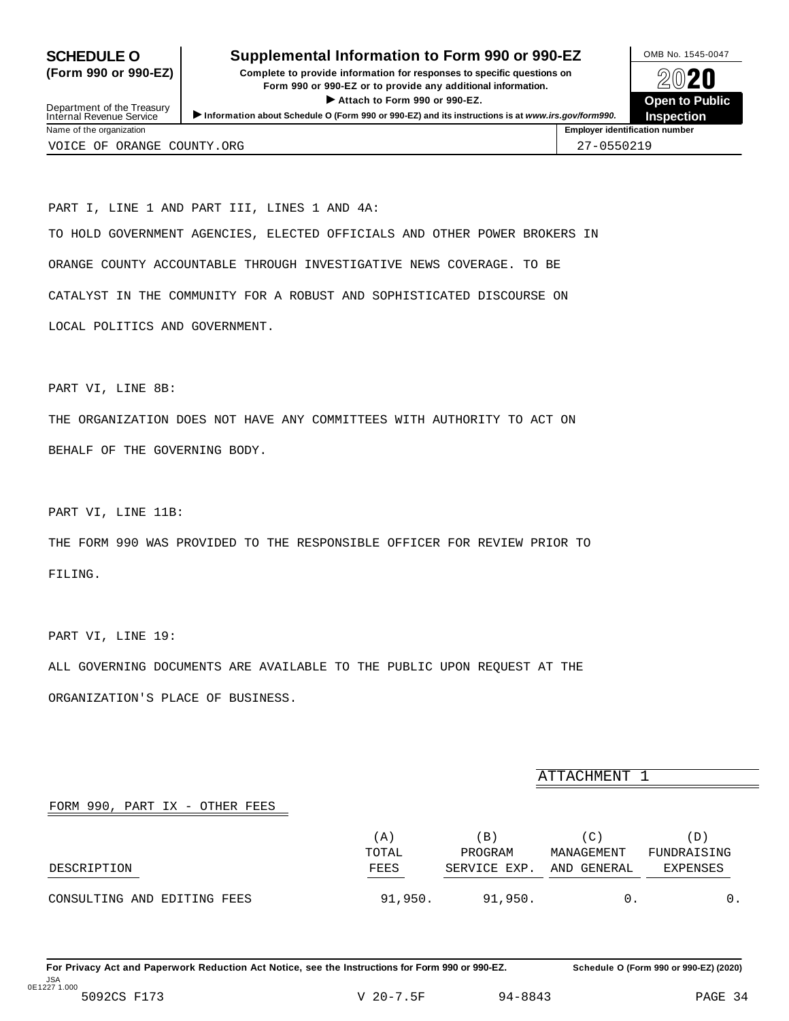### <span id="page-31-0"></span>**SCHEDULE O** Supplemental Information to Form 990 or 990-EZ DMB No. 1545-0047

**(Form 990 or 990-EZ) Complete to provide information for responses to specific questions on** plete to provide information for responses to specific questions on  $\bigotimes_{\mathbb{Z}}\mathbb{Q}$  20 **EVECT**<br>
Attach to Form 990 or 990-EZ.<br>
and the Communication of the Communication of the Communication of the Communication of the Communication of the Communication of the Communication of the Communication of the Commu Department of the Treasury between to Public<br>
Internal Revenue Service between to Public<br>
Name of the organization<br>
Name of the organization



Department of the Treasury<br>Internal Revenue Service

PART I, LINE 1 AND PART III, LINES 1 AND 4A: TO HOLD GOVERNMENT AGENCIES, ELECTED OFFICIALS AND OTHER POWER BROKERS IN ORANGE COUNTY ACCOUNTABLE THROUGH INVESTIGATIVE NEWS COVERAGE. TO BE CATALYST IN THE COMMUNITY FOR A ROBUST AND SOPHISTICATED DISCOURSE ON LOCAL POLITICS AND GOVERNMENT.

PART VI, LINE 8B:

THE ORGANIZATION DOES NOT HAVE ANY COMMITTEES WITH AUTHORITY TO ACT ON BEHALF OF THE GOVERNING BODY.

PART VI, LINE 11B:

THE FORM 990 WAS PROVIDED TO THE RESPONSIBLE OFFICER FOR REVIEW PRIOR TO FILING.

PART VI, LINE 19:

ALL GOVERNING DOCUMENTS ARE AVAILABLE TO THE PUBLIC UPON REQUEST AT THE ORGANIZATION'S PLACE OF BUSINESS.

ATTACHMENT 1

#### FORM 990, PART IX - OTHER FEES

|                             | (A)         | ΈB)          | $^{\prime}$ C $^{\prime}$ | (D)         |
|-----------------------------|-------------|--------------|---------------------------|-------------|
|                             | TOTAL       | PROGRAM      | MANAGEMENT                | FUNDRAISING |
| DESCRIPTION                 | FEES<br>___ | SERVICE EXP. | AND GENERAL               | EXPENSES    |
| CONSULTING AND EDITING FEES | 91,950.     | 91,950.      |                           |             |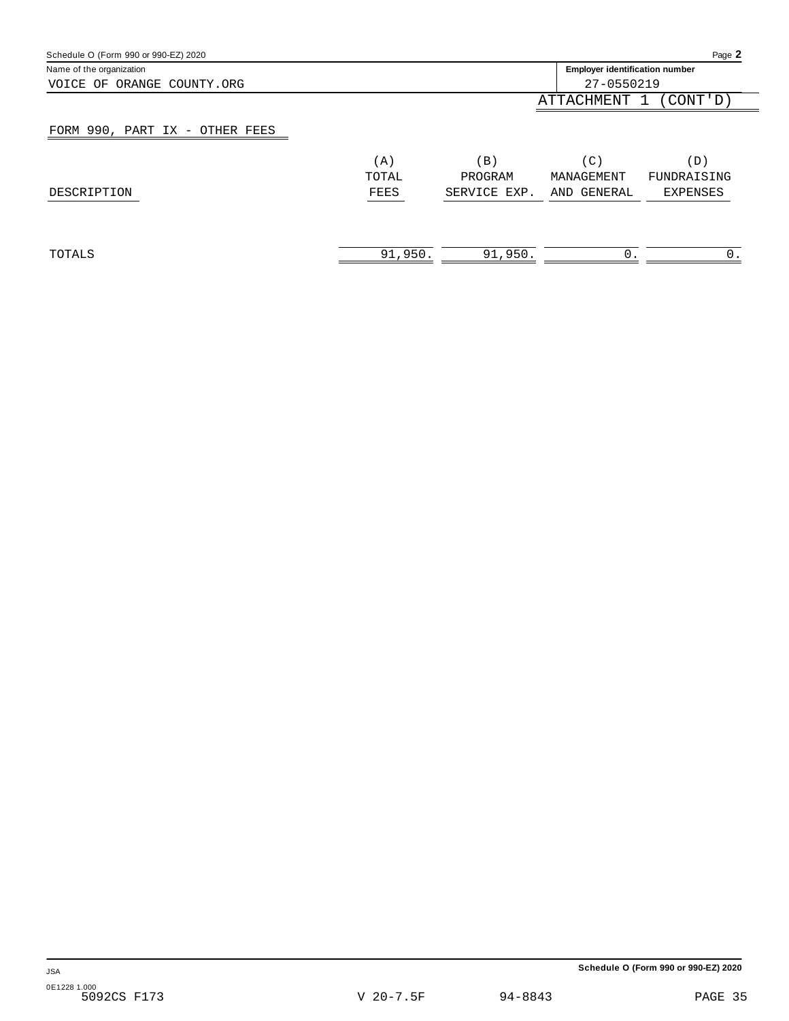| Schedule O (Form 990 or 990-EZ) 2020 |         |                                   |                                       | Page 2      |
|--------------------------------------|---------|-----------------------------------|---------------------------------------|-------------|
| Name of the organization             |         |                                   | <b>Employer identification number</b> |             |
| ORANGE COUNTY.ORG<br>VOICE OF        |         |                                   | 27-0550219                            |             |
|                                      |         |                                   | ATTACHMENT 1                          | (CONT'D)    |
| FORM 990, PART IX - OTHER FEES       |         |                                   |                                       |             |
|                                      | (A)     | $\left( \, \mathrm{B} \, \right)$ | (C)                                   | (D)         |
|                                      | TOTAL   | PROGRAM                           | MANAGEMENT                            | FUNDRAISING |
| DESCRIPTION                          | FEES    | SERVICE EXP.                      | AND GENERAL                           | EXPENSES    |
|                                      |         |                                   |                                       |             |
| TOTALS                               | 91,950. | 91,950.                           |                                       |             |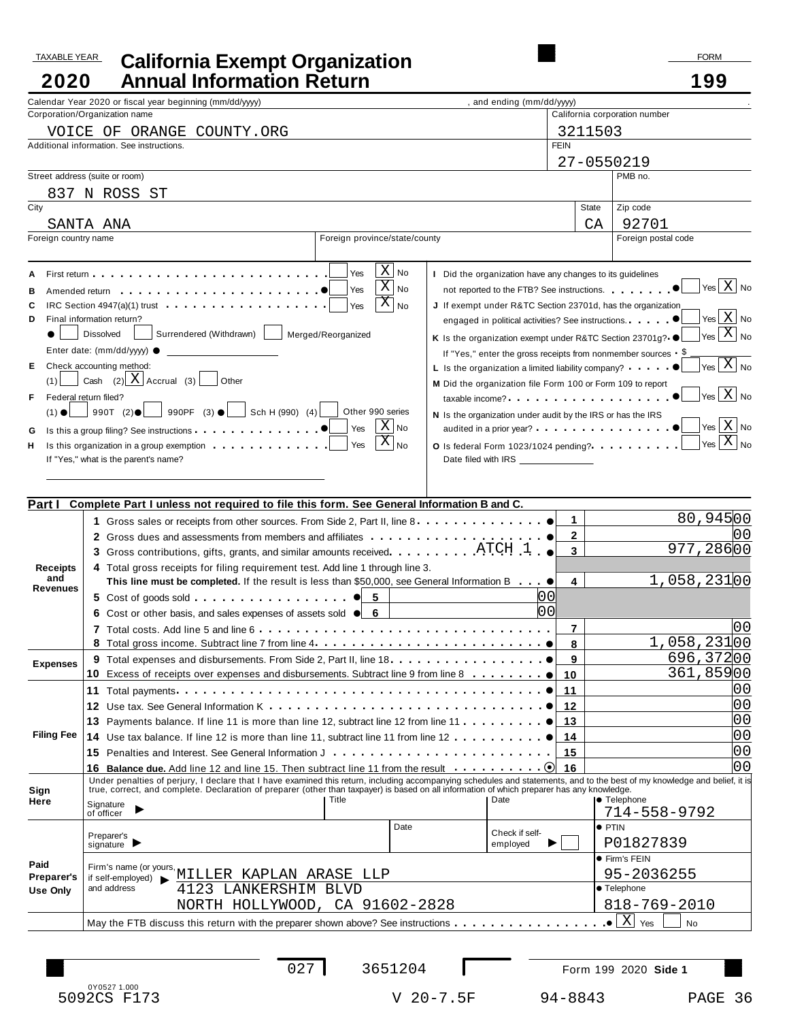# TAXABLE YEAR FORM **California Exempt Organization 2020 Annual Information Return 199**

|                   | Calendar Year 2020 or fiscal year beginning (mm/dd/yyyy)                                                                                                                                                                                                                                                                  | , and ending (mm/dd/yyyy)                                               |              |                                                            |
|-------------------|---------------------------------------------------------------------------------------------------------------------------------------------------------------------------------------------------------------------------------------------------------------------------------------------------------------------------|-------------------------------------------------------------------------|--------------|------------------------------------------------------------|
|                   | Corporation/Organization name                                                                                                                                                                                                                                                                                             |                                                                         |              | California corporation number                              |
|                   | VOICE OF ORANGE COUNTY.ORG                                                                                                                                                                                                                                                                                                |                                                                         | 3211503      |                                                            |
|                   | Additional information. See instructions.                                                                                                                                                                                                                                                                                 | <b>FEIN</b>                                                             |              |                                                            |
|                   |                                                                                                                                                                                                                                                                                                                           |                                                                         |              |                                                            |
|                   |                                                                                                                                                                                                                                                                                                                           |                                                                         | 27-0550219   |                                                            |
|                   | Street address (suite or room)                                                                                                                                                                                                                                                                                            |                                                                         |              | PMB no.                                                    |
|                   | 837 N ROSS ST                                                                                                                                                                                                                                                                                                             |                                                                         |              |                                                            |
| City              |                                                                                                                                                                                                                                                                                                                           |                                                                         | State        | Zip code                                                   |
|                   | SANTA ANA                                                                                                                                                                                                                                                                                                                 |                                                                         | CA           | 92701                                                      |
|                   | Foreign country name<br>Foreign province/state/county                                                                                                                                                                                                                                                                     |                                                                         |              | Foreign postal code                                        |
|                   |                                                                                                                                                                                                                                                                                                                           |                                                                         |              |                                                            |
|                   | $\mathbf{X}$                                                                                                                                                                                                                                                                                                              |                                                                         |              |                                                            |
|                   | Yes<br>No                                                                                                                                                                                                                                                                                                                 | I Did the organization have any changes to its guidelines               |              | $\sqrt{}$ Yes $\boxed{\mathrm{X}}$ No                      |
| в                 | $\overline{X}$<br>No<br>Yes<br>Amended return entering the state of the state of the state of the state of the state of the state of the state of the state of the state of the state of the state of the state of the state of the state of the state of the                                                             | not reported to the FTB? See instructions.                              |              |                                                            |
| c                 | $X _{N_0}$<br>IRC Section 4947(a)(1) trust <b>example 20 years and all the Section 4947(a)(1)</b> trust<br>Yes                                                                                                                                                                                                            | J If exempt under R&TC Section 23701d, has the organization             |              |                                                            |
| D                 | Final information return?                                                                                                                                                                                                                                                                                                 | engaged in political activities? See instructions.                      |              | $\sqrt{Y}$ es $X$ No                                       |
|                   | Surrendered (Withdrawn)<br><b>Dissolved</b><br>Merged/Reorganized                                                                                                                                                                                                                                                         | K Is the organization exempt under R&TC Section 23701g? ●               |              | $\left  \gamma_{\text{es}} \right $ X $\left  N_0 \right $ |
|                   | Enter date: (mm/dd/yyyy) ●                                                                                                                                                                                                                                                                                                | If "Yes," enter the gross receipts from nonmember sources $\frac{5}{2}$ |              |                                                            |
| Е                 | Check accounting method:                                                                                                                                                                                                                                                                                                  | L Is the organization a limited liability company?                      |              | $\overline{X}$ No                                          |
| (1)               | Cash $(2)$ X Accrual $(3)$ Other                                                                                                                                                                                                                                                                                          | M Did the organization file Form 100 or Form 109 to report              |              |                                                            |
| F                 | Federal return filed?                                                                                                                                                                                                                                                                                                     |                                                                         |              | $\vert$ Yes $\vert$ X $\vert$ No                           |
|                   | $(1) \bullet$ 990T $(2) \bullet$ 990PF $(3) \bullet$ Sch H (990) $(4)$<br>Other 990 series                                                                                                                                                                                                                                |                                                                         |              |                                                            |
|                   | $ X _{\mathsf{No}}$                                                                                                                                                                                                                                                                                                       | N Is the organization under audit by the IRS or has the IRS             |              | $\left  \gamma_{\rm es} \right $ $\left  X \right $ No     |
| G                 | Yes                                                                                                                                                                                                                                                                                                                       |                                                                         |              | $Y_{\text{res}} \overline{X} _{\text{No}}$                 |
| н                 | $\overline{X} _{\mathsf{No}}$<br>Yes<br>Is this organization in a group exemption                                                                                                                                                                                                                                         | O Is federal Form 1023/1024 pending?<br>                                |              |                                                            |
|                   | If "Yes," what is the parent's name?                                                                                                                                                                                                                                                                                      |                                                                         |              |                                                            |
|                   |                                                                                                                                                                                                                                                                                                                           |                                                                         |              |                                                            |
|                   |                                                                                                                                                                                                                                                                                                                           |                                                                         |              |                                                            |
| Part I            | Complete Part I unless not required to file this form. See General Information B and C.                                                                                                                                                                                                                                   |                                                                         |              |                                                            |
|                   | 1 Gross sales or receipts from other sources. From Side 2, Part II, line 8                                                                                                                                                                                                                                                |                                                                         | $\mathbf{1}$ | 80,94500                                                   |
|                   | 2 Gross dues and assessments from members and affiliates <b>entitlerance in the contract of Strong</b>                                                                                                                                                                                                                    |                                                                         | $\mathbf{2}$ |                                                            |
|                   | 3 Gross contributions, gifts, grants, and similar amounts received. $\ldots \ldots$ $\ldots$ $\text{ATCH}$ 1                                                                                                                                                                                                              |                                                                         | $\mathbf{3}$ | 977,28600                                                  |
| <b>Receipts</b>   | 4 Total gross receipts for filing requirement test. Add line 1 through line 3.                                                                                                                                                                                                                                            |                                                                         |              |                                                            |
| and               | This line must be completed. If the result is less than \$50,000, see General Information B                                                                                                                                                                                                                               |                                                                         | 4            | $1,058,231$ 00                                             |
| Revenues          | 5 Cost of goods sold $\cdots$ $\cdots$ $\cdots$ $\cdots$ $\cdots$ $\cdots$ $\cdots$ $\cdots$ $\cdots$ $\cdots$                                                                                                                                                                                                            | lo 0                                                                    |              |                                                            |
|                   |                                                                                                                                                                                                                                                                                                                           | lo o                                                                    |              |                                                            |
|                   | 6 Cost or other basis, and sales expenses of assets sold $\bullet$ 6                                                                                                                                                                                                                                                      |                                                                         |              |                                                            |
|                   |                                                                                                                                                                                                                                                                                                                           |                                                                         | 7            | l0 O                                                       |
|                   |                                                                                                                                                                                                                                                                                                                           |                                                                         | 8            | $1,058,231$ 00                                             |
| <b>Expenses</b>   |                                                                                                                                                                                                                                                                                                                           |                                                                         | 9            | 696,37200                                                  |
|                   | 10<br>Excess of receipts over expenses and disbursements. Subtract line 9 from line 8 $\ldots \ldots \ldots$                                                                                                                                                                                                              |                                                                         | 10           | 361,85900                                                  |
|                   |                                                                                                                                                                                                                                                                                                                           |                                                                         | 11           | 00                                                         |
|                   |                                                                                                                                                                                                                                                                                                                           |                                                                         | 12           | 00                                                         |
|                   | 13 Payments balance. If line 11 is more than line 12, subtract line 12 from line 11                                                                                                                                                                                                                                       |                                                                         | 13           | 00                                                         |
| <b>Filing Fee</b> | 14 Use tax balance. If line 12 is more than line 11, subtract line 11 from line 12                                                                                                                                                                                                                                        |                                                                         | 14           | 00                                                         |
|                   |                                                                                                                                                                                                                                                                                                                           |                                                                         |              | 00                                                         |
|                   | <b>15</b> Penalties and Interest. See General Information J                                                                                                                                                                                                                                                               |                                                                         | 15           | 00                                                         |
|                   |                                                                                                                                                                                                                                                                                                                           |                                                                         | 16           |                                                            |
| Sign              | Under penalties of perjury, I declare that I have examined this return, including accompanying schedules and statements, and to the best of my knowledge and belief, it is<br>true, correct, and complete. Declaration of preparer (other than taxpayer) is based on all information of which preparer has any knowledge. |                                                                         |              |                                                            |
| Here              | Title<br>Signature                                                                                                                                                                                                                                                                                                        | Date                                                                    |              | <b>•</b> Telephone                                         |
|                   | ▶<br>of officer                                                                                                                                                                                                                                                                                                           |                                                                         |              | 714-558-9792                                               |
|                   | Date                                                                                                                                                                                                                                                                                                                      | Check if self-                                                          |              | $\bullet$ PTIN                                             |
|                   | Preparer's<br>signature $\blacktriangleright$                                                                                                                                                                                                                                                                             | employed                                                                |              | P01827839                                                  |
|                   |                                                                                                                                                                                                                                                                                                                           |                                                                         |              | <b>• Firm's FEIN</b>                                       |
| Paid              | Firm's name (or yours,<br>if celf-employed) NILLER KAPLAN ARASE LLP                                                                                                                                                                                                                                                       |                                                                         |              | 95-2036255                                                 |
| Preparer's        | and address<br>4123 LANKERSHIM BLVD                                                                                                                                                                                                                                                                                       |                                                                         |              | ● Telephone                                                |
| <b>Use Only</b>   |                                                                                                                                                                                                                                                                                                                           |                                                                         |              |                                                            |
|                   | NORTH HOLLYWOOD, CA 91602-2828                                                                                                                                                                                                                                                                                            |                                                                         |              | 818-769-2010                                               |
|                   | May the FTB discuss this return with the preparer shown above? See instructions                                                                                                                                                                                                                                           |                                                                         |              | X <br>Yes<br><b>No</b>                                     |
|                   |                                                                                                                                                                                                                                                                                                                           |                                                                         |              |                                                            |

0Y0527 1.000 5092CS F173 V 20-7.5F 94-8843 PAGE 36

027 3651204 Form 199 2020 **Side 1**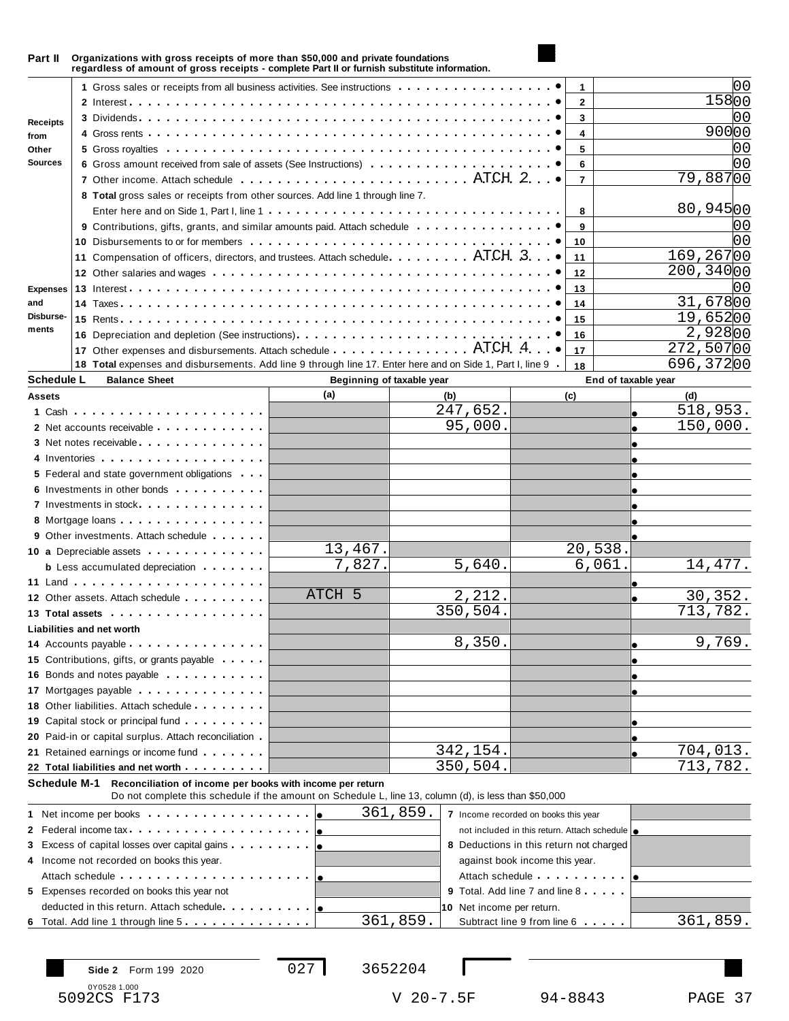| Part II           | Organizations with gross receipts of more than \$50,000 and private foundations<br>regardless of amount of gross receipts - complete Part II or furnish substitute information.                                                      |                           |                                                  |                                                                                                                                                                                                                                |                |                     |
|-------------------|--------------------------------------------------------------------------------------------------------------------------------------------------------------------------------------------------------------------------------------|---------------------------|--------------------------------------------------|--------------------------------------------------------------------------------------------------------------------------------------------------------------------------------------------------------------------------------|----------------|---------------------|
|                   | 1 Gross sales or receipts from all business activities. See instructions                                                                                                                                                             |                           |                                                  |                                                                                                                                                                                                                                | 1              |                     |
|                   |                                                                                                                                                                                                                                      |                           |                                                  |                                                                                                                                                                                                                                | $\overline{2}$ | 15800               |
|                   |                                                                                                                                                                                                                                      |                           |                                                  |                                                                                                                                                                                                                                | 3              |                     |
| <b>Receipts</b>   |                                                                                                                                                                                                                                      |                           |                                                  |                                                                                                                                                                                                                                | 4              | 90000               |
| from<br>Other     |                                                                                                                                                                                                                                      |                           |                                                  |                                                                                                                                                                                                                                | 5              | 00                  |
| <b>Sources</b>    |                                                                                                                                                                                                                                      |                           |                                                  |                                                                                                                                                                                                                                |                | იი                  |
|                   | 6 Gross amount received from sale of assets (See Instructions)                                                                                                                                                                       |                           |                                                  |                                                                                                                                                                                                                                | 6              | 79,88700            |
|                   |                                                                                                                                                                                                                                      |                           |                                                  |                                                                                                                                                                                                                                | $\overline{7}$ |                     |
|                   | 8 Total gross sales or receipts from other sources. Add line 1 through line 7.                                                                                                                                                       |                           |                                                  |                                                                                                                                                                                                                                |                |                     |
|                   |                                                                                                                                                                                                                                      |                           |                                                  |                                                                                                                                                                                                                                | 8              | 80,94500            |
|                   | 9 Contributions, gifts, grants, and similar amounts paid. Attach schedule                                                                                                                                                            |                           |                                                  |                                                                                                                                                                                                                                | 9              | 00                  |
|                   |                                                                                                                                                                                                                                      |                           |                                                  |                                                                                                                                                                                                                                | 10             | იი                  |
|                   | 11 Compensation of officers, directors, and trustees. Attach schedule. ATCH. 3.                                                                                                                                                      |                           |                                                  |                                                                                                                                                                                                                                | 11             | 169,26700           |
|                   |                                                                                                                                                                                                                                      |                           |                                                  |                                                                                                                                                                                                                                | 12             | 200, 34000          |
| <b>Expenses</b>   |                                                                                                                                                                                                                                      |                           |                                                  |                                                                                                                                                                                                                                | 13             |                     |
| and               |                                                                                                                                                                                                                                      |                           |                                                  |                                                                                                                                                                                                                                | 14             | 31,67800            |
| Disburse-         |                                                                                                                                                                                                                                      |                           |                                                  |                                                                                                                                                                                                                                | 15             | 19,65200            |
| ments             |                                                                                                                                                                                                                                      |                           |                                                  |                                                                                                                                                                                                                                | 16             | 2,92800             |
|                   | 17 Other expenses and disbursements. Attach schedule ATCH 4.                                                                                                                                                                         |                           |                                                  |                                                                                                                                                                                                                                | 17             | 272,50700           |
|                   | 18 Total expenses and disbursements. Add line 9 through line 17. Enter here and on Side 1, Part I, line 9                                                                                                                            |                           |                                                  |                                                                                                                                                                                                                                | 18             | 696,37200           |
| <b>Schedule L</b> | <b>Balance Sheet</b>                                                                                                                                                                                                                 | Beginning of taxable year |                                                  |                                                                                                                                                                                                                                |                | End of taxable year |
| <b>Assets</b>     |                                                                                                                                                                                                                                      | (a)                       | (b)                                              |                                                                                                                                                                                                                                | (c)            | (d)                 |
|                   |                                                                                                                                                                                                                                      |                           | 247,652.                                         |                                                                                                                                                                                                                                |                | 518,953             |
|                   | 2 Net accounts receivable expression and the set of the set of the set of the set of the set of the set of the set of the set of the set of the set of the set of the set of the set of the set of the set of the set of the s       |                           | 95,000.                                          |                                                                                                                                                                                                                                |                | 150,000.            |
|                   | 3 Net notes receivable experience in the set of the set of the set of the set of the set of the set of the set of the set of the set of the set of the set of the set of the set of the set of the set of the set of the set o       |                           |                                                  |                                                                                                                                                                                                                                |                |                     |
|                   |                                                                                                                                                                                                                                      |                           |                                                  |                                                                                                                                                                                                                                |                |                     |
|                   | 5 Federal and state government obligations                                                                                                                                                                                           |                           |                                                  |                                                                                                                                                                                                                                |                |                     |
|                   | 6 Investments in other bonds                                                                                                                                                                                                         |                           |                                                  |                                                                                                                                                                                                                                |                |                     |
|                   | 7 Investments in stock                                                                                                                                                                                                               |                           |                                                  |                                                                                                                                                                                                                                |                |                     |
|                   | 8 Mortgage loans                                                                                                                                                                                                                     |                           |                                                  |                                                                                                                                                                                                                                |                |                     |
|                   | <b>9</b> Other investments. Attach schedule                                                                                                                                                                                          |                           |                                                  |                                                                                                                                                                                                                                |                |                     |
|                   | 10 a Depreciable assets                                                                                                                                                                                                              | 13,467.                   |                                                  |                                                                                                                                                                                                                                | 20,538.        |                     |
|                   | <b>b</b> Less accumulated depreciation                                                                                                                                                                                               | 7,827.                    | 5,640.                                           |                                                                                                                                                                                                                                | 6,061.         | 14,477.             |
|                   |                                                                                                                                                                                                                                      |                           |                                                  |                                                                                                                                                                                                                                |                |                     |
|                   |                                                                                                                                                                                                                                      | ATCH 5                    | 2,212.                                           |                                                                                                                                                                                                                                |                | 30,352.             |
|                   | 12 Other assets. Attach schedule                                                                                                                                                                                                     |                           | 350,504.                                         |                                                                                                                                                                                                                                |                | 713,782.            |
|                   | 13 Total assets <b>the contract of the contract of the contract of the contract of the contract of the contract of the contract of the contract of the contract of the contract of the contract of the contract of the contract </b> |                           |                                                  |                                                                                                                                                                                                                                |                |                     |
|                   | Liabilities and net worth                                                                                                                                                                                                            |                           |                                                  |                                                                                                                                                                                                                                |                |                     |
|                   | 14 Accounts payable expression and the set of the set of the set of the set of the set of the set of the set of the set of the set of the set of the set of the set of the set of the set of the set of the set of the set of        |                           | 8,350.                                           |                                                                                                                                                                                                                                |                | 9,769.              |
|                   | 15 Contributions, gifts, or grants payable                                                                                                                                                                                           |                           |                                                  |                                                                                                                                                                                                                                |                |                     |
|                   | 16 Bonds and notes payable <b>contained</b> a set of <b>16</b> Bonds and notes payable                                                                                                                                               |                           |                                                  |                                                                                                                                                                                                                                |                |                     |
|                   | 17 Mortgages payable expression and the material state of the state of the state of the state of the state of the state of the state of the state of the state of the state of the state of the state of the state of the stat       |                           |                                                  |                                                                                                                                                                                                                                |                |                     |
|                   | 18 Other liabilities. Attach schedule                                                                                                                                                                                                |                           |                                                  |                                                                                                                                                                                                                                |                |                     |
|                   | 19 Capital stock or principal fund                                                                                                                                                                                                   |                           |                                                  |                                                                                                                                                                                                                                |                |                     |
|                   | 20 Paid-in or capital surplus. Attach reconciliation                                                                                                                                                                                 |                           |                                                  |                                                                                                                                                                                                                                |                |                     |
|                   | 21 Retained earnings or income fund                                                                                                                                                                                                  |                           | 342,154.                                         |                                                                                                                                                                                                                                |                | <u>704,013.</u>     |
|                   | 22 Total liabilities and net worth                                                                                                                                                                                                   |                           | 350,504.                                         |                                                                                                                                                                                                                                |                | 713,782.            |
|                   | Reconciliation of income per books with income per return<br>Schedule M-1                                                                                                                                                            |                           |                                                  |                                                                                                                                                                                                                                |                |                     |
|                   | Do not complete this schedule if the amount on Schedule L, line 13, column (d), is less than \$50,000                                                                                                                                |                           |                                                  |                                                                                                                                                                                                                                |                |                     |
|                   |                                                                                                                                                                                                                                      |                           | 361,859.<br>7 Income recorded on books this year |                                                                                                                                                                                                                                |                |                     |
|                   | 2 Federal income tax expression and the set of the set of the set of the set of the set of the set of the set of the set of the set of the set of the set of the set of the set of the set of the set of the set of the set of       |                           |                                                  | not included in this return. Attach schedule   .                                                                                                                                                                               |                |                     |
|                   |                                                                                                                                                                                                                                      |                           | 8 Deductions in this return not charged          |                                                                                                                                                                                                                                |                |                     |
|                   | 4 Income not recorded on books this year.                                                                                                                                                                                            |                           |                                                  | against book income this year.                                                                                                                                                                                                 |                |                     |
|                   | Attach schedule <b>Attach Schedule Attach Schedule</b>                                                                                                                                                                               |                           |                                                  | Attach schedule expansion of the set of the set of the set of the set of the set of the set of the set of the set of the set of the set of the set of the set of the set of the set of the set of the set of the set of the se |                |                     |
|                   | 5 Expenses recorded on books this year not                                                                                                                                                                                           |                           | 9 Total. Add line 7 and line 8                   |                                                                                                                                                                                                                                |                |                     |
|                   | deducted in this return. Attach schedule                                                                                                                                                                                             |                           | 10 Net income per return.                        |                                                                                                                                                                                                                                |                |                     |
|                   |                                                                                                                                                                                                                                      |                           |                                                  |                                                                                                                                                                                                                                |                | 361,859.            |
|                   |                                                                                                                                                                                                                                      |                           |                                                  |                                                                                                                                                                                                                                |                |                     |
|                   | 6 Total. Add line 1 through line 5<br>Side 2 Form 199 2020                                                                                                                                                                           | 027                       | 361,859.<br>3652204                              | Subtract line 9 from line 6                                                                                                                                                                                                    |                |                     |

0Y0528 1.000<br>5092CS F173

V 20-7.5F 94-8843 PAGE 37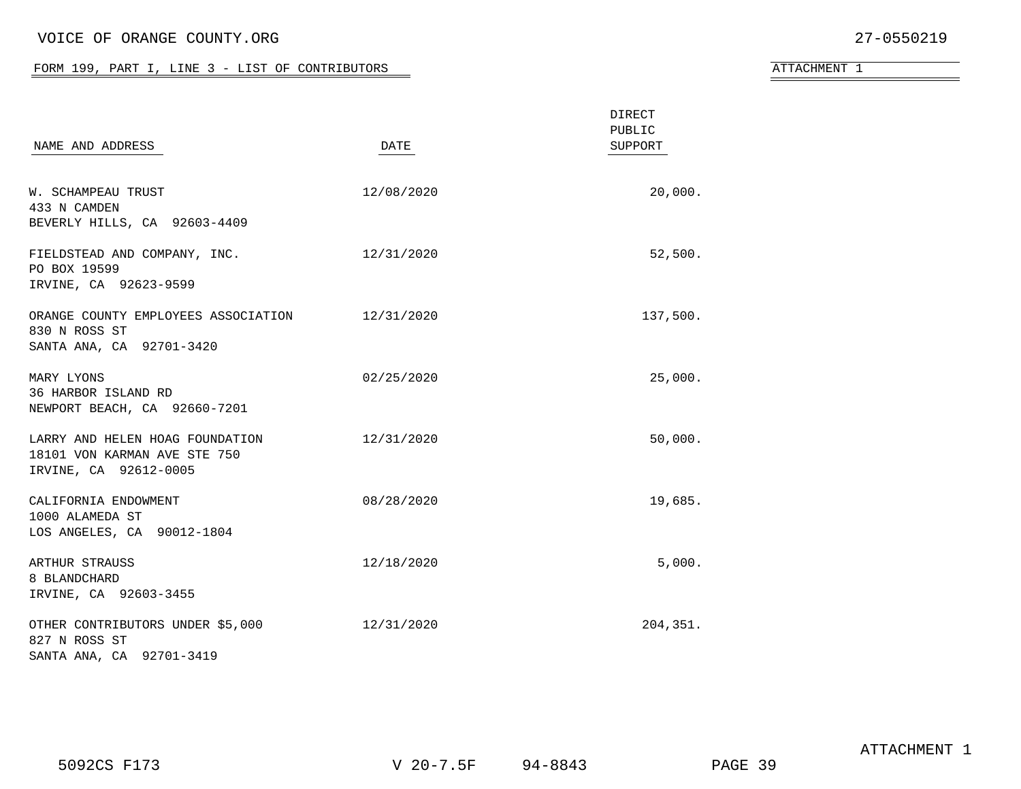### VOICE OF ORANGE COUNTY.ORG 27-0550219

#### FORM 199, PART I, LINE  $3$  - LIST OF CONTRIBUTORS

| <b>ATTACHMENT</b> |  |
|-------------------|--|
|-------------------|--|

| NAME AND ADDRESS                                                                            | DATE       | <b>DIRECT</b><br>PUBLIC<br>SUPPORT |
|---------------------------------------------------------------------------------------------|------------|------------------------------------|
| <b>W. SCHAMPEAU TRUST</b><br>433 N CAMDEN<br>BEVERLY HILLS, CA 92603-4409                   | 12/08/2020 | 20,000.                            |
| FIELDSTEAD AND COMPANY, INC.<br>PO BOX 19599<br>IRVINE, CA 92623-9599                       | 12/31/2020 | 52,500.                            |
| ORANGE COUNTY EMPLOYEES ASSOCIATION 12/31/2020<br>830 N ROSS ST<br>SANTA ANA, CA 92701-3420 |            | 137,500.                           |
| MARY LYONS<br>36 HARBOR ISLAND RD<br>NEWPORT BEACH, CA 92660-7201                           | 02/25/2020 | 25,000.                            |
| LARRY AND HELEN HOAG FOUNDATION<br>18101 VON KARMAN AVE STE 750<br>IRVINE, CA 92612-0005    | 12/31/2020 | 50,000.                            |
| CALIFORNIA ENDOWMENT<br>1000 ALAMEDA ST<br>LOS ANGELES, CA 90012-1804                       | 08/28/2020 | 19,685.                            |
| ARTHUR STRAUSS<br>8 BLANDCHARD<br>IRVINE, CA 92603-3455                                     | 12/18/2020 | 5,000.                             |
| OTHER CONTRIBUTORS UNDER \$5,000<br>827 N ROSS ST<br>SANTA ANA, CA 92701-3419               | 12/31/2020 | 204,351.                           |

5092CS F173 V 20-7.5F 94-8843 PAGE 39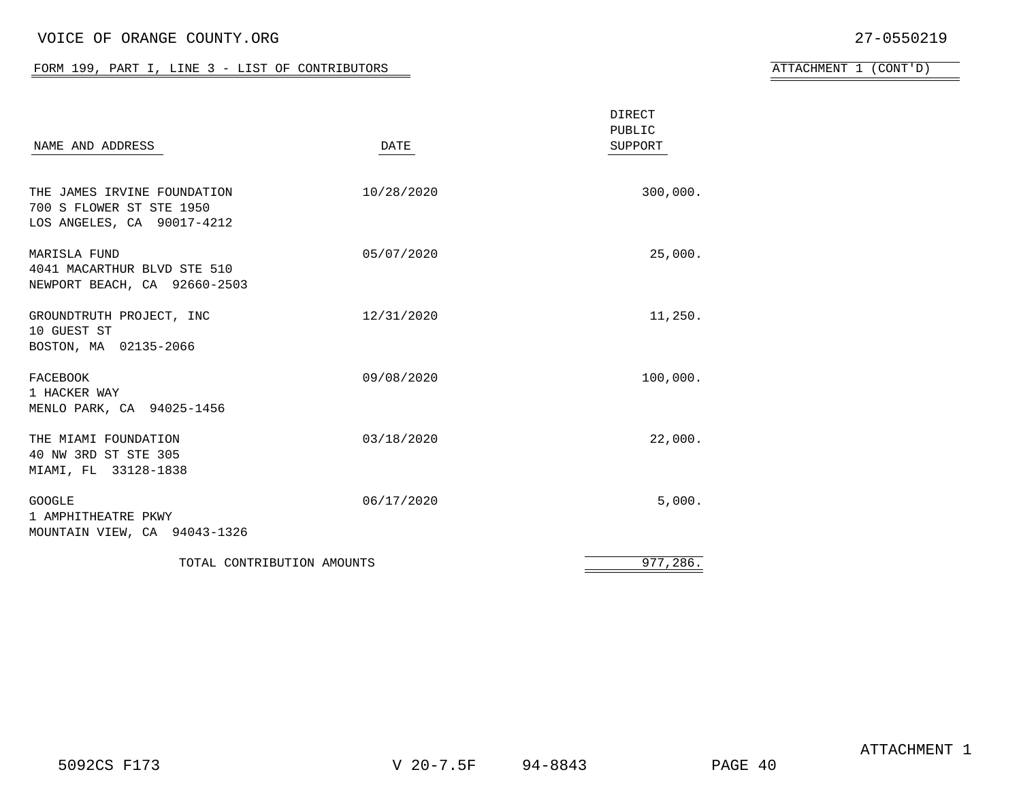### VOICE OF ORANGE COUNTY.ORG 27-0550219

#### FORM 199, PART I, LINE  $3$  - LIST OF CONTRIBUTORS

| ATTACHMENT |  | (CONT' D) |  |
|------------|--|-----------|--|
|------------|--|-----------|--|

| NAME AND ADDRESS                                                                      | DATE       | <b>DIRECT</b><br>PUBLIC<br>SUPPORT |
|---------------------------------------------------------------------------------------|------------|------------------------------------|
| THE JAMES IRVINE FOUNDATION<br>700 S FLOWER ST STE 1950<br>LOS ANGELES, CA 90017-4212 | 10/28/2020 | 300,000.                           |
| <b>MARISLA FUND</b><br>4041 MACARTHUR BLVD STE 510<br>NEWPORT BEACH, CA 92660-2503    | 05/07/2020 | 25,000.                            |
| GROUNDTRUTH PROJECT, INC<br>10 GUEST ST<br>BOSTON, MA 02135-2066                      | 12/31/2020 | 11,250.                            |
| FACEBOOK<br>1 HACKER WAY<br>MENLO PARK, CA 94025-1456                                 | 09/08/2020 | 100,000.                           |
| THE MIAMI FOUNDATION<br>40 NW 3RD ST STE 305<br>MIAMI, FL 33128-1838                  | 03/18/2020 | 22,000.                            |
| <b>GOOGLE</b><br>1 AMPHITHEATRE PKWY<br>MOUNTAIN VIEW, CA 94043-1326                  | 06/17/2020 | 5,000.                             |
| TOTAL CONTRIBUTION AMOUNTS                                                            |            | 977,286.                           |

5092CS F173 V 20-7.5F 94-8843 PAGE 40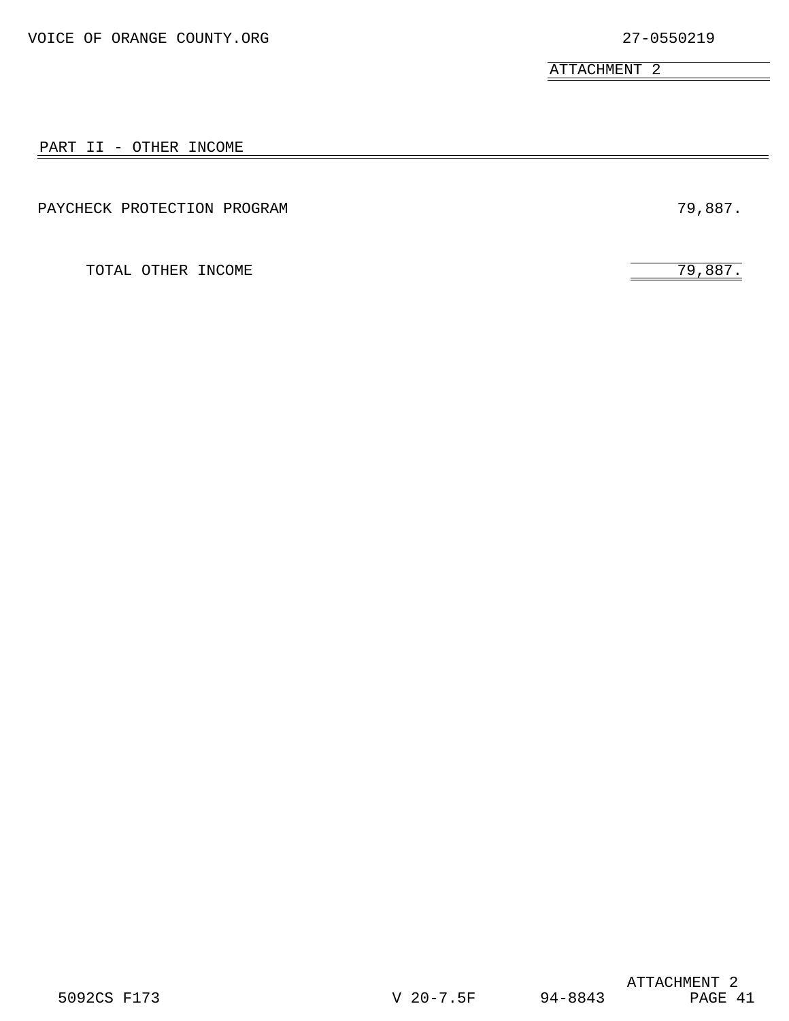ATTACHMENT 2

#### PART II - OTHER INCOME

PAYCHECK PROTECTION PROGRAM  $79,887$ .

TOTAL OTHER INCOME 79,887.

ATTACHMENT 2<br>PAGE 41 5092CS F173 V 20-7.5F 94-8843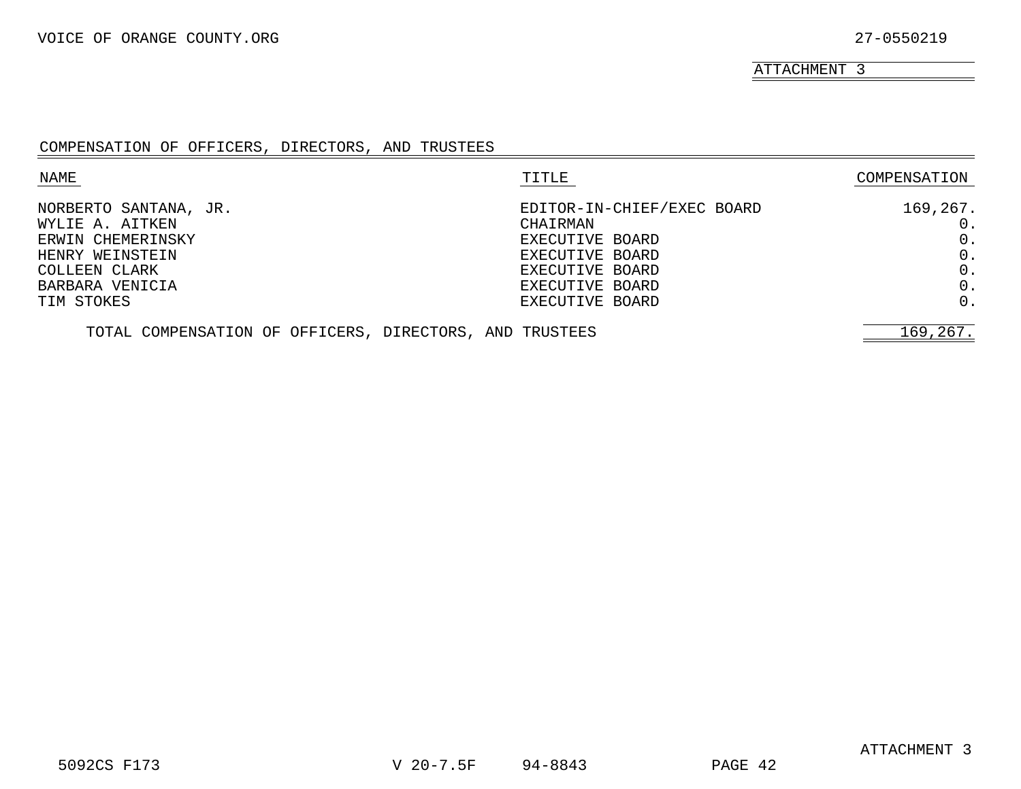ATTACHMENT 3

#### COMPENSATION OF OFFICERS, DIRECTORS, AND TRUSTEES

| NAME                                                    | TITLE                      | COMPENSATION |
|---------------------------------------------------------|----------------------------|--------------|
| NORBERTO SANTANA, JR.                                   | EDITOR-IN-CHIEF/EXEC BOARD | 169,267.     |
| WYLIE A. AITKEN                                         | CHAIRMAN                   |              |
| ERWIN CHEMERINSKY                                       | EXECUTIVE BOARD            | 0.           |
| HENRY WEINSTEIN                                         | EXECUTIVE BOARD            | 0.           |
| COLLEEN CLARK                                           | EXECUTIVE BOARD            | $0$ .        |
| BARBARA VENICIA                                         | EXECUTIVE BOARD            | 0.           |
| TIM STOKES                                              | EXECUTIVE BOARD            | 0.           |
| TOTAL COMPENSATION OF OFFICERS, DIRECTORS, AND TRUSTEES |                            | 169,267.     |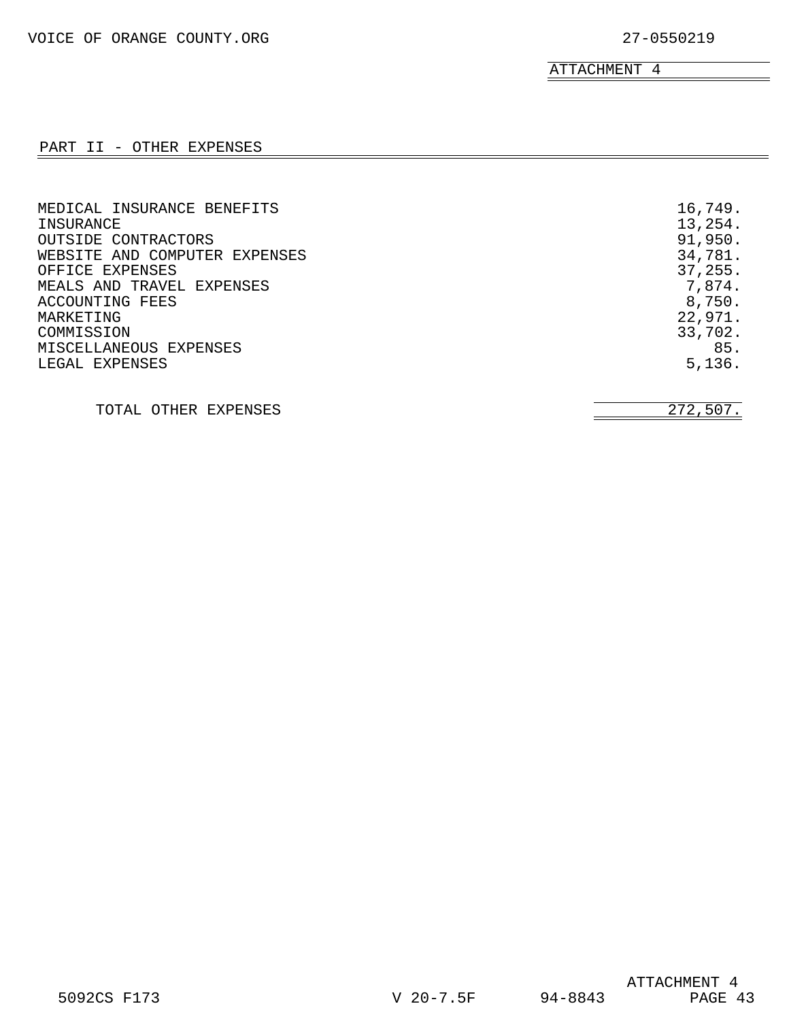$\overline{\phantom{0}}$ 

ATTACHMENT 4

### PART II - OTHER EXPENSES

| MEDICAL INSURANCE BENEFITS<br>INSURANCE<br>OUTSIDE CONTRACTORS<br>WEBSITE AND COMPUTER EXPENSES<br>OFFICE EXPENSES<br>MEALS AND TRAVEL EXPENSES<br>ACCOUNTING FEES<br>MARKETING<br>COMMISSION<br>MISCELLANEOUS EXPENSES | 16,749.<br>13,254.<br>91,950.<br>34,781.<br>37, 255.<br>7,874.<br>8,750.<br>22,971.<br>33,702.<br>85. |
|-------------------------------------------------------------------------------------------------------------------------------------------------------------------------------------------------------------------------|-------------------------------------------------------------------------------------------------------|
| LEGAL EXPENSES                                                                                                                                                                                                          | 5,136.                                                                                                |
| OTHER EXPENSES<br>TOTAL.                                                                                                                                                                                                | 272,507.                                                                                              |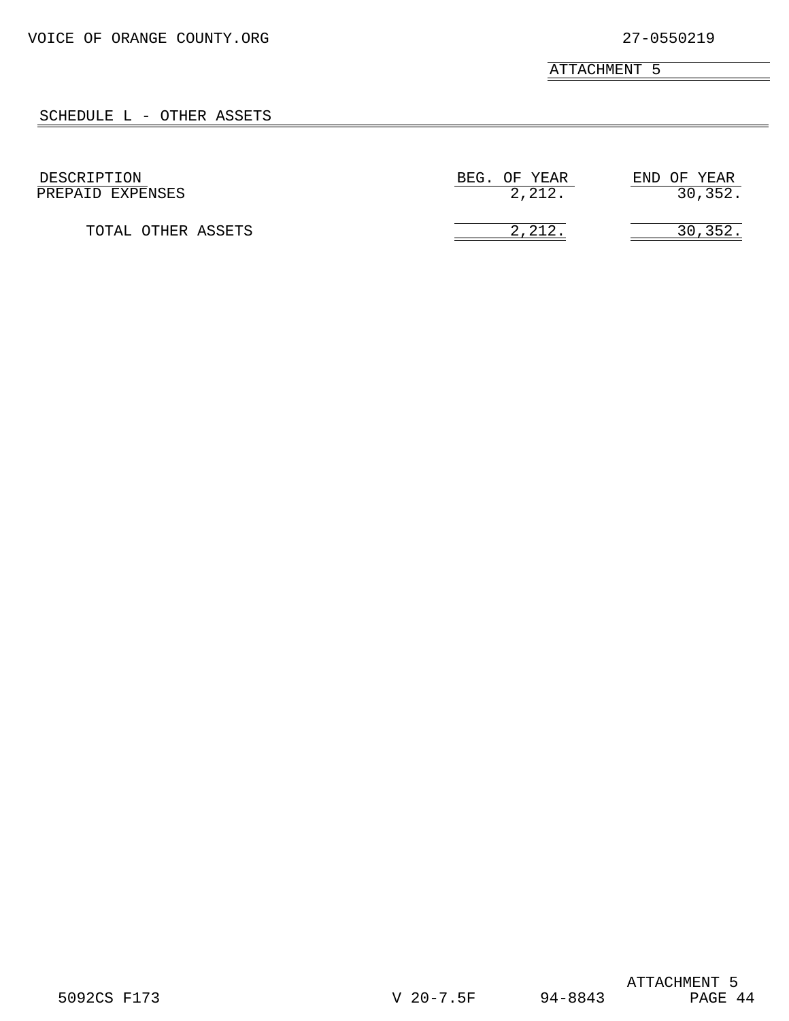ATTACHMENT 5

### SCHEDULE L - OTHER ASSETS

| DESCRIPTION        | BEG. OF YEAR | END OF YEAR |
|--------------------|--------------|-------------|
| PREPAID EXPENSES   | 2,212.       | 30, 352.    |
| TOTAL OTHER ASSETS | 2.212        | 30,352      |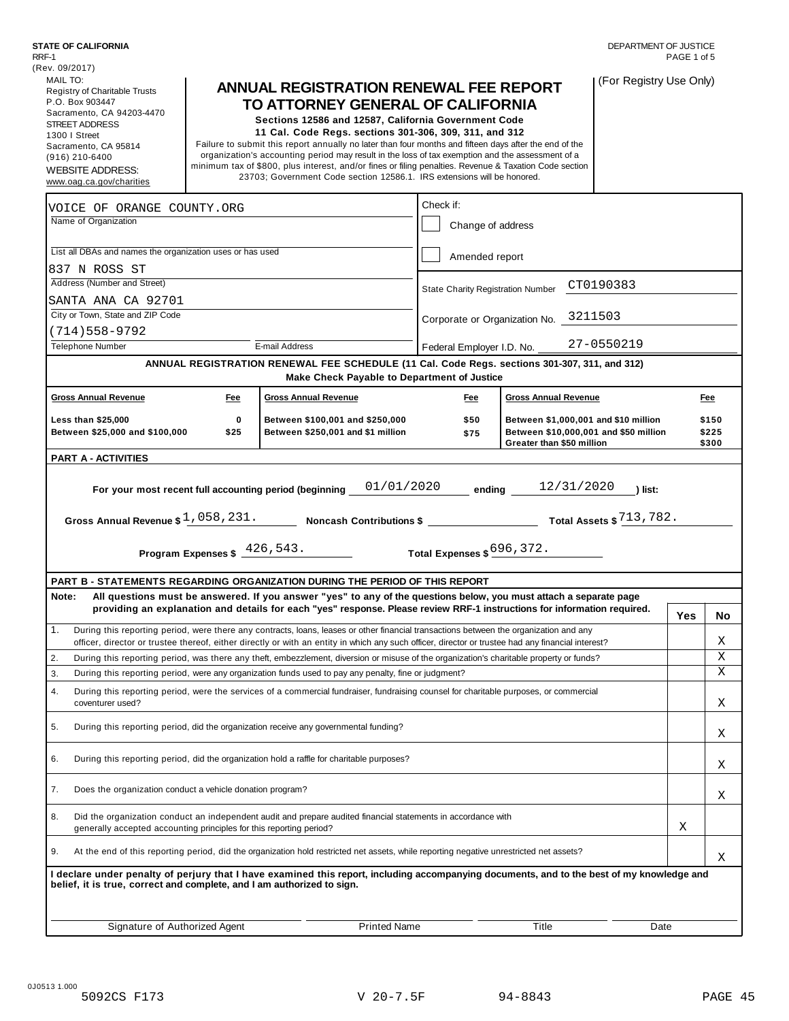| (Rev. 09/2017)                                                                |            |                                                                                                                                                                                                                                                |                                          |                             |                                                                               | DEPARTMENT OF JUSTICE<br>PAGE 1 of 5 |                |
|-------------------------------------------------------------------------------|------------|------------------------------------------------------------------------------------------------------------------------------------------------------------------------------------------------------------------------------------------------|------------------------------------------|-----------------------------|-------------------------------------------------------------------------------|--------------------------------------|----------------|
| MAIL TO:                                                                      |            |                                                                                                                                                                                                                                                |                                          |                             |                                                                               |                                      |                |
| Registry of Charitable Trusts<br>P.O. Box 903447<br>Sacramento, CA 94203-4470 |            | <b>ANNUAL REGISTRATION RENEWAL FEE REPORT</b><br>TO ATTORNEY GENERAL OF CALIFORNIA                                                                                                                                                             |                                          |                             | (For Registry Use Only)                                                       |                                      |                |
| <b>STREET ADDRESS</b>                                                         |            | Sections 12586 and 12587, California Government Code                                                                                                                                                                                           |                                          |                             |                                                                               |                                      |                |
| 1300   Street                                                                 |            | 11 Cal. Code Regs. sections 301-306, 309, 311, and 312<br>Failure to submit this report annually no later than four months and fifteen days after the end of the                                                                               |                                          |                             |                                                                               |                                      |                |
| Sacramento, CA 95814<br>$(916)$ 210-6400                                      |            | organization's accounting period may result in the loss of tax exemption and the assessment of a                                                                                                                                               |                                          |                             |                                                                               |                                      |                |
| <b>WEBSITE ADDRESS:</b>                                                       |            | minimum tax of \$800, plus interest, and/or fines or filing penalties. Revenue & Taxation Code section                                                                                                                                         |                                          |                             |                                                                               |                                      |                |
| www.oag.ca.gov/charities                                                      |            | 23703; Government Code section 12586.1. IRS extensions will be honored.                                                                                                                                                                        |                                          |                             |                                                                               |                                      |                |
| VOICE OF ORANGE COUNTY.ORG                                                    |            |                                                                                                                                                                                                                                                | Check if:                                |                             |                                                                               |                                      |                |
| Name of Organization                                                          |            |                                                                                                                                                                                                                                                | Change of address                        |                             |                                                                               |                                      |                |
| List all DBAs and names the organization uses or has used                     |            |                                                                                                                                                                                                                                                | Amended report                           |                             |                                                                               |                                      |                |
| 837 N ROSS ST                                                                 |            |                                                                                                                                                                                                                                                |                                          |                             |                                                                               |                                      |                |
| Address (Number and Street)                                                   |            |                                                                                                                                                                                                                                                | <b>State Charity Registration Number</b> |                             | CT0190383                                                                     |                                      |                |
| SANTA ANA CA 92701                                                            |            |                                                                                                                                                                                                                                                |                                          |                             |                                                                               |                                      |                |
| City or Town, State and ZIP Code                                              |            |                                                                                                                                                                                                                                                | Corporate or Organization No. 3211503    |                             |                                                                               |                                      |                |
| $(714)558-9792$                                                               |            |                                                                                                                                                                                                                                                |                                          |                             |                                                                               |                                      |                |
| <b>Telephone Number</b>                                                       |            | E-mail Address                                                                                                                                                                                                                                 | Federal Employer I.D. No.                |                             | 27-0550219                                                                    |                                      |                |
|                                                                               |            | ANNUAL REGISTRATION RENEWAL FEE SCHEDULE (11 Cal. Code Regs. sections 301-307, 311, and 312)                                                                                                                                                   |                                          |                             |                                                                               |                                      |                |
| <b>Gross Annual Revenue</b>                                                   | <b>Fee</b> | Make Check Payable to Department of Justice<br><b>Gross Annual Revenue</b>                                                                                                                                                                     | Fee                                      | <b>Gross Annual Revenue</b> |                                                                               |                                      | Fee            |
|                                                                               |            |                                                                                                                                                                                                                                                |                                          |                             |                                                                               |                                      |                |
| <b>Less than \$25,000</b><br>Between \$25,000 and \$100,000                   | 0<br>\$25  | Between \$100,001 and \$250,000<br>Between \$250,001 and \$1 million                                                                                                                                                                           | \$50<br>\$75                             |                             | Between \$1,000,001 and \$10 million<br>Between \$10,000,001 and \$50 million |                                      | \$150<br>\$225 |
| <b>PART A - ACTIVITIES</b>                                                    |            |                                                                                                                                                                                                                                                |                                          | Greater than \$50 million   |                                                                               |                                      | \$300          |
|                                                                               |            |                                                                                                                                                                                                                                                |                                          |                             |                                                                               |                                      |                |
|                                                                               |            | Program Expenses $\frac{426,543.}{\sqrt{25}}$                                                                                                                                                                                                  | Total Expenses \$ 696, 372.              |                             |                                                                               |                                      |                |
| PART B - STATEMENTS REGARDING ORGANIZATION DURING THE PERIOD OF THIS REPORT   |            |                                                                                                                                                                                                                                                |                                          |                             |                                                                               |                                      |                |
| Note:                                                                         |            |                                                                                                                                                                                                                                                |                                          |                             |                                                                               |                                      |                |
|                                                                               |            | All questions must be answered. If you answer "yes" to any of the questions below, you must attach a separate page                                                                                                                             |                                          |                             |                                                                               |                                      |                |
|                                                                               |            | providing an explanation and details for each "yes" response. Please review RRF-1 instructions for information required.                                                                                                                       |                                          |                             |                                                                               | Yes                                  |                |
|                                                                               |            | During this reporting period, were there any contracts, loans, leases or other financial transactions between the organization and any                                                                                                         |                                          |                             |                                                                               |                                      | Χ              |
|                                                                               |            | officer, director or trustee thereof, either directly or with an entity in which any such officer, director or trustee had any financial interest?                                                                                             |                                          |                             |                                                                               |                                      |                |
|                                                                               |            | During this reporting period, was there any theft, embezzlement, diversion or misuse of the organization's charitable property or funds?                                                                                                       |                                          |                             |                                                                               |                                      | Χ              |
|                                                                               |            | During this reporting period, were any organization funds used to pay any penalty, fine or judgment?<br>During this reporting period, were the services of a commercial fundraiser, fundraising counsel for charitable purposes, or commercial |                                          |                             |                                                                               |                                      | Χ              |
| 1.<br>2.<br>3.<br>4.<br>coventurer used?                                      |            |                                                                                                                                                                                                                                                |                                          |                             |                                                                               |                                      | Χ              |
| 5.                                                                            |            | During this reporting period, did the organization receive any governmental funding?                                                                                                                                                           |                                          |                             |                                                                               |                                      | Χ              |
|                                                                               |            | During this reporting period, did the organization hold a raffle for charitable purposes?                                                                                                                                                      |                                          |                             |                                                                               |                                      | Χ              |
| 6.<br>7.<br>Does the organization conduct a vehicle donation program?         |            |                                                                                                                                                                                                                                                |                                          |                             |                                                                               |                                      | Χ              |
|                                                                               |            | Did the organization conduct an independent audit and prepare audited financial statements in accordance with                                                                                                                                  |                                          |                             |                                                                               | Χ                                    |                |
| generally accepted accounting principles for this reporting period?           |            | At the end of this reporting period, did the organization hold restricted net assets, while reporting negative unrestricted net assets?                                                                                                        |                                          |                             |                                                                               |                                      |                |
| 8.<br>9.                                                                      |            | I declare under penalty of perjury that I have examined this report, including accompanying documents, and to the best of my knowledge and                                                                                                     |                                          |                             |                                                                               |                                      | No<br>Χ        |
| belief, it is true, correct and complete, and I am authorized to sign.        |            |                                                                                                                                                                                                                                                |                                          |                             |                                                                               |                                      |                |